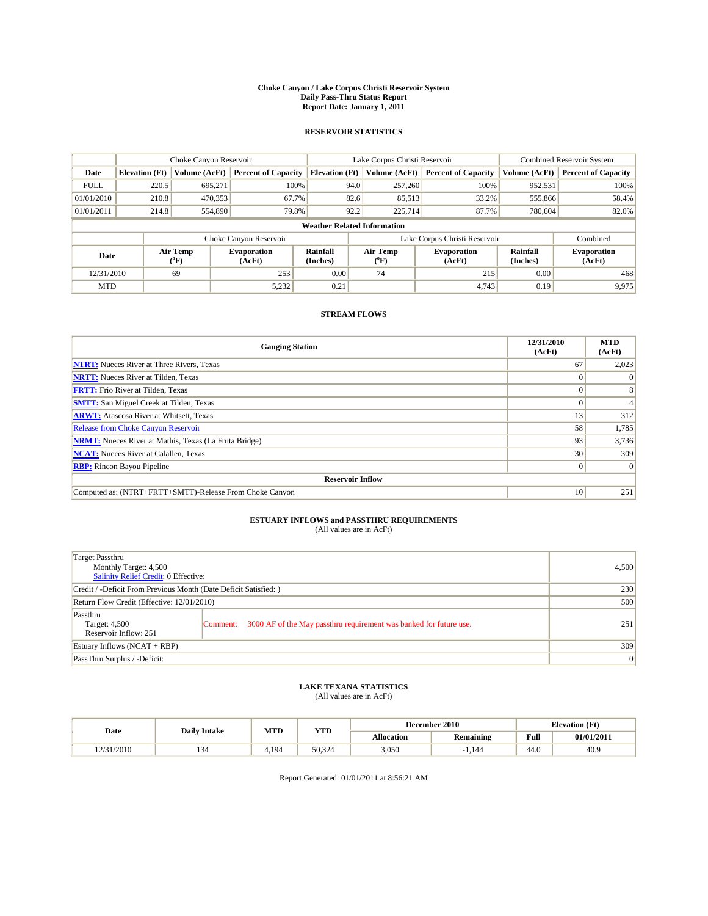#### **Choke Canyon / Lake Corpus Christi Reservoir System Daily Pass-Thru Status Report Report Date: January 1, 2011**

### **RESERVOIR STATISTICS**

|             | Choke Canyon Reservoir             |                  |                              |                       | Lake Corpus Christi Reservoir | <b>Combined Reservoir System</b> |                      |                              |  |  |
|-------------|------------------------------------|------------------|------------------------------|-----------------------|-------------------------------|----------------------------------|----------------------|------------------------------|--|--|
| Date        | <b>Elevation</b> (Ft)              | Volume (AcFt)    | <b>Percent of Capacity</b>   | <b>Elevation</b> (Ft) | Volume (AcFt)                 | <b>Percent of Capacity</b>       | Volume (AcFt)        | <b>Percent of Capacity</b>   |  |  |
| <b>FULL</b> | 220.5                              | 695,271          | 100%                         | 94.0                  | 257,260                       | 100%                             | 952,531              | 100%                         |  |  |
| 01/01/2010  | 210.8                              | 470,353          | 67.7%                        | 82.6                  | 85,513                        | 33.2%                            | 555,866              | 58.4%                        |  |  |
| 01/01/2011  | 214.8                              | 554,890          | 79.8%                        | 92.2                  | 225,714                       | 87.7%                            | 780,604              | 82.0%                        |  |  |
|             | <b>Weather Related Information</b> |                  |                              |                       |                               |                                  |                      |                              |  |  |
|             |                                    |                  | Choke Canyon Reservoir       |                       |                               | Lake Corpus Christi Reservoir    |                      | Combined                     |  |  |
| Date        |                                    | Air Temp<br>(°F) | <b>Evaporation</b><br>(AcFt) | Rainfall<br>(Inches)  | Air Temp<br>("F)              | <b>Evaporation</b><br>(AcFt)     | Rainfall<br>(Inches) | <b>Evaporation</b><br>(AcFt) |  |  |
| 12/31/2010  |                                    | 69               | 253                          | 0.00                  | 74                            | 215                              | 0.00                 | 468                          |  |  |
| <b>MTD</b>  |                                    |                  | 5,232                        | 0.21                  |                               | 4.743                            | 0.19                 | 9,975                        |  |  |

## **STREAM FLOWS**

| <b>Gauging Station</b>                                       | 12/31/2010<br>(AcFt) | <b>MTD</b><br>(AcFt) |
|--------------------------------------------------------------|----------------------|----------------------|
| <b>NTRT:</b> Nueces River at Three Rivers, Texas             | 67                   | 2,023                |
| <b>NRTT:</b> Nueces River at Tilden, Texas                   |                      | $\Omega$             |
| <b>FRTT:</b> Frio River at Tilden, Texas                     |                      | 8                    |
| <b>SMTT:</b> San Miguel Creek at Tilden, Texas               |                      |                      |
| <b>ARWT:</b> Atascosa River at Whitsett, Texas               | 13                   | 312                  |
| <b>Release from Choke Canyon Reservoir</b>                   | 58                   | 1,785                |
| <b>NRMT:</b> Nueces River at Mathis, Texas (La Fruta Bridge) | 93                   | 3,736                |
| <b>NCAT:</b> Nueces River at Calallen, Texas                 | 30                   | 309                  |
| <b>RBP:</b> Rincon Bayou Pipeline                            | $\Omega$             | $\Omega$             |
| <b>Reservoir Inflow</b>                                      |                      |                      |
| Computed as: (NTRT+FRTT+SMTT)-Release From Choke Canyon      | 10                   | 251                  |

# **ESTUARY INFLOWS and PASSTHRU REQUIREMENTS**<br>(All values are in AcFt)

| Target Passthru<br>Monthly Target: 4,500<br>Salinity Relief Credit: 0 Effective: |                                                                                | 4,500 |
|----------------------------------------------------------------------------------|--------------------------------------------------------------------------------|-------|
| Credit / -Deficit From Previous Month (Date Deficit Satisfied: )                 |                                                                                | 230   |
| Return Flow Credit (Effective: 12/01/2010)                                       |                                                                                | 500   |
| Passthru<br>Target: 4,500<br>Reservoir Inflow: 251                               | 3000 AF of the May passthru requirement was banked for future use.<br>Comment: | 251   |
| Estuary Inflows (NCAT + RBP)                                                     |                                                                                | 309   |
| PassThru Surplus / -Deficit:                                                     |                                                                                | 0     |

## **LAKE TEXANA STATISTICS** (All values are in AcFt)

|            | <b>Daily Intake</b> | MTD   | <b>YTD</b> | December 2010<br><b>Elevation</b> (Ft) |           |      |            |
|------------|---------------------|-------|------------|----------------------------------------|-----------|------|------------|
| Date       |                     |       |            | Allocation                             | Remaining | Full | 01/01/2011 |
| 12/31/2010 | $\sim$<br>154       | 4.194 | 50.324     | 3,050                                  | 144       | 44.0 | 40.9       |

Report Generated: 01/01/2011 at 8:56:21 AM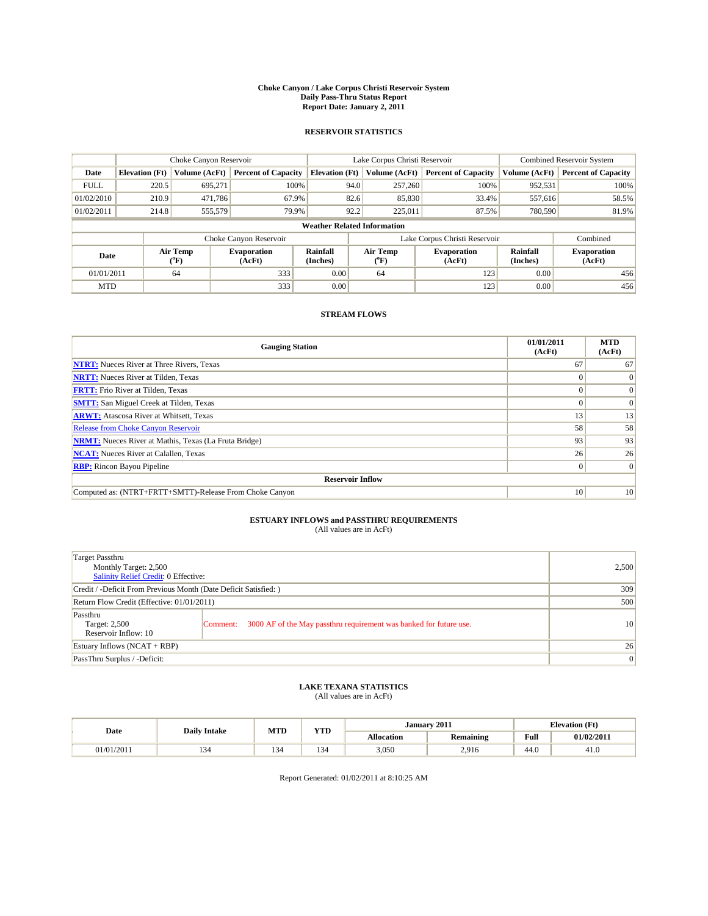#### **Choke Canyon / Lake Corpus Christi Reservoir System Daily Pass-Thru Status Report Report Date: January 2, 2011**

### **RESERVOIR STATISTICS**

|             | Choke Canyon Reservoir             |                  |                              |                             | Lake Corpus Christi Reservoir | Combined Reservoir System     |                      |                              |  |  |
|-------------|------------------------------------|------------------|------------------------------|-----------------------------|-------------------------------|-------------------------------|----------------------|------------------------------|--|--|
| Date        | <b>Elevation</b> (Ft)              | Volume (AcFt)    | <b>Percent of Capacity</b>   | <b>Elevation</b> (Ft)       | Volume (AcFt)                 | <b>Percent of Capacity</b>    | Volume (AcFt)        | <b>Percent of Capacity</b>   |  |  |
| <b>FULL</b> | 220.5                              | 695,271          | 100%                         | 94.0                        | 257,260                       | 100%                          | 952,531              | 100%                         |  |  |
| 01/02/2010  | 210.9                              | 471,786          | 67.9%                        | 82.6                        | 85,830                        | 33.4%                         | 557,616              | 58.5%                        |  |  |
| 01/02/2011  | 214.8                              | 555,579          | 79.9%                        | 92.2                        | 225,011                       | 87.5%                         | 780,590              | 81.9%                        |  |  |
|             | <b>Weather Related Information</b> |                  |                              |                             |                               |                               |                      |                              |  |  |
|             |                                    |                  | Choke Canyon Reservoir       |                             |                               | Lake Corpus Christi Reservoir |                      | Combined                     |  |  |
| Date        |                                    | Air Temp<br>(°F) | <b>Evaporation</b><br>(AcFt) | <b>Rainfall</b><br>(Inches) | Air Temp<br>(°F)              | <b>Evaporation</b><br>(AcFt)  | Rainfall<br>(Inches) | <b>Evaporation</b><br>(AcFt) |  |  |
| 01/01/2011  |                                    | 64               | 333                          | 0.00                        | 64                            | 123                           | 0.00                 | 456                          |  |  |
| <b>MTD</b>  |                                    |                  | 333                          | 0.00                        |                               | 123                           | 0.00                 | 456                          |  |  |

## **STREAM FLOWS**

| <b>Gauging Station</b>                                       | 01/01/2011<br>(AcFt) | <b>MTD</b><br>(AcFt) |
|--------------------------------------------------------------|----------------------|----------------------|
| <b>NTRT:</b> Nueces River at Three Rivers, Texas             | 67                   | 67                   |
| <b>NRTT:</b> Nueces River at Tilden, Texas                   |                      | $\Omega$             |
| <b>FRTT:</b> Frio River at Tilden, Texas                     |                      | $\Omega$             |
| <b>SMTT:</b> San Miguel Creek at Tilden, Texas               |                      | $\Omega$             |
| <b>ARWT:</b> Atascosa River at Whitsett, Texas               | 13                   | 13                   |
| Release from Choke Canyon Reservoir                          | 58                   | 58                   |
| <b>NRMT:</b> Nueces River at Mathis, Texas (La Fruta Bridge) | 93                   | 93                   |
| <b>NCAT:</b> Nueces River at Calallen, Texas                 | 26                   | 26                   |
| <b>RBP:</b> Rincon Bayou Pipeline                            | $\overline{0}$       | $\Omega$             |
| <b>Reservoir Inflow</b>                                      |                      |                      |
| Computed as: (NTRT+FRTT+SMTT)-Release From Choke Canyon      | 10 <sup>1</sup>      | 10                   |

# **ESTUARY INFLOWS and PASSTHRU REQUIREMENTS**<br>(All values are in AcFt)

| Target Passthru<br>Monthly Target: 2,500<br>Salinity Relief Credit: 0 Effective: |                                                                                | 2,500           |
|----------------------------------------------------------------------------------|--------------------------------------------------------------------------------|-----------------|
| Credit / -Deficit From Previous Month (Date Deficit Satisfied: )                 | 309                                                                            |                 |
| Return Flow Credit (Effective: 01/01/2011)                                       | 500                                                                            |                 |
| Passthru<br>Target: 2,500<br>Reservoir Inflow: 10                                | 3000 AF of the May passthru requirement was banked for future use.<br>Comment: | 10              |
| Estuary Inflows (NCAT + RBP)                                                     |                                                                                | 26              |
| PassThru Surplus / -Deficit:                                                     |                                                                                | $\vert 0 \vert$ |

## **LAKE TEXANA STATISTICS** (All values are in AcFt)

| Date       | <b>Daily Intake</b> | MTD           | <b>TIMP</b><br>1 I D | $-2011$<br><b>Elevation</b> (Ft)<br>January |                  |      |            |
|------------|---------------------|---------------|----------------------|---------------------------------------------|------------------|------|------------|
|            |                     |               |                      | Allocation                                  | <b>Remaining</b> | Full | 01/02/2011 |
| 01/01/2011 |                     | $\sim$<br>54ء | $\sim$<br>54 -       | 3,050                                       | 2.916            | 44.0 | 41.G       |

Report Generated: 01/02/2011 at 8:10:25 AM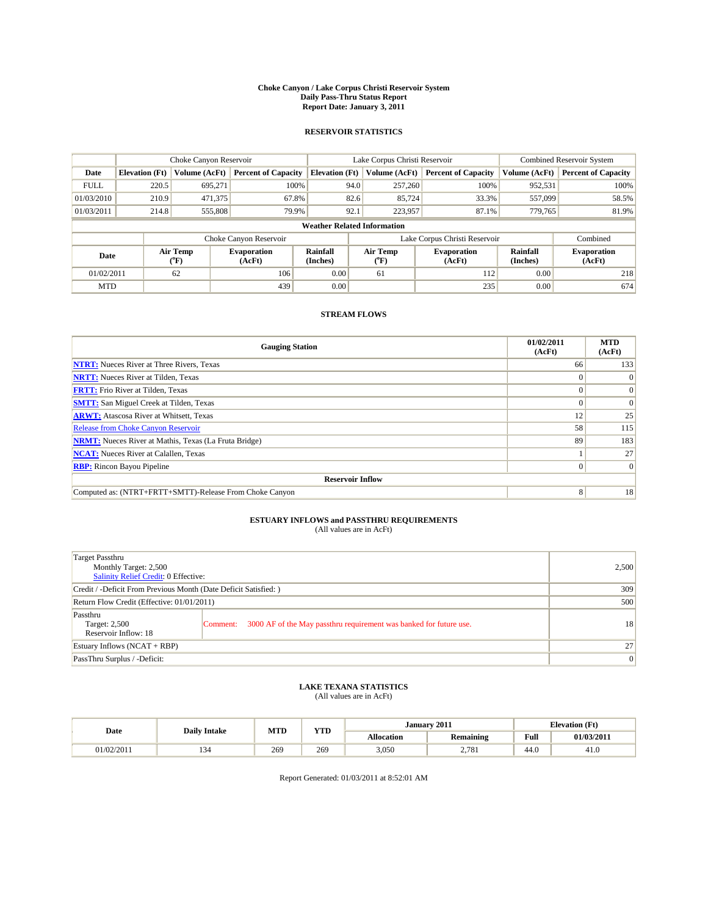#### **Choke Canyon / Lake Corpus Christi Reservoir System Daily Pass-Thru Status Report Report Date: January 3, 2011**

### **RESERVOIR STATISTICS**

|             | Choke Canyon Reservoir             |                                           |                              |                       | Lake Corpus Christi Reservoir | <b>Combined Reservoir System</b> |                      |                              |  |  |
|-------------|------------------------------------|-------------------------------------------|------------------------------|-----------------------|-------------------------------|----------------------------------|----------------------|------------------------------|--|--|
| Date        | <b>Elevation</b> (Ft)              | Volume (AcFt)                             | <b>Percent of Capacity</b>   | <b>Elevation</b> (Ft) | Volume (AcFt)                 | <b>Percent of Capacity</b>       | Volume (AcFt)        | <b>Percent of Capacity</b>   |  |  |
| <b>FULL</b> | 220.5                              | 695.271                                   | 100%                         | 94.0                  | 257,260                       | 100%                             | 952,531              | 100%                         |  |  |
| 01/03/2010  | 210.9                              | 471,375                                   | 67.8%                        | 82.6                  | 85,724                        | 33.3%                            | 557,099              | 58.5%                        |  |  |
| 01/03/2011  | 214.8                              | 555,808                                   | 79.9%                        | 92.1                  | 223,957                       | 87.1%                            | 779,765              | 81.9%                        |  |  |
|             | <b>Weather Related Information</b> |                                           |                              |                       |                               |                                  |                      |                              |  |  |
|             |                                    |                                           | Choke Canyon Reservoir       |                       |                               | Lake Corpus Christi Reservoir    |                      | Combined                     |  |  |
| Date        |                                    | Air Temp<br>$({}^{\mathrm{o}}\mathrm{F})$ | <b>Evaporation</b><br>(AcFt) | Rainfall<br>(Inches)  | Air Temp<br>(°F)              | <b>Evaporation</b><br>(AcFt)     | Rainfall<br>(Inches) | <b>Evaporation</b><br>(AcFt) |  |  |
| 01/02/2011  |                                    | 62                                        | 106                          | 0.00                  | 61                            | 112                              | 0.00                 | 218                          |  |  |
| <b>MTD</b>  |                                    |                                           | 439                          | 0.00                  |                               | 235                              | 0.00                 | 674                          |  |  |

## **STREAM FLOWS**

| <b>Gauging Station</b>                                       | 01/02/2011<br>(AcFt) | <b>MTD</b><br>(AcFt) |
|--------------------------------------------------------------|----------------------|----------------------|
| <b>NTRT:</b> Nueces River at Three Rivers, Texas             | 66                   | 133                  |
| <b>NRTT:</b> Nueces River at Tilden, Texas                   | $\theta$             |                      |
| <b>FRTT:</b> Frio River at Tilden, Texas                     |                      | $\Omega$             |
| <b>SMTT:</b> San Miguel Creek at Tilden, Texas               |                      | $\Omega$             |
| <b>ARWT:</b> Atascosa River at Whitsett, Texas               | 12                   | 25                   |
| <b>Release from Choke Canyon Reservoir</b>                   | 58                   | 115                  |
| <b>NRMT:</b> Nueces River at Mathis, Texas (La Fruta Bridge) | 89                   | 183                  |
| <b>NCAT:</b> Nueces River at Calallen, Texas                 |                      | 27                   |
| <b>RBP:</b> Rincon Bayou Pipeline                            | $\Omega$             | $\Omega$             |
| <b>Reservoir Inflow</b>                                      |                      |                      |
| Computed as: (NTRT+FRTT+SMTT)-Release From Choke Canyon      | 8                    | 18                   |

# **ESTUARY INFLOWS and PASSTHRU REQUIREMENTS**<br>(All values are in AcFt)

| Target Passthru<br>Monthly Target: 2,500<br>Salinity Relief Credit: 0 Effective: |                                                                                | 2,500           |
|----------------------------------------------------------------------------------|--------------------------------------------------------------------------------|-----------------|
| Credit / -Deficit From Previous Month (Date Deficit Satisfied: )                 | 309                                                                            |                 |
| Return Flow Credit (Effective: 01/01/2011)                                       | 500                                                                            |                 |
| Passthru<br>Target: 2,500<br>Reservoir Inflow: 18                                | 3000 AF of the May passthru requirement was banked for future use.<br>Comment: | 18              |
| Estuary Inflows (NCAT + RBP)                                                     |                                                                                | 27              |
| PassThru Surplus / -Deficit:                                                     |                                                                                | $\vert 0 \vert$ |

## **LAKE TEXANA STATISTICS** (All values are in AcFt)

|            |                     | MTD | <b>TIMP</b><br>1 I.D | January 2011<br><b>Elevation (Ft)</b> |                  |                                                |            |
|------------|---------------------|-----|----------------------|---------------------------------------|------------------|------------------------------------------------|------------|
| Date       | <b>Daily Intake</b> |     |                      | Allocation                            | <b>Remaining</b> | <b>Full</b><br>the contract of the contract of | 01/03/2011 |
| 01/02/2011 | 154                 | 269 | 269                  | 3,050                                 | 2,781            | 44.0                                           | 41.0       |

Report Generated: 01/03/2011 at 8:52:01 AM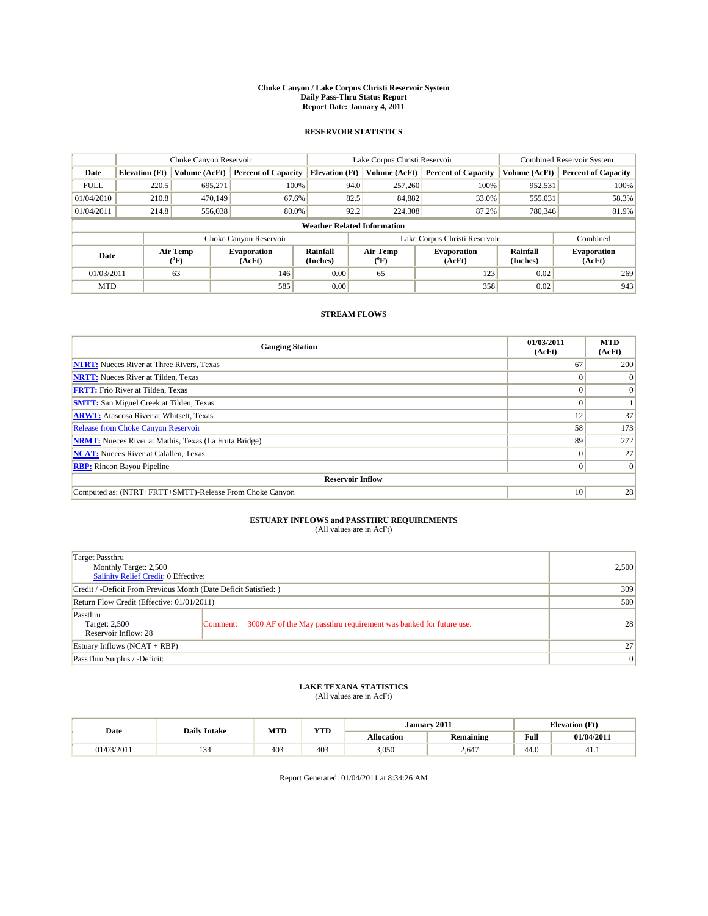#### **Choke Canyon / Lake Corpus Christi Reservoir System Daily Pass-Thru Status Report Report Date: January 4, 2011**

### **RESERVOIR STATISTICS**

|             | Choke Canyon Reservoir             |                  |                              |                             | Lake Corpus Christi Reservoir | <b>Combined Reservoir System</b> |                      |                              |  |  |
|-------------|------------------------------------|------------------|------------------------------|-----------------------------|-------------------------------|----------------------------------|----------------------|------------------------------|--|--|
| Date        | <b>Elevation</b> (Ft)              | Volume (AcFt)    | <b>Percent of Capacity</b>   | <b>Elevation</b> (Ft)       | Volume (AcFt)                 | <b>Percent of Capacity</b>       | Volume (AcFt)        | <b>Percent of Capacity</b>   |  |  |
| <b>FULL</b> | 220.5                              | 695,271          | 100%                         | 94.0                        | 257,260                       | 100%                             | 952,531              | 100%                         |  |  |
| 01/04/2010  | 210.8                              | 470.149          | 67.6%                        | 82.5                        | 84,882                        | 33.0%                            | 555,031              | 58.3%                        |  |  |
| 01/04/2011  | 214.8                              | 556,038          | 80.0%                        | 92.2                        | 224,308                       | 87.2%                            | 780,346              | 81.9%                        |  |  |
|             | <b>Weather Related Information</b> |                  |                              |                             |                               |                                  |                      |                              |  |  |
|             |                                    |                  | Choke Canyon Reservoir       |                             |                               | Lake Corpus Christi Reservoir    |                      | Combined                     |  |  |
| Date        |                                    | Air Temp<br>(°F) | <b>Evaporation</b><br>(AcFt) | <b>Rainfall</b><br>(Inches) | Air Temp<br>(°F)              | <b>Evaporation</b><br>(AcFt)     | Rainfall<br>(Inches) | <b>Evaporation</b><br>(AcFt) |  |  |
| 01/03/2011  |                                    | 63               | 146                          | 0.00                        | 65                            | 123                              | 0.02                 | 269                          |  |  |
| <b>MTD</b>  |                                    |                  | 585                          | 0.00                        |                               | 358                              | 0.02                 | 943                          |  |  |

## **STREAM FLOWS**

| <b>Gauging Station</b>                                       | 01/03/2011<br>(AcFt) | <b>MTD</b><br>(AcFt) |  |  |  |  |  |
|--------------------------------------------------------------|----------------------|----------------------|--|--|--|--|--|
| <b>NTRT:</b> Nueces River at Three Rivers, Texas             | 67                   | 200                  |  |  |  |  |  |
| <b>NRTT:</b> Nueces River at Tilden, Texas                   |                      | $\Omega$             |  |  |  |  |  |
| <b>FRTT:</b> Frio River at Tilden, Texas                     |                      | $\Omega$             |  |  |  |  |  |
| <b>SMTT:</b> San Miguel Creek at Tilden, Texas               |                      |                      |  |  |  |  |  |
| <b>ARWT:</b> Atascosa River at Whitsett, Texas               | 12                   | 37                   |  |  |  |  |  |
| <b>Release from Choke Canyon Reservoir</b>                   | 58                   | 173                  |  |  |  |  |  |
| <b>NRMT:</b> Nueces River at Mathis, Texas (La Fruta Bridge) | 89                   | 272                  |  |  |  |  |  |
| <b>NCAT:</b> Nueces River at Calallen, Texas                 | $\Omega$             | 27                   |  |  |  |  |  |
| <b>RBP:</b> Rincon Bayou Pipeline                            | $\overline{0}$       | $\Omega$             |  |  |  |  |  |
| <b>Reservoir Inflow</b>                                      |                      |                      |  |  |  |  |  |
| Computed as: (NTRT+FRTT+SMTT)-Release From Choke Canyon      | 10                   | 28                   |  |  |  |  |  |

# **ESTUARY INFLOWS and PASSTHRU REQUIREMENTS**<br>(All values are in AcFt)

| Target Passthru<br>Monthly Target: 2,500<br>Salinity Relief Credit: 0 Effective: |                                                                                | 2,500 |
|----------------------------------------------------------------------------------|--------------------------------------------------------------------------------|-------|
| Credit / -Deficit From Previous Month (Date Deficit Satisfied: )                 | 309                                                                            |       |
| Return Flow Credit (Effective: 01/01/2011)                                       | 500                                                                            |       |
| Passthru<br>Target: 2,500<br>Reservoir Inflow: 28                                | 3000 AF of the May passthru requirement was banked for future use.<br>Comment: | 28    |
| Estuary Inflows (NCAT + RBP)                                                     |                                                                                | 27    |
| PassThru Surplus / -Deficit:                                                     | $\vert 0 \vert$                                                                |       |

## **LAKE TEXANA STATISTICS** (All values are in AcFt)

|            | <b>Daily Intake</b> | MTD | T/TD<br>1 I D | January 2011 |                  |                                             | <b>Elevation</b> (Ft) |
|------------|---------------------|-----|---------------|--------------|------------------|---------------------------------------------|-----------------------|
| Date       |                     |     |               | Allocation   | <b>Remaining</b> | Full<br>the contract of the contract of the | 01/04/2011            |
| 01/03/2011 | . .                 | 403 | 403           | 3,050        | 2.647            | 44.0                                        | 41.1                  |

Report Generated: 01/04/2011 at 8:34:26 AM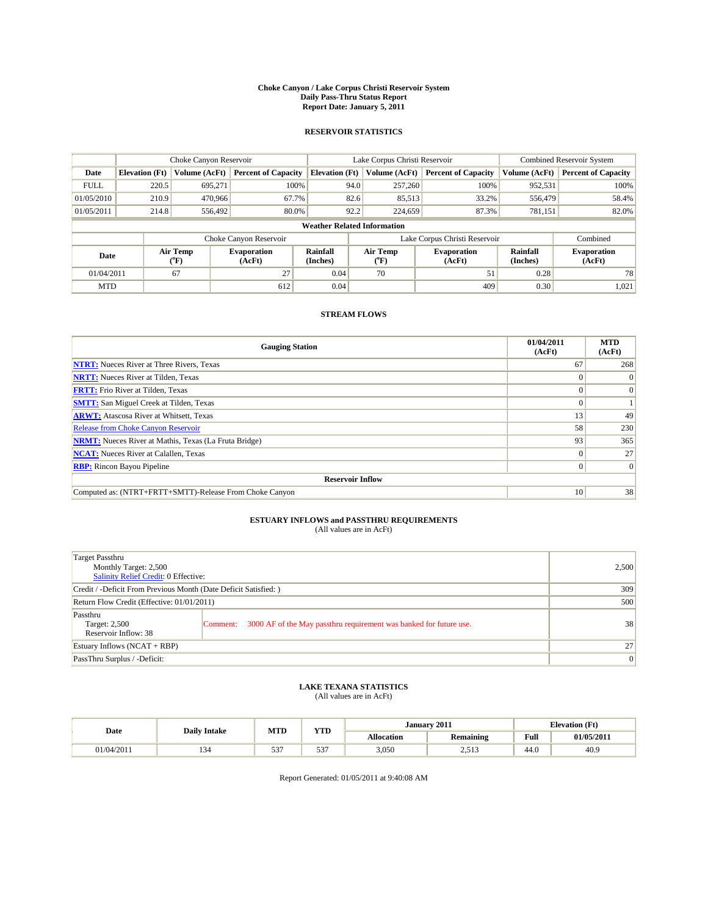#### **Choke Canyon / Lake Corpus Christi Reservoir System Daily Pass-Thru Status Report Report Date: January 5, 2011**

### **RESERVOIR STATISTICS**

|             | Choke Canyon Reservoir             |                  |                              |                       | Lake Corpus Christi Reservoir |                               |                      | <b>Combined Reservoir System</b> |  |
|-------------|------------------------------------|------------------|------------------------------|-----------------------|-------------------------------|-------------------------------|----------------------|----------------------------------|--|
| Date        | <b>Elevation</b> (Ft)              | Volume (AcFt)    | <b>Percent of Capacity</b>   | <b>Elevation</b> (Ft) | Volume (AcFt)                 | <b>Percent of Capacity</b>    | Volume (AcFt)        | <b>Percent of Capacity</b>       |  |
| <b>FULL</b> | 220.5                              | 695,271          | 100%                         | 94.0                  | 257,260                       | 100%                          | 952,531              | 100%                             |  |
| 01/05/2010  | 210.9                              | 470,966          | 67.7%                        | 82.6                  | 85,513                        | 33.2%                         | 556,479              | 58.4%                            |  |
| 01/05/2011  | 214.8                              | 556,492          | 80.0%                        | 92.2                  | 224,659                       | 87.3%                         | 781,151              | 82.0%                            |  |
|             | <b>Weather Related Information</b> |                  |                              |                       |                               |                               |                      |                                  |  |
|             |                                    |                  | Choke Canyon Reservoir       |                       |                               | Lake Corpus Christi Reservoir |                      | Combined                         |  |
| Date        |                                    | Air Temp<br>(°F) | <b>Evaporation</b><br>(AcFt) | Rainfall<br>(Inches)  | Air Temp<br>("F)              | <b>Evaporation</b><br>(AcFt)  | Rainfall<br>(Inches) | <b>Evaporation</b><br>(AcFt)     |  |
| 01/04/2011  |                                    | 67               | 27                           | 0.04                  | 70                            | 51                            | 0.28                 | 78                               |  |
| <b>MTD</b>  |                                    |                  | 612                          | 0.04                  |                               | 409                           | 0.30                 | 1,021                            |  |

## **STREAM FLOWS**

| <b>Gauging Station</b>                                       | 01/04/2011<br>(AcFt) | <b>MTD</b><br>(AcFt) |  |  |  |  |  |
|--------------------------------------------------------------|----------------------|----------------------|--|--|--|--|--|
| <b>NTRT:</b> Nueces River at Three Rivers, Texas             | 67                   | 268                  |  |  |  |  |  |
| <b>NRTT:</b> Nueces River at Tilden, Texas                   |                      | $\Omega$             |  |  |  |  |  |
| <b>FRTT:</b> Frio River at Tilden, Texas                     |                      | $\vert 0 \vert$      |  |  |  |  |  |
| <b>SMTT:</b> San Miguel Creek at Tilden, Texas               |                      |                      |  |  |  |  |  |
| <b>ARWT:</b> Atascosa River at Whitsett, Texas               | 13                   | 49                   |  |  |  |  |  |
| <b>Release from Choke Canyon Reservoir</b>                   | 58                   | 230                  |  |  |  |  |  |
| <b>NRMT:</b> Nueces River at Mathis, Texas (La Fruta Bridge) | 93                   | 365                  |  |  |  |  |  |
| <b>NCAT:</b> Nueces River at Calallen, Texas                 |                      | 27                   |  |  |  |  |  |
| <b>RBP:</b> Rincon Bayou Pipeline                            | 0                    | $\Omega$             |  |  |  |  |  |
| <b>Reservoir Inflow</b>                                      |                      |                      |  |  |  |  |  |
| Computed as: (NTRT+FRTT+SMTT)-Release From Choke Canyon      | 10                   | 38                   |  |  |  |  |  |

# **ESTUARY INFLOWS and PASSTHRU REQUIREMENTS**<br>(All values are in AcFt)

| Target Passthru<br>Monthly Target: 2,500<br><b>Salinity Relief Credit: 0 Effective:</b> |                                                                                | 2,500           |
|-----------------------------------------------------------------------------------------|--------------------------------------------------------------------------------|-----------------|
| Credit / -Deficit From Previous Month (Date Deficit Satisfied: )                        | 309                                                                            |                 |
| Return Flow Credit (Effective: 01/01/2011)                                              | 500                                                                            |                 |
| Passthru<br>Target: 2,500<br>Reservoir Inflow: 38                                       | 3000 AF of the May passthru requirement was banked for future use.<br>Comment: | 38              |
| Estuary Inflows $(NCAT + RBP)$                                                          |                                                                                | 27              |
| PassThru Surplus / -Deficit:                                                            |                                                                                | $\vert 0 \vert$ |

## **LAKE TEXANA STATISTICS** (All values are in AcFt)

|            | <b>Daily Intake</b> | MTD                         | T/TD<br>1 I D       | January 2011 |                   |                                         | <b>Elevation</b> (Ft) |  |
|------------|---------------------|-----------------------------|---------------------|--------------|-------------------|-----------------------------------------|-----------------------|--|
| Date       |                     |                             |                     | Allocation   | Remaining         | Full<br>the contract of the contract of | 01/05/2011            |  |
| 01/04/2011 | . .                 | $\sim$ $\sim$ $\sim$<br>JJ. | $\sim$ $\sim$<br>JJ | 3,050        | 2512<br>ن 1 آب دے | 44.0                                    | 40.9                  |  |

Report Generated: 01/05/2011 at 9:40:08 AM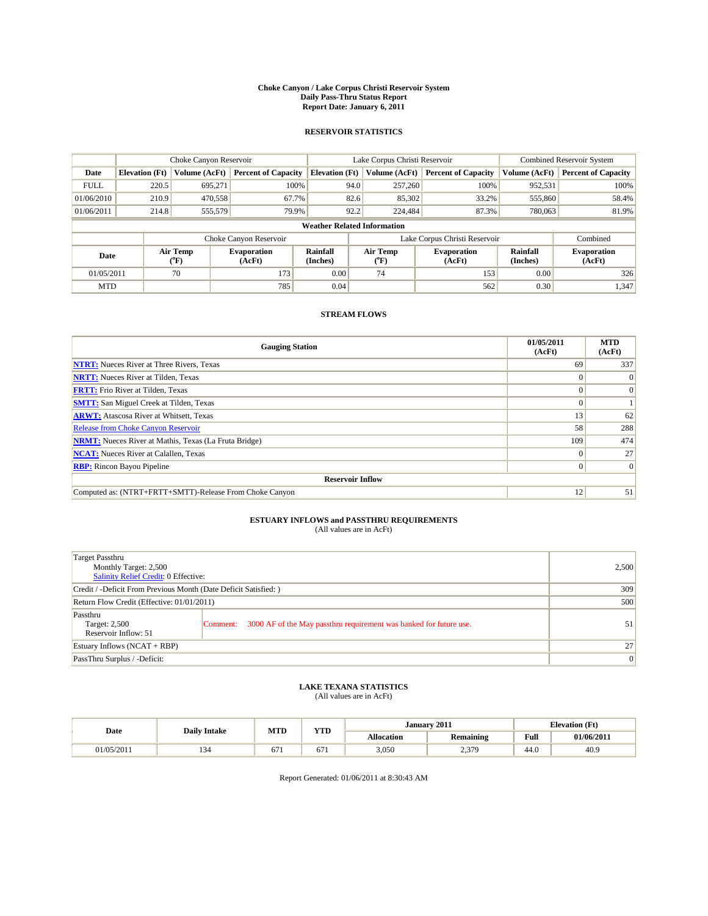#### **Choke Canyon / Lake Corpus Christi Reservoir System Daily Pass-Thru Status Report Report Date: January 6, 2011**

### **RESERVOIR STATISTICS**

|             | Choke Canyon Reservoir             |                                           |                              |                       | Lake Corpus Christi Reservoir | <b>Combined Reservoir System</b> |                      |                              |  |  |
|-------------|------------------------------------|-------------------------------------------|------------------------------|-----------------------|-------------------------------|----------------------------------|----------------------|------------------------------|--|--|
| Date        | <b>Elevation</b> (Ft)              | Volume (AcFt)                             | <b>Percent of Capacity</b>   | <b>Elevation</b> (Ft) | Volume (AcFt)                 | <b>Percent of Capacity</b>       | Volume (AcFt)        | <b>Percent of Capacity</b>   |  |  |
| <b>FULL</b> | 220.5                              | 695.271                                   | 100%                         | 94.0                  | 257,260                       | 100%                             | 952,531              | 100%                         |  |  |
| 01/06/2010  | 210.9                              | 470,558                                   | 67.7%                        | 82.6                  | 85,302                        | 33.2%                            | 555,860              | 58.4%                        |  |  |
| 01/06/2011  | 214.8                              | 555,579                                   | 79.9%                        | 92.2                  | 224,484                       | 87.3%                            | 780,063              | 81.9%                        |  |  |
|             | <b>Weather Related Information</b> |                                           |                              |                       |                               |                                  |                      |                              |  |  |
|             |                                    |                                           | Choke Canyon Reservoir       |                       |                               | Lake Corpus Christi Reservoir    |                      | Combined                     |  |  |
| Date        |                                    | Air Temp<br>$({}^{\mathrm{o}}\mathrm{F})$ | <b>Evaporation</b><br>(AcFt) | Rainfall<br>(Inches)  | Air Temp<br>(°F)              | <b>Evaporation</b><br>(AcFt)     | Rainfall<br>(Inches) | <b>Evaporation</b><br>(AcFt) |  |  |
| 01/05/2011  |                                    | 70                                        | 173                          | 0.00                  | 74                            | 153                              | 0.00                 | 326                          |  |  |
| <b>MTD</b>  |                                    |                                           | 785                          | 0.04                  |                               | 562                              | 0.30                 | 1,347                        |  |  |

## **STREAM FLOWS**

| <b>Gauging Station</b>                                       | 01/05/2011<br>(AcFt) | <b>MTD</b><br>(AcFt) |
|--------------------------------------------------------------|----------------------|----------------------|
| <b>NTRT:</b> Nueces River at Three Rivers, Texas             | 69                   | 337                  |
| <b>NRTT:</b> Nueces River at Tilden, Texas                   | $\Omega$             | $\theta$             |
| <b>FRTT:</b> Frio River at Tilden, Texas                     |                      | $\Omega$             |
| <b>SMTT:</b> San Miguel Creek at Tilden, Texas               |                      |                      |
| <b>ARWT:</b> Atascosa River at Whitsett, Texas               | 13                   | 62                   |
| Release from Choke Canyon Reservoir                          | 58                   | 288                  |
| <b>NRMT:</b> Nueces River at Mathis, Texas (La Fruta Bridge) | 109                  | 474                  |
| <b>NCAT:</b> Nueces River at Calallen, Texas                 | 0                    | 27                   |
| <b>RBP:</b> Rincon Bayou Pipeline                            | $\Omega$             | $\Omega$             |
| <b>Reservoir Inflow</b>                                      |                      |                      |
| Computed as: (NTRT+FRTT+SMTT)-Release From Choke Canyon      | 12                   | 51                   |

# **ESTUARY INFLOWS and PASSTHRU REQUIREMENTS**<br>(All values are in AcFt)

| Target Passthru<br>Monthly Target: 2,500<br>Salinity Relief Credit: 0 Effective: |                                                                                | 2,500 |
|----------------------------------------------------------------------------------|--------------------------------------------------------------------------------|-------|
| Credit / -Deficit From Previous Month (Date Deficit Satisfied: )                 | 309                                                                            |       |
| Return Flow Credit (Effective: 01/01/2011)                                       | 500                                                                            |       |
| Passthru<br>Target: 2,500<br>Reservoir Inflow: 51                                | 3000 AF of the May passthru requirement was banked for future use.<br>Comment: | 51    |
| Estuary Inflows (NCAT + RBP)                                                     | 27                                                                             |       |
| PassThru Surplus / -Deficit:                                                     | $\vert 0 \vert$                                                                |       |

## **LAKE TEXANA STATISTICS** (All values are in AcFt)

|            | <b>Daily Intake</b> | MTD | <b>TIMP</b><br>1 I.D | 2011<br><b>Elevation</b> (Ft)<br><b>January</b> |                  |      |            |
|------------|---------------------|-----|----------------------|-------------------------------------------------|------------------|------|------------|
| Date       |                     |     |                      | Allocation                                      | <b>Remaining</b> | Full | 01/06/2011 |
| 01/05/2011 |                     | 0/1 | 0/1                  | 3,050                                           | 2.379<br>ن الي ک | 44.0 | 40.9       |

Report Generated: 01/06/2011 at 8:30:43 AM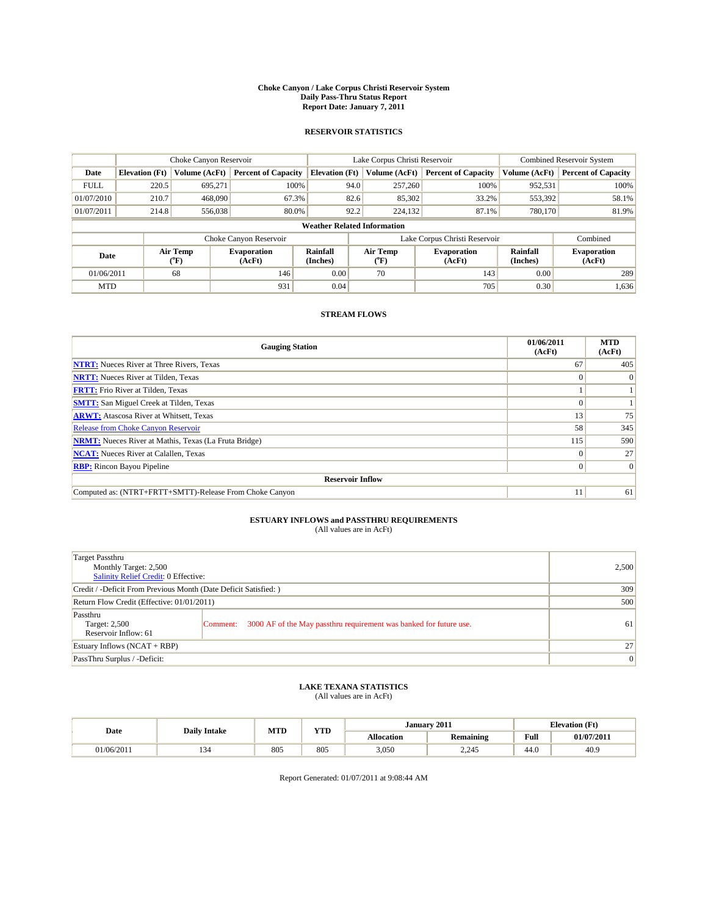#### **Choke Canyon / Lake Corpus Christi Reservoir System Daily Pass-Thru Status Report Report Date: January 7, 2011**

### **RESERVOIR STATISTICS**

|             | Choke Canyon Reservoir             |                                           |                              |                       | Lake Corpus Christi Reservoir | <b>Combined Reservoir System</b> |                      |                              |  |  |
|-------------|------------------------------------|-------------------------------------------|------------------------------|-----------------------|-------------------------------|----------------------------------|----------------------|------------------------------|--|--|
| Date        | <b>Elevation</b> (Ft)              | Volume (AcFt)                             | <b>Percent of Capacity</b>   | <b>Elevation</b> (Ft) | Volume (AcFt)                 | <b>Percent of Capacity</b>       | Volume (AcFt)        | <b>Percent of Capacity</b>   |  |  |
| <b>FULL</b> | 220.5                              | 695.271                                   | 100%                         | 94.0                  | 257,260                       | 100%                             | 952,531              | 100%                         |  |  |
| 01/07/2010  | 210.7                              | 468,090                                   | 67.3%                        | 82.6                  | 85,302                        | 33.2%                            | 553,392              | 58.1%                        |  |  |
| 01/07/2011  | 214.8                              | 556,038                                   | 80.0%                        | 92.2                  | 224,132                       | 87.1%                            | 780,170              | 81.9%                        |  |  |
|             | <b>Weather Related Information</b> |                                           |                              |                       |                               |                                  |                      |                              |  |  |
|             |                                    |                                           | Choke Canyon Reservoir       |                       |                               | Lake Corpus Christi Reservoir    |                      | Combined                     |  |  |
| Date        |                                    | Air Temp<br>$({}^{\mathrm{o}}\mathrm{F})$ | <b>Evaporation</b><br>(AcFt) | Rainfall<br>(Inches)  | Air Temp<br>(°F)              | <b>Evaporation</b><br>(AcFt)     | Rainfall<br>(Inches) | <b>Evaporation</b><br>(AcFt) |  |  |
| 01/06/2011  |                                    | 68                                        | 146                          | 0.00                  | 70                            | 143                              | 0.00                 | 289                          |  |  |
| <b>MTD</b>  |                                    |                                           | 931                          | 0.04                  |                               | 705                              | 0.30                 | 1,636                        |  |  |

## **STREAM FLOWS**

| <b>Gauging Station</b>                                       | 01/06/2011<br>(AcFt) | <b>MTD</b><br>(AcFt) |
|--------------------------------------------------------------|----------------------|----------------------|
| <b>NTRT:</b> Nueces River at Three Rivers, Texas             | 67                   | 405                  |
| <b>NRTT:</b> Nueces River at Tilden, Texas                   | $\theta$             |                      |
| <b>FRTT:</b> Frio River at Tilden, Texas                     |                      |                      |
| <b>SMTT:</b> San Miguel Creek at Tilden, Texas               |                      |                      |
| <b>ARWT:</b> Atascosa River at Whitsett, Texas               | 13                   | 75                   |
| <b>Release from Choke Canyon Reservoir</b>                   | 58                   | 345                  |
| <b>NRMT:</b> Nueces River at Mathis, Texas (La Fruta Bridge) | 115                  | 590                  |
| <b>NCAT:</b> Nueces River at Calallen, Texas                 | $\Omega$             | 27                   |
| <b>RBP:</b> Rincon Bayou Pipeline                            | $\Omega$             | $\Omega$             |
| <b>Reservoir Inflow</b>                                      |                      |                      |
| Computed as: (NTRT+FRTT+SMTT)-Release From Choke Canyon      | 11                   | 61                   |

# **ESTUARY INFLOWS and PASSTHRU REQUIREMENTS**<br>(All values are in AcFt)

| Target Passthru<br>Monthly Target: 2,500<br>Salinity Relief Credit: 0 Effective: |                                                                                | 2,500           |
|----------------------------------------------------------------------------------|--------------------------------------------------------------------------------|-----------------|
| Credit / -Deficit From Previous Month (Date Deficit Satisfied: )                 | 309                                                                            |                 |
| Return Flow Credit (Effective: 01/01/2011)                                       | 500                                                                            |                 |
| Passthru<br>Target: 2,500<br>Reservoir Inflow: 61                                | 3000 AF of the May passthru requirement was banked for future use.<br>Comment: | 61              |
| Estuary Inflows (NCAT + RBP)                                                     |                                                                                | 27              |
| PassThru Surplus / -Deficit:                                                     |                                                                                | $\vert 0 \vert$ |

## **LAKE TEXANA STATISTICS** (All values are in AcFt)

|            |                     | MTD | <b>TIMP</b><br>1 I.D | January 2011 |                  |                                         | <b>Elevation</b> (Ft) |
|------------|---------------------|-----|----------------------|--------------|------------------|-----------------------------------------|-----------------------|
| Date       | <b>Daily Intake</b> |     |                      | Allocation   | <b>Remaining</b> | Full<br>the contract of the contract of | 01/07/2011            |
| 01/06/2011 | 154                 | 805 | 805                  | 3,050        | 2.245            | 44.0                                    | 40.9                  |

Report Generated: 01/07/2011 at 9:08:44 AM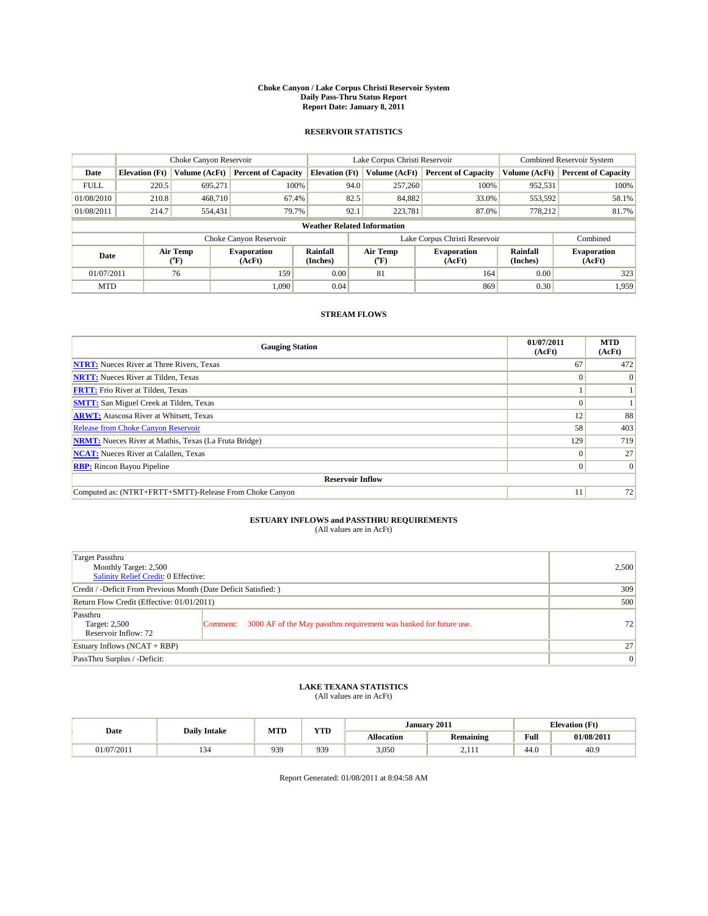#### **Choke Canyon / Lake Corpus Christi Reservoir System Daily Pass-Thru Status Report Report Date: January 8, 2011**

### **RESERVOIR STATISTICS**

|             | Choke Canyon Reservoir             |                  |                              |                             | Lake Corpus Christi Reservoir | <b>Combined Reservoir System</b> |                      |                              |  |
|-------------|------------------------------------|------------------|------------------------------|-----------------------------|-------------------------------|----------------------------------|----------------------|------------------------------|--|
| Date        | <b>Elevation</b> (Ft)              | Volume (AcFt)    | <b>Percent of Capacity</b>   | <b>Elevation</b> (Ft)       | Volume (AcFt)                 | <b>Percent of Capacity</b>       | Volume (AcFt)        | <b>Percent of Capacity</b>   |  |
| <b>FULL</b> | 220.5                              | 695,271          | 100%                         | 94.0                        | 257,260                       | 100%                             | 952,531              | 100%                         |  |
| 01/08/2010  | 210.8                              | 468,710          | 67.4%                        | 82.5                        | 84,882                        | 33.0%                            | 553,592              | 58.1%                        |  |
| 01/08/2011  | 214.7                              | 554,431          | 79.7%                        | 92.1                        | 223.781                       | 87.0%                            | 778,212              | 81.7%                        |  |
|             | <b>Weather Related Information</b> |                  |                              |                             |                               |                                  |                      |                              |  |
|             |                                    |                  | Choke Canyon Reservoir       |                             |                               | Lake Corpus Christi Reservoir    |                      | Combined                     |  |
| Date        |                                    | Air Temp<br>(°F) | <b>Evaporation</b><br>(AcFt) | <b>Rainfall</b><br>(Inches) | Air Temp<br>(°F)              | <b>Evaporation</b><br>(AcFt)     | Rainfall<br>(Inches) | <b>Evaporation</b><br>(AcFt) |  |
| 01/07/2011  |                                    | 76               | 159                          | 0.00                        | 81                            | 164                              | 0.00                 | 323                          |  |
| <b>MTD</b>  |                                    |                  | 1.090                        | 0.04                        |                               | 869                              | 0.30                 | 1.959                        |  |

## **STREAM FLOWS**

| <b>Gauging Station</b>                                       | 01/07/2011<br>(AcFt) | <b>MTD</b><br>(AcFt) |
|--------------------------------------------------------------|----------------------|----------------------|
| <b>NTRT:</b> Nueces River at Three Rivers, Texas             | 67                   | 472                  |
| <b>NRTT:</b> Nueces River at Tilden, Texas                   |                      | $\Omega$             |
| <b>FRTT:</b> Frio River at Tilden, Texas                     |                      |                      |
| <b>SMTT:</b> San Miguel Creek at Tilden, Texas               |                      |                      |
| <b>ARWT:</b> Atascosa River at Whitsett, Texas               | 12                   | 88                   |
| <b>Release from Choke Canyon Reservoir</b>                   | 58                   | 403                  |
| <b>NRMT:</b> Nueces River at Mathis, Texas (La Fruta Bridge) | 129                  | 719                  |
| <b>NCAT:</b> Nueces River at Calallen, Texas                 |                      | 27                   |
| <b>RBP:</b> Rincon Bayou Pipeline                            | 0                    | $\vert 0 \vert$      |
| <b>Reservoir Inflow</b>                                      |                      |                      |
| Computed as: (NTRT+FRTT+SMTT)-Release From Choke Canyon      |                      | 72                   |

# **ESTUARY INFLOWS and PASSTHRU REQUIREMENTS**<br>(All values are in AcFt)

| Target Passthru<br>Monthly Target: 2,500<br>Salinity Relief Credit: 0 Effective: |                                                                                | 2,500           |
|----------------------------------------------------------------------------------|--------------------------------------------------------------------------------|-----------------|
| Credit / -Deficit From Previous Month (Date Deficit Satisfied: )                 | 309                                                                            |                 |
| Return Flow Credit (Effective: 01/01/2011)                                       | 500                                                                            |                 |
| Passthru<br>Target: 2,500<br>Reservoir Inflow: 72                                | 3000 AF of the May passthru requirement was banked for future use.<br>Comment: | 72              |
| Estuary Inflows (NCAT + RBP)                                                     |                                                                                | 27              |
| PassThru Surplus / -Deficit:                                                     |                                                                                | $\vert 0 \vert$ |

# **LAKE TEXANA STATISTICS** (All values are in AcFt)

|            | <b>Daily Intake</b> | MTD | T/TD<br>1 I D | January 2011 |                  |                                         | <b>Elevation</b> (Ft) |
|------------|---------------------|-----|---------------|--------------|------------------|-----------------------------------------|-----------------------|
| Date       |                     |     |               | Allocation   | <b>Remaining</b> | Full<br>the contract of the contract of | 01/08/2011            |
| 01/07/2011 | . .                 | 939 | 939           | 3,050        | $-111$           | 44.0                                    | 40.9                  |

Report Generated: 01/08/2011 at 8:04:58 AM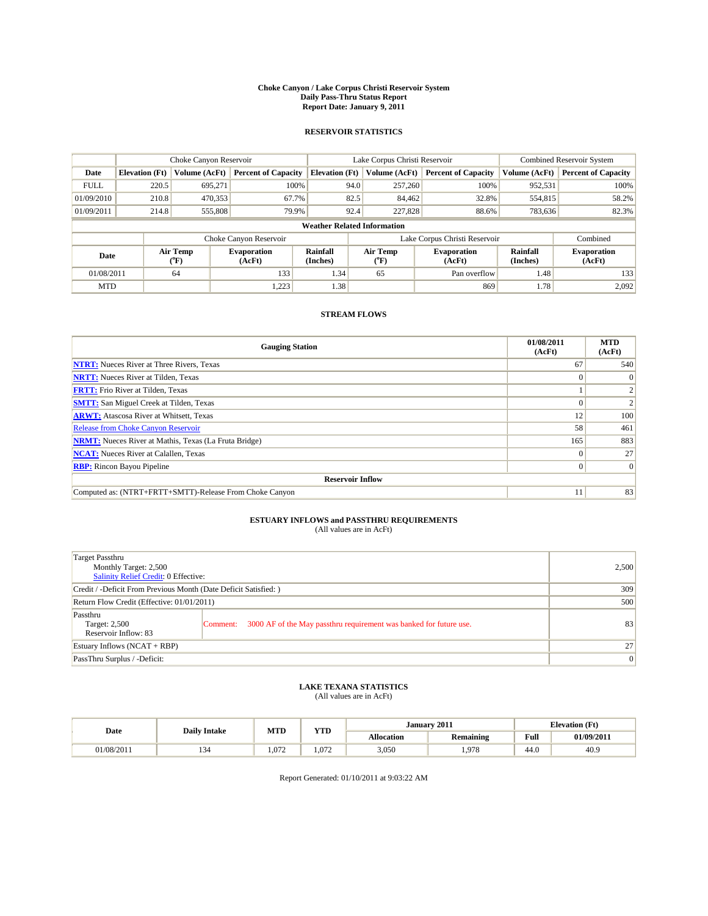#### **Choke Canyon / Lake Corpus Christi Reservoir System Daily Pass-Thru Status Report Report Date: January 9, 2011**

### **RESERVOIR STATISTICS**

|             | Choke Canyon Reservoir             |                  |                              |                       | Lake Corpus Christi Reservoir | <b>Combined Reservoir System</b> |                      |                              |  |  |
|-------------|------------------------------------|------------------|------------------------------|-----------------------|-------------------------------|----------------------------------|----------------------|------------------------------|--|--|
| Date        | <b>Elevation</b> (Ft)              | Volume (AcFt)    | <b>Percent of Capacity</b>   | <b>Elevation</b> (Ft) | Volume (AcFt)                 | <b>Percent of Capacity</b>       | Volume (AcFt)        | <b>Percent of Capacity</b>   |  |  |
| <b>FULL</b> | 220.5                              | 695,271          | 100%                         | 94.0                  | 257,260                       | 100%                             | 952,531              | 100%                         |  |  |
| 01/09/2010  | 210.8                              | 470,353          | 67.7%                        | 82.5                  | 84,462                        | 32.8%                            | 554,815              | 58.2%                        |  |  |
| 01/09/2011  | 214.8                              | 555,808          | 79.9%                        | 92.4                  | 227,828                       | 88.6%                            | 783,636              | 82.3%                        |  |  |
|             | <b>Weather Related Information</b> |                  |                              |                       |                               |                                  |                      |                              |  |  |
|             |                                    |                  | Choke Canyon Reservoir       |                       |                               | Lake Corpus Christi Reservoir    |                      | Combined                     |  |  |
| Date        |                                    | Air Temp<br>(°F) | <b>Evaporation</b><br>(AcFt) | Rainfall<br>(Inches)  | Air Temp<br>("F)              | <b>Evaporation</b><br>(AcFt)     | Rainfall<br>(Inches) | <b>Evaporation</b><br>(AcFt) |  |  |
| 01/08/2011  |                                    | 64               | 133                          | 1.34                  | 65                            | Pan overflow                     | 1.48                 | 133                          |  |  |
| <b>MTD</b>  |                                    |                  | 1,223                        | 1.38                  |                               | 869                              | 1.78                 | 2.092                        |  |  |

## **STREAM FLOWS**

| <b>Gauging Station</b>                                       | 01/08/2011<br>(AcFt) | <b>MTD</b><br>(AcFt) |
|--------------------------------------------------------------|----------------------|----------------------|
| <b>NTRT:</b> Nueces River at Three Rivers, Texas             | 67                   | 540                  |
| <b>NRTT:</b> Nueces River at Tilden, Texas                   | $\Omega$             | $\Omega$             |
| <b>FRTT:</b> Frio River at Tilden, Texas                     |                      |                      |
| <b>SMTT:</b> San Miguel Creek at Tilden, Texas               |                      |                      |
| <b>ARWT:</b> Atascosa River at Whitsett, Texas               | 12                   | 100                  |
| <b>Release from Choke Canyon Reservoir</b>                   | 58                   | 461                  |
| <b>NRMT:</b> Nueces River at Mathis, Texas (La Fruta Bridge) | 165                  | 883                  |
| <b>NCAT:</b> Nueces River at Calallen, Texas                 | $\Omega$             | 27                   |
| <b>RBP:</b> Rincon Bayou Pipeline                            | $\overline{0}$       | $\Omega$             |
| <b>Reservoir Inflow</b>                                      |                      |                      |
| Computed as: (NTRT+FRTT+SMTT)-Release From Choke Canyon      | 11                   | 83                   |

# **ESTUARY INFLOWS and PASSTHRU REQUIREMENTS**<br>(All values are in AcFt)

| Target Passthru<br>Monthly Target: 2,500<br>Salinity Relief Credit: 0 Effective: |                                                                                | 2,500 |
|----------------------------------------------------------------------------------|--------------------------------------------------------------------------------|-------|
| Credit / -Deficit From Previous Month (Date Deficit Satisfied: )                 | 309                                                                            |       |
| Return Flow Credit (Effective: 01/01/2011)                                       | 500                                                                            |       |
| Passthru<br>Target: 2,500<br>Reservoir Inflow: 83                                | 3000 AF of the May passthru requirement was banked for future use.<br>Comment: | 83    |
| Estuary Inflows (NCAT + RBP)                                                     |                                                                                | 27    |
| PassThru Surplus / -Deficit:                                                     | $\vert 0 \vert$                                                                |       |

## **LAKE TEXANA STATISTICS** (All values are in AcFt)

|            | <b>Daily Intake</b> | MTD   | <b>XZOD</b><br>1 I.D | January 2011<br><b>Elevation</b> (Ft) |                  |                                         |            |
|------------|---------------------|-------|----------------------|---------------------------------------|------------------|-----------------------------------------|------------|
| Date       |                     |       |                      | <b>Allocation</b>                     | <b>Remaining</b> | Full<br>the contract of the contract of | 01/09/2011 |
| 01/08/2011 |                     | 1.072 | .072                 | 3,050                                 | 1.978            | 44.C                                    | 40.9       |

Report Generated: 01/10/2011 at 9:03:22 AM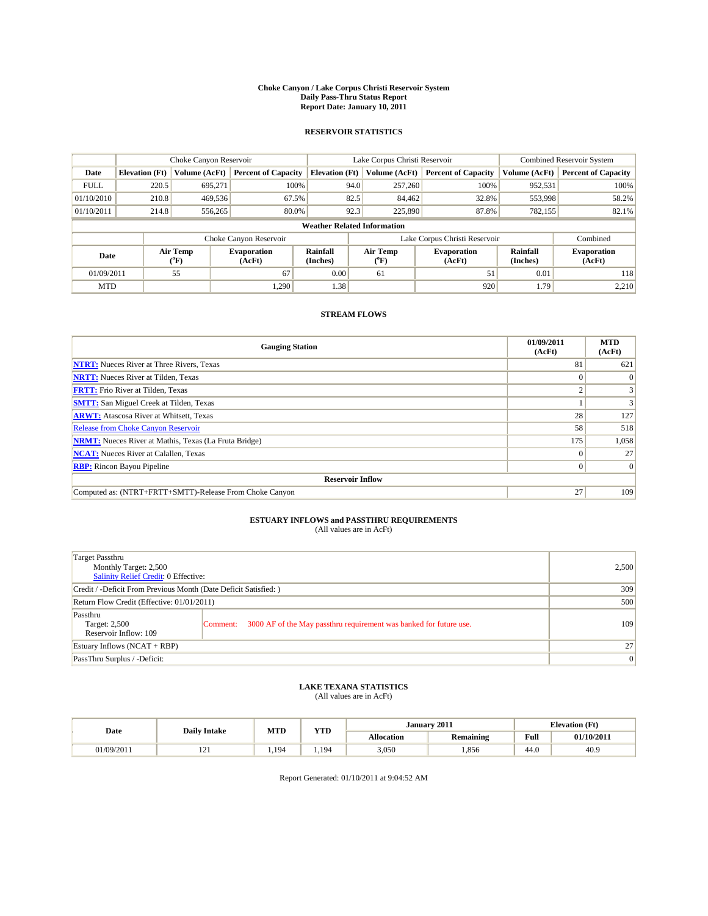#### **Choke Canyon / Lake Corpus Christi Reservoir System Daily Pass-Thru Status Report Report Date: January 10, 2011**

### **RESERVOIR STATISTICS**

|             | Choke Canyon Reservoir             |                                           |                              |                       | Lake Corpus Christi Reservoir  | <b>Combined Reservoir System</b> |                      |                              |  |  |
|-------------|------------------------------------|-------------------------------------------|------------------------------|-----------------------|--------------------------------|----------------------------------|----------------------|------------------------------|--|--|
| Date        | <b>Elevation</b> (Ft)              | Volume (AcFt)                             | <b>Percent of Capacity</b>   | <b>Elevation</b> (Ft) | Volume (AcFt)                  | <b>Percent of Capacity</b>       | Volume (AcFt)        | <b>Percent of Capacity</b>   |  |  |
| <b>FULL</b> | 220.5                              | 695.271                                   | 100%                         | 94.0                  | 257,260                        | 100%                             | 952,531              | 100%                         |  |  |
| 01/10/2010  | 210.8                              | 469,536                                   | 67.5%                        | 82.5                  | 84,462                         | 32.8%                            | 553,998              | 58.2%                        |  |  |
| 01/10/2011  | 214.8                              | 556,265                                   | 80.0%                        | 92.3                  | 225,890                        | 87.8%                            | 782,155              | 82.1%                        |  |  |
|             | <b>Weather Related Information</b> |                                           |                              |                       |                                |                                  |                      |                              |  |  |
|             |                                    |                                           | Choke Canyon Reservoir       |                       | Lake Corpus Christi Reservoir  |                                  |                      | Combined                     |  |  |
| Date        |                                    | Air Temp<br>$({}^{\mathrm{o}}\mathrm{F})$ | <b>Evaporation</b><br>(AcFt) | Rainfall<br>(Inches)  | Air Temp<br>$({}^o\mathrm{F})$ | <b>Evaporation</b><br>(AcFt)     | Rainfall<br>(Inches) | <b>Evaporation</b><br>(AcFt) |  |  |
| 01/09/2011  |                                    | 55                                        | 67                           | 0.00                  | 61                             | 51                               | 0.01                 | 118                          |  |  |
| <b>MTD</b>  |                                    |                                           | 1.290                        | 1.38                  |                                | 920                              | 1.79                 | 2.210                        |  |  |

## **STREAM FLOWS**

| <b>Gauging Station</b>                                       | 01/09/2011<br>(AcFt) | <b>MTD</b><br>(AcFt) |
|--------------------------------------------------------------|----------------------|----------------------|
| <b>NTRT:</b> Nueces River at Three Rivers, Texas             | 81                   | 621                  |
| <b>NRTT:</b> Nueces River at Tilden, Texas                   | $\theta$             |                      |
| <b>FRTT:</b> Frio River at Tilden, Texas                     | $\sim$               |                      |
| <b>SMTT:</b> San Miguel Creek at Tilden, Texas               |                      |                      |
| <b>ARWT:</b> Atascosa River at Whitsett, Texas               | 28                   | 127                  |
| <b>Release from Choke Canyon Reservoir</b>                   | 58                   | 518                  |
| <b>NRMT:</b> Nueces River at Mathis, Texas (La Fruta Bridge) | 175                  | 1,058                |
| <b>NCAT:</b> Nueces River at Calallen, Texas                 | $\Omega$             | 27                   |
| <b>RBP:</b> Rincon Bayou Pipeline                            | $\overline{0}$       | $\Omega$             |
| <b>Reservoir Inflow</b>                                      |                      |                      |
| Computed as: (NTRT+FRTT+SMTT)-Release From Choke Canyon      | 27                   | 109                  |

# **ESTUARY INFLOWS and PASSTHRU REQUIREMENTS**<br>(All values are in AcFt)

| Target Passthru<br>Monthly Target: 2,500<br>Salinity Relief Credit: 0 Effective: |                                                                                | 2,500 |
|----------------------------------------------------------------------------------|--------------------------------------------------------------------------------|-------|
| Credit / -Deficit From Previous Month (Date Deficit Satisfied: )                 | 309                                                                            |       |
| Return Flow Credit (Effective: 01/01/2011)                                       | 500                                                                            |       |
| Passthru<br>Target: 2,500<br>Reservoir Inflow: 109                               | 3000 AF of the May passthru requirement was banked for future use.<br>Comment: | 109   |
| Estuary Inflows (NCAT + RBP)                                                     |                                                                                | 27    |
| PassThru Surplus / -Deficit:                                                     | $\vert 0 \vert$                                                                |       |

## **LAKE TEXANA STATISTICS** (All values are in AcFt)

|            | <b>Daily Intake</b> | <b>MTD</b> | <b>YTD</b> |                   | January 2011     | <b>Elevation</b> (Ft) |                          |
|------------|---------------------|------------|------------|-------------------|------------------|-----------------------|--------------------------|
| Date       |                     |            |            | <b>Allocation</b> | <b>Remaining</b> | Full                  | $01/10/201$ <sup>*</sup> |
| 01/09/2011 | 1/1                 | 1.194      | 19/        | 3,050             | 1.856            | 44.0                  | 40.9                     |

Report Generated: 01/10/2011 at 9:04:52 AM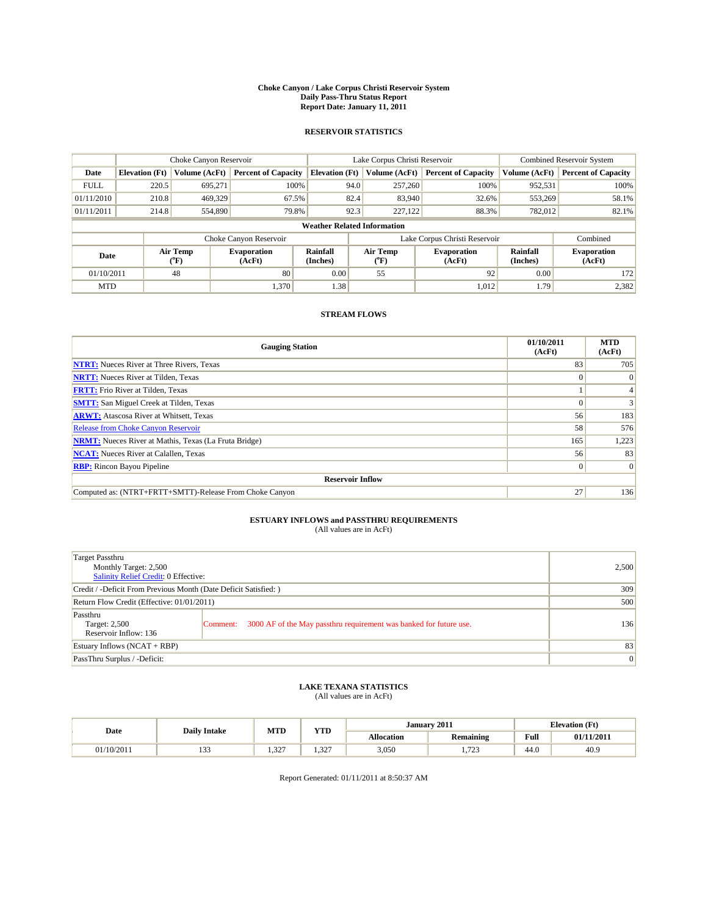#### **Choke Canyon / Lake Corpus Christi Reservoir System Daily Pass-Thru Status Report Report Date: January 11, 2011**

### **RESERVOIR STATISTICS**

|             | Choke Canyon Reservoir             |                  |                              |                             | Lake Corpus Christi Reservoir | <b>Combined Reservoir System</b> |                      |                              |  |  |
|-------------|------------------------------------|------------------|------------------------------|-----------------------------|-------------------------------|----------------------------------|----------------------|------------------------------|--|--|
| Date        | <b>Elevation</b> (Ft)              | Volume (AcFt)    | <b>Percent of Capacity</b>   | <b>Elevation</b> (Ft)       | Volume (AcFt)                 | <b>Percent of Capacity</b>       | Volume (AcFt)        | <b>Percent of Capacity</b>   |  |  |
| <b>FULL</b> | 220.5                              | 695,271          | 100%                         | 94.0                        | 257,260                       | 100%                             | 952,531              | 100%                         |  |  |
| 01/11/2010  | 210.8                              | 469,329          | 67.5%                        | 82.4                        | 83,940                        | 32.6%                            | 553,269              | 58.1%                        |  |  |
| 01/11/2011  | 214.8                              | 554,890          | 79.8%                        | 92.3                        | 227,122                       | 88.3%                            | 782,012              | 82.1%                        |  |  |
|             | <b>Weather Related Information</b> |                  |                              |                             |                               |                                  |                      |                              |  |  |
|             |                                    |                  | Choke Canyon Reservoir       |                             | Lake Corpus Christi Reservoir |                                  |                      | Combined                     |  |  |
| Date        |                                    | Air Temp<br>(°F) | <b>Evaporation</b><br>(AcFt) | <b>Rainfall</b><br>(Inches) | Air Temp<br>(°F)              | <b>Evaporation</b><br>(AcFt)     | Rainfall<br>(Inches) | <b>Evaporation</b><br>(AcFt) |  |  |
| 01/10/2011  |                                    | 48               | 80                           | 0.00                        | 55                            | 92                               | 0.00                 | 172                          |  |  |
| <b>MTD</b>  |                                    |                  | 1,370                        | 1.38                        |                               | 1,012                            | 1.79                 | 2,382                        |  |  |

## **STREAM FLOWS**

| <b>Gauging Station</b>                                       | 01/10/2011<br>(AcFt) | <b>MTD</b><br>(AcFt) |
|--------------------------------------------------------------|----------------------|----------------------|
| <b>NTRT:</b> Nueces River at Three Rivers, Texas             | 83                   | 705                  |
| <b>NRTT:</b> Nueces River at Tilden, Texas                   | $\Omega$             |                      |
| <b>FRTT:</b> Frio River at Tilden, Texas                     |                      |                      |
| <b>SMTT:</b> San Miguel Creek at Tilden, Texas               |                      |                      |
| <b>ARWT:</b> Atascosa River at Whitsett, Texas               | 56                   | 183                  |
| <b>Release from Choke Canyon Reservoir</b>                   | 58                   | 576                  |
| <b>NRMT:</b> Nueces River at Mathis, Texas (La Fruta Bridge) | 165                  | 1,223                |
| <b>NCAT:</b> Nueces River at Calallen, Texas                 | 56                   | 83                   |
| <b>RBP:</b> Rincon Bayou Pipeline                            | $\overline{0}$       | $\Omega$             |
| <b>Reservoir Inflow</b>                                      |                      |                      |
| Computed as: (NTRT+FRTT+SMTT)-Release From Choke Canyon      | 27                   | 136                  |

# **ESTUARY INFLOWS and PASSTHRU REQUIREMENTS**<br>(All values are in AcFt)

| Target Passthru<br>Monthly Target: 2,500<br>Salinity Relief Credit: 0 Effective: |                                                                                | 2,500 |
|----------------------------------------------------------------------------------|--------------------------------------------------------------------------------|-------|
| Credit / -Deficit From Previous Month (Date Deficit Satisfied: )                 | 309                                                                            |       |
| Return Flow Credit (Effective: 01/01/2011)                                       | 500                                                                            |       |
| Passthru<br>Target: 2,500<br>Reservoir Inflow: 136                               | 3000 AF of the May passthru requirement was banked for future use.<br>Comment: | 136   |
| Estuary Inflows (NCAT + RBP)                                                     |                                                                                | 83    |
| PassThru Surplus / -Deficit:                                                     | 0                                                                              |       |

## **LAKE TEXANA STATISTICS** (All values are in AcFt)

|            | <b>Daily Intake</b> | MTD             | <b>XZOD</b><br>1 I.D | January 2011<br><b>Elevation</b> (Ft) |                  |                                         |            |
|------------|---------------------|-----------------|----------------------|---------------------------------------|------------------|-----------------------------------------|------------|
| Date       |                     |                 |                      | <b>Allocation</b>                     | <b>Remaining</b> | Full<br>the contract of the contract of | 01/11/2011 |
| 01/10/2011 | $\sim$<br>.         | $\sim$<br>ے د.ء | .327                 | 3,050                                 | 722<br>ر ب       | 44.0                                    | 40.9       |

Report Generated: 01/11/2011 at 8:50:37 AM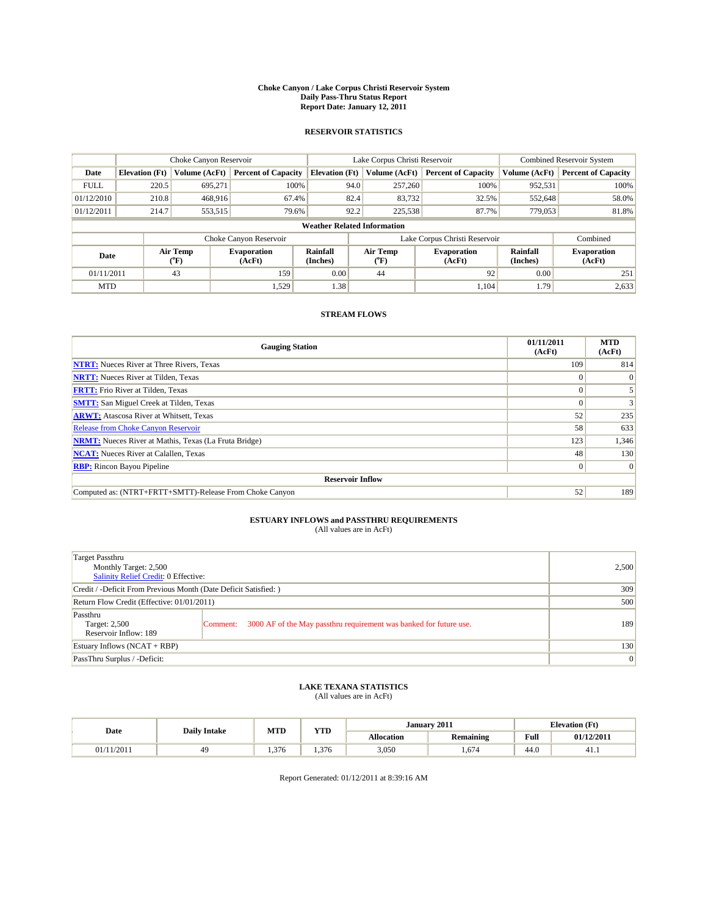#### **Choke Canyon / Lake Corpus Christi Reservoir System Daily Pass-Thru Status Report Report Date: January 12, 2011**

### **RESERVOIR STATISTICS**

|             | Choke Canyon Reservoir             |                  |                              |                             | Lake Corpus Christi Reservoir | <b>Combined Reservoir System</b> |                      |                              |  |  |
|-------------|------------------------------------|------------------|------------------------------|-----------------------------|-------------------------------|----------------------------------|----------------------|------------------------------|--|--|
| Date        | <b>Elevation</b> (Ft)              | Volume (AcFt)    | <b>Percent of Capacity</b>   | <b>Elevation</b> (Ft)       | Volume (AcFt)                 | <b>Percent of Capacity</b>       | Volume (AcFt)        | <b>Percent of Capacity</b>   |  |  |
| <b>FULL</b> | 220.5                              | 695,271          | 100%                         | 94.0                        | 257,260                       | 100%                             | 952,531              | 100%                         |  |  |
| 01/12/2010  | 210.8                              | 468,916          | 67.4%                        | 82.4                        | 83,732                        | 32.5%                            | 552,648              | 58.0%                        |  |  |
| 01/12/2011  | 214.7                              | 553,515          | 79.6%                        | 92.2                        | 225,538                       | 87.7%                            | 779,053              | 81.8%                        |  |  |
|             | <b>Weather Related Information</b> |                  |                              |                             |                               |                                  |                      |                              |  |  |
|             |                                    |                  | Choke Canyon Reservoir       |                             | Lake Corpus Christi Reservoir |                                  |                      | Combined                     |  |  |
| Date        |                                    | Air Temp<br>(°F) | <b>Evaporation</b><br>(AcFt) | <b>Rainfall</b><br>(Inches) | Air Temp<br>(°F)              | <b>Evaporation</b><br>(AcFt)     | Rainfall<br>(Inches) | <b>Evaporation</b><br>(AcFt) |  |  |
| 01/11/2011  |                                    | 43               | 159                          | 0.00                        | 44                            | 92                               | 0.00                 | 251                          |  |  |
| <b>MTD</b>  |                                    |                  | 1,529                        | 1.38                        |                               | 1.104                            | 1.79                 | 2,633                        |  |  |

## **STREAM FLOWS**

| <b>Gauging Station</b>                                       | 01/11/2011<br>(AcFt) | <b>MTD</b><br>(AcFt) |
|--------------------------------------------------------------|----------------------|----------------------|
| <b>NTRT:</b> Nueces River at Three Rivers, Texas             | 109                  | 814                  |
| <b>NRTT:</b> Nueces River at Tilden, Texas                   | $\theta$             |                      |
| <b>FRTT:</b> Frio River at Tilden, Texas                     |                      |                      |
| <b>SMTT:</b> San Miguel Creek at Tilden, Texas               |                      |                      |
| <b>ARWT:</b> Atascosa River at Whitsett, Texas               | 52                   | 235                  |
| <b>Release from Choke Canyon Reservoir</b>                   | 58                   | 633                  |
| <b>NRMT:</b> Nueces River at Mathis, Texas (La Fruta Bridge) | 123                  | 1,346                |
| <b>NCAT:</b> Nueces River at Calallen, Texas                 | 48                   | 130                  |
| <b>RBP:</b> Rincon Bayou Pipeline                            | $\overline{0}$       | $\Omega$             |
| <b>Reservoir Inflow</b>                                      |                      |                      |
| Computed as: (NTRT+FRTT+SMTT)-Release From Choke Canyon      | 52                   | 189                  |

# **ESTUARY INFLOWS and PASSTHRU REQUIREMENTS**<br>(All values are in AcFt)

| Target Passthru<br>Monthly Target: 2,500<br>Salinity Relief Credit: 0 Effective: |                                                                                | 2,500 |
|----------------------------------------------------------------------------------|--------------------------------------------------------------------------------|-------|
| Credit / -Deficit From Previous Month (Date Deficit Satisfied: )                 | 309                                                                            |       |
| Return Flow Credit (Effective: 01/01/2011)                                       | 500                                                                            |       |
| Passthru<br>Target: 2,500<br>Reservoir Inflow: 189                               | 3000 AF of the May passthru requirement was banked for future use.<br>Comment: | 189   |
| Estuary Inflows (NCAT + RBP)                                                     |                                                                                | 130   |
| PassThru Surplus / -Deficit:                                                     | 0                                                                              |       |

# **LAKE TEXANA STATISTICS** (All values are in AcFt)

|            | <b>Daily Intake</b> | <b>MTD</b> | <b>YTD</b> |                   | January 2011     | <b>Elevation</b> (Ft)                   |            |
|------------|---------------------|------------|------------|-------------------|------------------|-----------------------------------------|------------|
| Date       |                     |            |            | <b>Allocation</b> | <b>Remaining</b> | Full<br>the contract of the contract of | 01/12/2011 |
| 01/11/2011 |                     | 1.376      | .376       | 3,050             | . 674            | 44.0                                    | 41.1       |

Report Generated: 01/12/2011 at 8:39:16 AM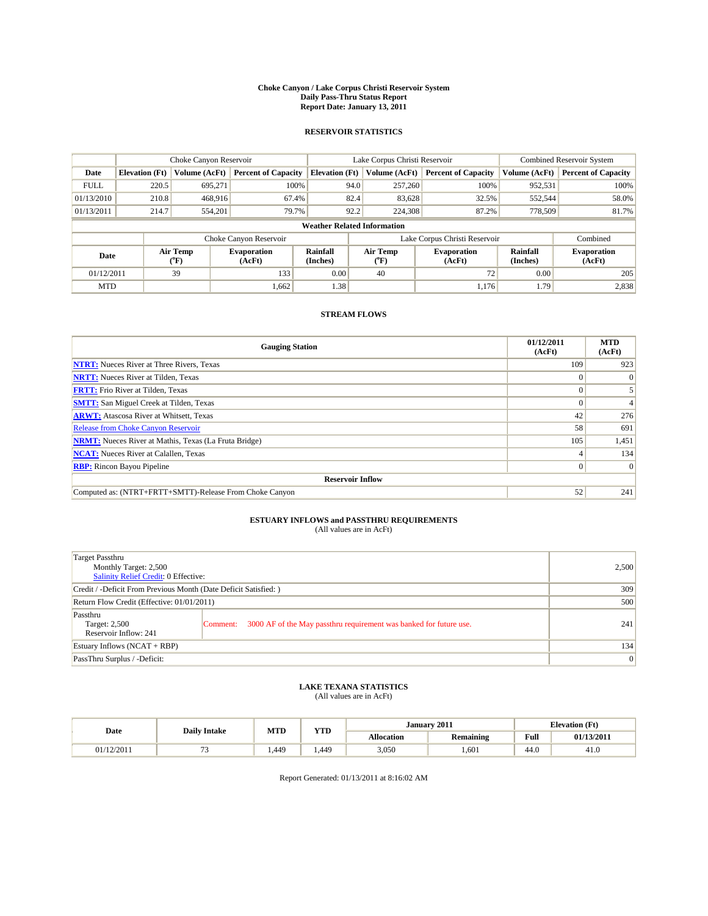#### **Choke Canyon / Lake Corpus Christi Reservoir System Daily Pass-Thru Status Report Report Date: January 13, 2011**

### **RESERVOIR STATISTICS**

|             | Choke Canyon Reservoir             |                                           |                              |                             | Lake Corpus Christi Reservoir | <b>Combined Reservoir System</b> |                      |                              |  |  |
|-------------|------------------------------------|-------------------------------------------|------------------------------|-----------------------------|-------------------------------|----------------------------------|----------------------|------------------------------|--|--|
| Date        | <b>Elevation</b> (Ft)              | Volume (AcFt)                             | <b>Percent of Capacity</b>   | <b>Elevation</b> (Ft)       | Volume (AcFt)                 | <b>Percent of Capacity</b>       | Volume (AcFt)        | <b>Percent of Capacity</b>   |  |  |
| <b>FULL</b> | 220.5                              | 695,271                                   | 100%                         | 94.0                        | 257,260                       | 100%                             | 952,531              | 100%                         |  |  |
| 01/13/2010  | 210.8                              | 468,916                                   | 67.4%                        | 82.4                        | 83,628                        | 32.5%                            | 552,544              | 58.0%                        |  |  |
| 01/13/2011  | 214.7                              | 554,201                                   | 79.7%                        | 92.2                        | 224,308                       | 87.2%                            | 778,509              | 81.7%                        |  |  |
|             | <b>Weather Related Information</b> |                                           |                              |                             |                               |                                  |                      |                              |  |  |
|             |                                    |                                           | Choke Canyon Reservoir       |                             |                               | Lake Corpus Christi Reservoir    |                      | Combined                     |  |  |
| Date        |                                    | Air Temp<br>$({}^{\mathrm{o}}\mathrm{F})$ | <b>Evaporation</b><br>(AcFt) | <b>Rainfall</b><br>(Inches) | Air Temp<br>(°F)              | <b>Evaporation</b><br>(AcFt)     | Rainfall<br>(Inches) | <b>Evaporation</b><br>(AcFt) |  |  |
| 01/12/2011  |                                    | 39                                        | 133                          | 0.00                        | 40                            | 72                               | 0.00                 | 205                          |  |  |
| <b>MTD</b>  |                                    |                                           | 1,662                        | 1.38                        |                               | 1.176                            | 1.79                 | 2,838                        |  |  |

## **STREAM FLOWS**

| <b>Gauging Station</b>                                       | 01/12/2011<br>(AcFt) | <b>MTD</b><br>(AcFt) |
|--------------------------------------------------------------|----------------------|----------------------|
| <b>NTRT:</b> Nueces River at Three Rivers, Texas             | 109                  | 923                  |
| <b>NRTT:</b> Nueces River at Tilden, Texas                   | $\theta$             |                      |
| <b>FRTT:</b> Frio River at Tilden, Texas                     |                      |                      |
| <b>SMTT:</b> San Miguel Creek at Tilden, Texas               |                      |                      |
| <b>ARWT:</b> Atascosa River at Whitsett, Texas               | 42                   | 276                  |
| <b>Release from Choke Canyon Reservoir</b>                   | 58                   | 691                  |
| <b>NRMT:</b> Nueces River at Mathis, Texas (La Fruta Bridge) | 105                  | 1,451                |
| <b>NCAT:</b> Nueces River at Calallen, Texas                 |                      | 134                  |
| <b>RBP:</b> Rincon Bayou Pipeline                            | $\Omega$             | $\Omega$             |
| <b>Reservoir Inflow</b>                                      |                      |                      |
| Computed as: (NTRT+FRTT+SMTT)-Release From Choke Canyon      | 52                   | 241                  |

# **ESTUARY INFLOWS and PASSTHRU REQUIREMENTS**<br>(All values are in AcFt)

| Target Passthru<br>Monthly Target: 2,500<br>Salinity Relief Credit: 0 Effective: |                                                                                | 2,500 |
|----------------------------------------------------------------------------------|--------------------------------------------------------------------------------|-------|
| Credit / -Deficit From Previous Month (Date Deficit Satisfied: )                 | 309                                                                            |       |
| Return Flow Credit (Effective: 01/01/2011)                                       | 500                                                                            |       |
| Passthru<br>Target: 2,500<br>Reservoir Inflow: 241                               | 3000 AF of the May passthru requirement was banked for future use.<br>Comment: | 241   |
| Estuary Inflows (NCAT + RBP)                                                     |                                                                                | 134   |
| PassThru Surplus / -Deficit:                                                     |                                                                                | 0     |

## **LAKE TEXANA STATISTICS** (All values are in AcFt)

| Date       | <b>Daily Intake</b> | MTD  | <b>TIME</b><br>1 I.D | January 2011<br><b>Elevation</b> (Ft) |                  |                                         |            |
|------------|---------------------|------|----------------------|---------------------------------------|------------------|-----------------------------------------|------------|
|            |                     |      |                      | <b>Allocation</b>                     | <b>Remaining</b> | Full<br>the contract of the contract of | 01/13/2011 |
| 01/12/2011 | $ \overline{ }$     | .449 | . 449                | 3,050                                 | 1.601            | 44.C                                    | 41.U       |

Report Generated: 01/13/2011 at 8:16:02 AM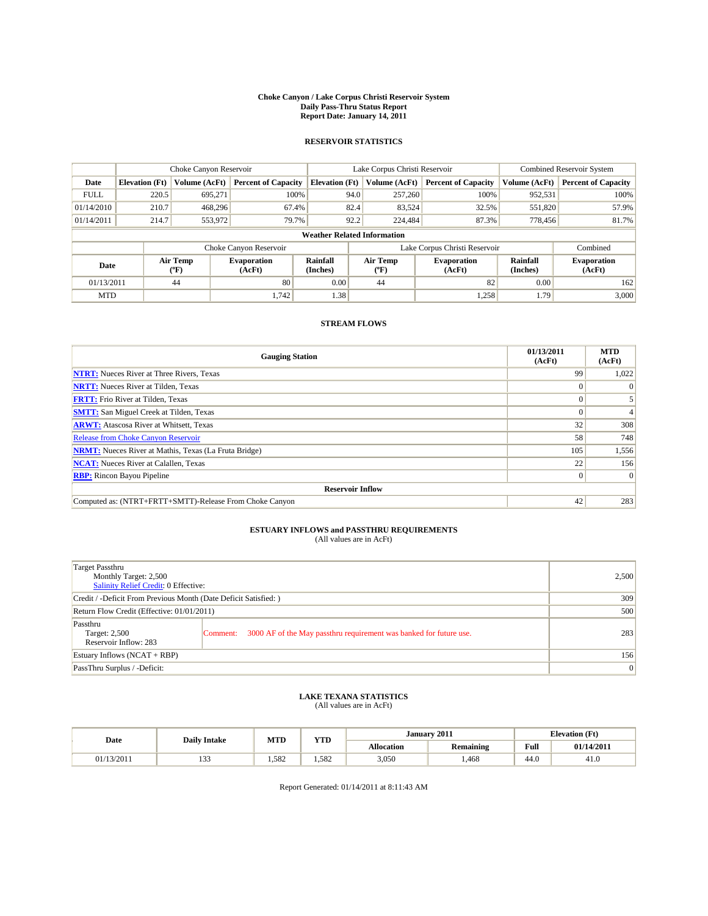#### **Choke Canyon / Lake Corpus Christi Reservoir System Daily Pass-Thru Status Report Report Date: January 14, 2011**

## **RESERVOIR STATISTICS**

|             | Choke Canyon Reservoir             |                  |                              |                       | Lake Corpus Christi Reservoir |                  |                               |                             | Combined Reservoir System    |  |
|-------------|------------------------------------|------------------|------------------------------|-----------------------|-------------------------------|------------------|-------------------------------|-----------------------------|------------------------------|--|
| Date        | <b>Elevation</b> (Ft)              | Volume (AcFt)    | <b>Percent of Capacity</b>   | <b>Elevation</b> (Ft) |                               | Volume (AcFt)    | <b>Percent of Capacity</b>    | Volume (AcFt)               | <b>Percent of Capacity</b>   |  |
| <b>FULL</b> | 220.5                              | 695.271          | 100%                         |                       | 94.0                          | 257,260          | 100%                          | 952,531                     | 100%                         |  |
| 01/14/2010  | 210.7                              | 468,296          | 67.4%                        |                       | 82.4                          | 83,524           | 32.5%                         | 551,820                     | 57.9%                        |  |
| 01/14/2011  | 214.7                              | 553,972          | 79.7%                        |                       | 92.2                          | 224,484          | 87.3%                         | 778.456                     | 81.7%                        |  |
|             | <b>Weather Related Information</b> |                  |                              |                       |                               |                  |                               |                             |                              |  |
|             |                                    |                  | Choke Canyon Reservoir       |                       |                               |                  | Lake Corpus Christi Reservoir |                             | Combined                     |  |
| Date        |                                    | Air Temp<br>(°F) | <b>Evaporation</b><br>(AcFt) | Rainfall<br>(Inches)  |                               | Air Temp<br>(°F) | <b>Evaporation</b><br>(AcFt)  | <b>Rainfall</b><br>(Inches) | <b>Evaporation</b><br>(AcFt) |  |
| 01/13/2011  |                                    | 44               | 80                           | 0.00                  |                               | 44               | 82                            | 0.00                        | 162                          |  |
| <b>MTD</b>  |                                    |                  | 1.742                        | 1.38                  |                               |                  | 1,258                         | 1.79                        | 3,000                        |  |

### **STREAM FLOWS**

| <b>Gauging Station</b>                                       | 01/13/2011<br>(AcFt) | <b>MTD</b><br>(AcFt) |
|--------------------------------------------------------------|----------------------|----------------------|
| <b>NTRT:</b> Nueces River at Three Rivers, Texas             | 99                   | 1,022                |
| <b>NRTT:</b> Nueces River at Tilden, Texas                   |                      | $\Omega$             |
| <b>FRTT:</b> Frio River at Tilden, Texas                     |                      |                      |
| <b>SMTT:</b> San Miguel Creek at Tilden, Texas               |                      | $\overline{4}$       |
| <b>ARWT:</b> Atascosa River at Whitsett, Texas               | 32                   | 308                  |
| <b>Release from Choke Canyon Reservoir</b>                   | 58                   | 748                  |
| <b>NRMT:</b> Nueces River at Mathis, Texas (La Fruta Bridge) | 105                  | 1,556                |
| <b>NCAT:</b> Nueces River at Calallen, Texas                 | 22                   | 156                  |
| <b>RBP:</b> Rincon Bayou Pipeline                            |                      | $\Omega$             |
| <b>Reservoir Inflow</b>                                      |                      |                      |
| Computed as: (NTRT+FRTT+SMTT)-Release From Choke Canyon      | 42                   | 283                  |

## **ESTUARY INFLOWS and PASSTHRU REQUIREMENTS**<br>(All values are in AcFt)

| <b>Target Passthru</b><br>Monthly Target: 2,500<br>Salinity Relief Credit: 0 Effective: |                                                                                | 2.500           |
|-----------------------------------------------------------------------------------------|--------------------------------------------------------------------------------|-----------------|
| Credit / -Deficit From Previous Month (Date Deficit Satisfied: )                        | 309                                                                            |                 |
| Return Flow Credit (Effective: 01/01/2011)                                              | 500                                                                            |                 |
| Passthru<br>Target: 2,500<br>Reservoir Inflow: 283                                      | 3000 AF of the May passthru requirement was banked for future use.<br>Comment: | 283             |
| Estuary Inflows $(NCAT + RBP)$                                                          |                                                                                | 156             |
| PassThru Surplus / -Deficit:                                                            |                                                                                | $\vert 0 \vert$ |

### **LAKE TEXANA STATISTICS** (All values are in AcFt)

| Date       | <b>Daily Intake</b> | <b>MTD</b> | <b>YTD</b> | January 2011      |                  |                                             | <b>Elevation</b> (Ft) |  |  |
|------------|---------------------|------------|------------|-------------------|------------------|---------------------------------------------|-----------------------|--|--|
|            |                     |            |            | <b>Allocation</b> | <b>Remaining</b> | Full<br>the contract of the contract of the | 01/14/2011            |  |  |
| 01/13/2011 | $\sim$<br>199       | 1.582      | . . 582    | 3,050             | ,468             | 44.0                                        | 41.0                  |  |  |

Report Generated: 01/14/2011 at 8:11:43 AM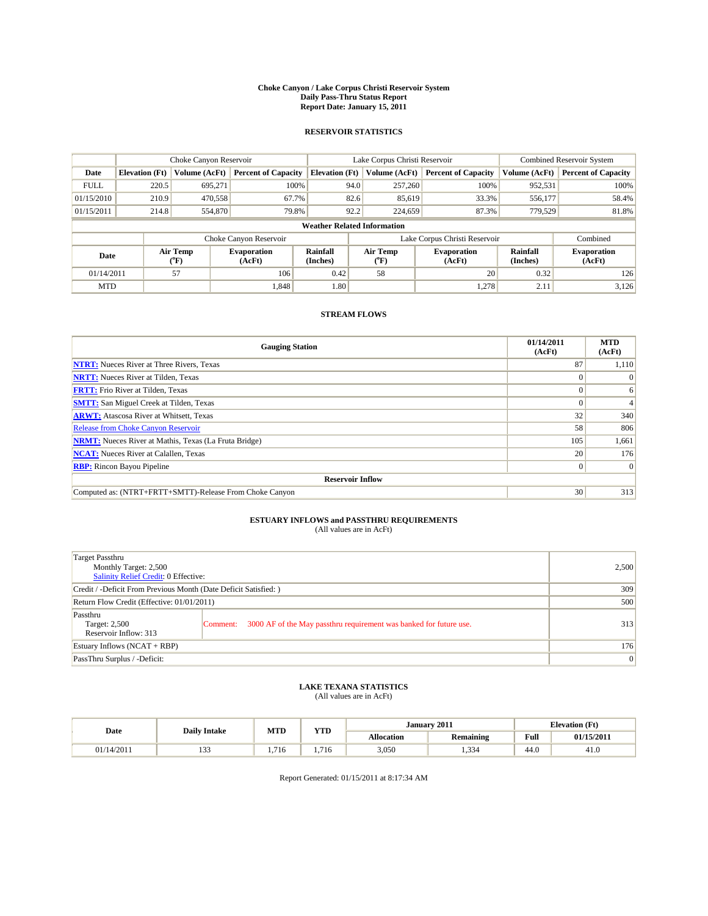#### **Choke Canyon / Lake Corpus Christi Reservoir System Daily Pass-Thru Status Report Report Date: January 15, 2011**

### **RESERVOIR STATISTICS**

|             | Choke Canyon Reservoir             |                                           |                              |                             | Lake Corpus Christi Reservoir | <b>Combined Reservoir System</b> |                             |                              |  |  |
|-------------|------------------------------------|-------------------------------------------|------------------------------|-----------------------------|-------------------------------|----------------------------------|-----------------------------|------------------------------|--|--|
| Date        | <b>Elevation</b> (Ft)              | Volume (AcFt)                             | <b>Percent of Capacity</b>   | <b>Elevation</b> (Ft)       | Volume (AcFt)                 | <b>Percent of Capacity</b>       | Volume (AcFt)               | <b>Percent of Capacity</b>   |  |  |
| <b>FULL</b> | 220.5                              | 695,271                                   | 100%                         | 94.0                        | 257,260                       | 100%                             | 952,531                     | 100%                         |  |  |
| 01/15/2010  | 210.9                              | 470,558                                   | 67.7%                        | 82.6                        | 85,619                        | 33.3%                            | 556,177                     | 58.4%                        |  |  |
| 01/15/2011  | 214.8                              | 554,870                                   | 79.8%                        | 92.2                        | 224,659                       | 87.3%                            | 779,529                     | 81.8%                        |  |  |
|             | <b>Weather Related Information</b> |                                           |                              |                             |                               |                                  |                             |                              |  |  |
|             |                                    |                                           | Choke Canyon Reservoir       |                             |                               | Lake Corpus Christi Reservoir    |                             | Combined                     |  |  |
| Date        |                                    | Air Temp<br>$({}^{\mathrm{o}}\mathrm{F})$ | <b>Evaporation</b><br>(AcFt) | <b>Rainfall</b><br>(Inches) | Air Temp<br>(°F)              | <b>Evaporation</b><br>(AcFt)     | <b>Rainfall</b><br>(Inches) | <b>Evaporation</b><br>(AcFt) |  |  |
| 01/14/2011  |                                    | 57                                        | 106                          | 0.42                        | 58                            | 20                               | 0.32                        | 126                          |  |  |
| <b>MTD</b>  |                                    |                                           | 1,848                        | 1.80                        |                               | 1.278                            | 2.11                        | 3,126                        |  |  |

## **STREAM FLOWS**

| <b>Gauging Station</b>                                       | 01/14/2011<br>(AcFt) | <b>MTD</b><br>(AcFt) |
|--------------------------------------------------------------|----------------------|----------------------|
| <b>NTRT:</b> Nueces River at Three Rivers, Texas             | 87                   | 1,110                |
| <b>NRTT:</b> Nueces River at Tilden, Texas                   | $\Omega$             |                      |
| <b>FRTT:</b> Frio River at Tilden, Texas                     |                      | 6                    |
| <b>SMTT:</b> San Miguel Creek at Tilden, Texas               |                      |                      |
| <b>ARWT:</b> Atascosa River at Whitsett, Texas               | 32                   | 340                  |
| <b>Release from Choke Canyon Reservoir</b>                   | 58                   | 806                  |
| <b>NRMT:</b> Nueces River at Mathis, Texas (La Fruta Bridge) | 105                  | 1,661                |
| <b>NCAT:</b> Nueces River at Calallen, Texas                 | 20                   | 176                  |
| <b>RBP:</b> Rincon Bayou Pipeline                            | $\overline{0}$       | $\Omega$             |
| <b>Reservoir Inflow</b>                                      |                      |                      |
| Computed as: (NTRT+FRTT+SMTT)-Release From Choke Canyon      | 30                   | 313                  |

# **ESTUARY INFLOWS and PASSTHRU REQUIREMENTS**<br>(All values are in AcFt)

| Target Passthru<br>Monthly Target: 2,500<br>Salinity Relief Credit: 0 Effective: |                                                                                | 2,500 |
|----------------------------------------------------------------------------------|--------------------------------------------------------------------------------|-------|
| Credit / -Deficit From Previous Month (Date Deficit Satisfied: )                 | 309                                                                            |       |
| Return Flow Credit (Effective: 01/01/2011)                                       | 500                                                                            |       |
| Passthru<br>Target: 2,500<br>Reservoir Inflow: 313                               | 3000 AF of the May passthru requirement was banked for future use.<br>Comment: | 313   |
| Estuary Inflows (NCAT + RBP)                                                     |                                                                                | 176   |
| PassThru Surplus / -Deficit:                                                     |                                                                                | 0     |

## **LAKE TEXANA STATISTICS** (All values are in AcFt)

| Date       | <b>Daily Intake</b> | MTD        | VTD<br>1 I.D | January 2011      |                  |                                         | <b>Elevation</b> (Ft) |
|------------|---------------------|------------|--------------|-------------------|------------------|-----------------------------------------|-----------------------|
|            |                     |            |              | <b>Allocation</b> | <b>Remaining</b> | Full<br>the contract of the contract of | 01/15/2011            |
| 01/14/2011 | $\sim$<br>.         | $-1$<br>10 | 1.716        | 3,050             | 1,334            | 44.0                                    | -41.U                 |

Report Generated: 01/15/2011 at 8:17:34 AM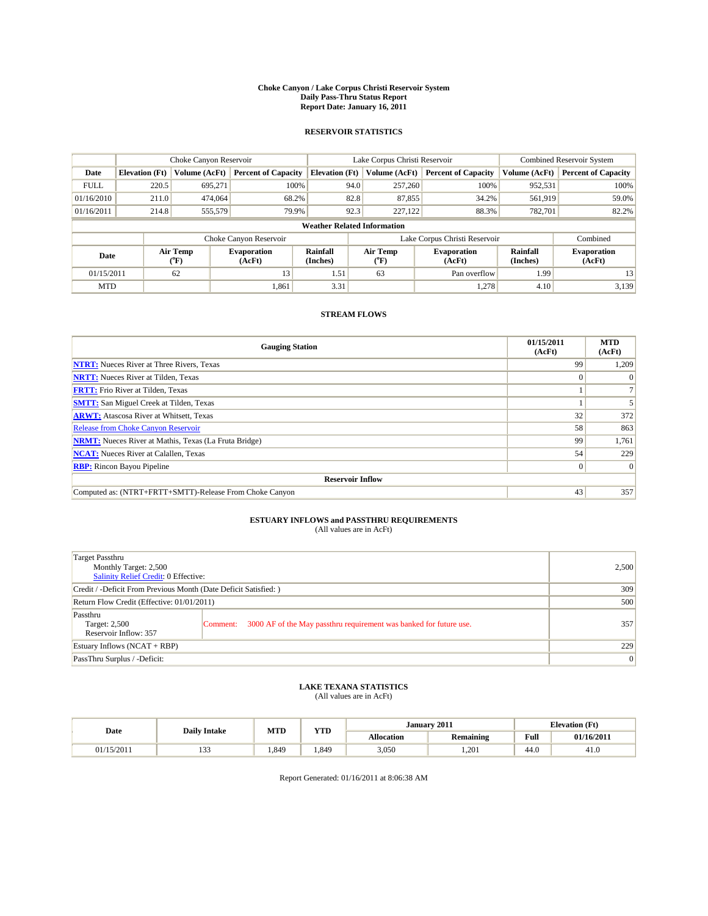#### **Choke Canyon / Lake Corpus Christi Reservoir System Daily Pass-Thru Status Report Report Date: January 16, 2011**

### **RESERVOIR STATISTICS**

|             | Choke Canyon Reservoir |                  |                              |                                    | Lake Corpus Christi Reservoir                    | <b>Combined Reservoir System</b> |                      |                              |
|-------------|------------------------|------------------|------------------------------|------------------------------------|--------------------------------------------------|----------------------------------|----------------------|------------------------------|
| Date        | <b>Elevation</b> (Ft)  | Volume (AcFt)    | <b>Percent of Capacity</b>   | <b>Elevation</b> (Ft)              | Volume (AcFt)                                    | <b>Percent of Capacity</b>       | Volume (AcFt)        | <b>Percent of Capacity</b>   |
| <b>FULL</b> | 220.5                  | 695,271          | 100%                         | 94.0                               | 257,260                                          | 100%                             | 952,531              | 100%                         |
| 01/16/2010  | 211.0                  | 474,064          | 68.2%                        | 82.8                               | 87,855                                           | 34.2%                            | 561,919              | 59.0%                        |
| 01/16/2011  | 214.8                  | 555,579          | 79.9%                        | 92.3                               | 227,122                                          | 88.3%                            | 782,701              | 82.2%                        |
|             |                        |                  |                              | <b>Weather Related Information</b> |                                                  |                                  |                      |                              |
|             |                        |                  | Choke Canyon Reservoir       |                                    |                                                  | Lake Corpus Christi Reservoir    |                      | Combined                     |
| Date        |                        | Air Temp<br>(°F) | <b>Evaporation</b><br>(AcFt) | Rainfall<br>(Inches)               | Air Temp<br><b>Evaporation</b><br>(AcFt)<br>("F) |                                  | Rainfall<br>(Inches) | <b>Evaporation</b><br>(AcFt) |
| 01/15/2011  |                        | 62               | 13                           | 1.51                               | 63                                               | Pan overflow                     | 1.99                 | 13                           |
| <b>MTD</b>  |                        |                  | 1.861                        | 3.31                               |                                                  | 1.278                            | 4.10                 | 3,139                        |

## **STREAM FLOWS**

| <b>Gauging Station</b>                                       | 01/15/2011<br>(AcFt) | <b>MTD</b><br>(AcFt) |  |  |  |  |
|--------------------------------------------------------------|----------------------|----------------------|--|--|--|--|
| <b>NTRT:</b> Nueces River at Three Rivers, Texas             | 99                   | 1,209                |  |  |  |  |
| <b>NRTT:</b> Nueces River at Tilden, Texas                   | $\Omega$             |                      |  |  |  |  |
| <b>FRTT:</b> Frio River at Tilden, Texas                     |                      |                      |  |  |  |  |
| <b>SMTT:</b> San Miguel Creek at Tilden, Texas               |                      |                      |  |  |  |  |
| <b>ARWT:</b> Atascosa River at Whitsett, Texas               | 32                   | 372                  |  |  |  |  |
| <b>Release from Choke Canyon Reservoir</b>                   | 58                   | 863                  |  |  |  |  |
| <b>NRMT:</b> Nueces River at Mathis, Texas (La Fruta Bridge) | 99                   | 1,761                |  |  |  |  |
| <b>NCAT:</b> Nueces River at Calallen, Texas                 | 54                   | 229                  |  |  |  |  |
| <b>RBP:</b> Rincon Bayou Pipeline                            | $\overline{0}$       | $\Omega$             |  |  |  |  |
| <b>Reservoir Inflow</b>                                      |                      |                      |  |  |  |  |
| Computed as: (NTRT+FRTT+SMTT)-Release From Choke Canyon      | 43                   | 357                  |  |  |  |  |

## **ESTUARY INFLOWS and PASSTHRU REQUIREMENTS**

| (All values are in AcFt) |  |
|--------------------------|--|
|--------------------------|--|

| <b>Target Passthru</b><br>Monthly Target: 2,500<br>Salinity Relief Credit: 0 Effective: |                                                                                | 2,500           |
|-----------------------------------------------------------------------------------------|--------------------------------------------------------------------------------|-----------------|
| Credit / -Deficit From Previous Month (Date Deficit Satisfied: )                        | 309                                                                            |                 |
| Return Flow Credit (Effective: 01/01/2011)                                              | 500                                                                            |                 |
| Passthru<br>Target: 2,500<br>Reservoir Inflow: 357                                      | 3000 AF of the May passthru requirement was banked for future use.<br>Comment: | 357             |
| Estuary Inflows $(NCAT + RBP)$                                                          | 229                                                                            |                 |
| PassThru Surplus / -Deficit:                                                            |                                                                                | $\vert 0 \vert$ |

## **LAKE TEXANA STATISTICS** (All values are in AcFt)

|            | <b>Daily Intake</b> | MTD<br>VTD |       |            | January 2011     | <b>Elevation</b> (Ft)                   |            |
|------------|---------------------|------------|-------|------------|------------------|-----------------------------------------|------------|
| Date       |                     |            | 1 I.D | Allocation | <b>Remaining</b> | Full<br>the contract of the contract of | 01/16/2011 |
| 01/15/2011 | $\sim$<br>.         | .849       | .349  | 3,050      | 1.201            | 44.0                                    | -41.6      |

Report Generated: 01/16/2011 at 8:06:38 AM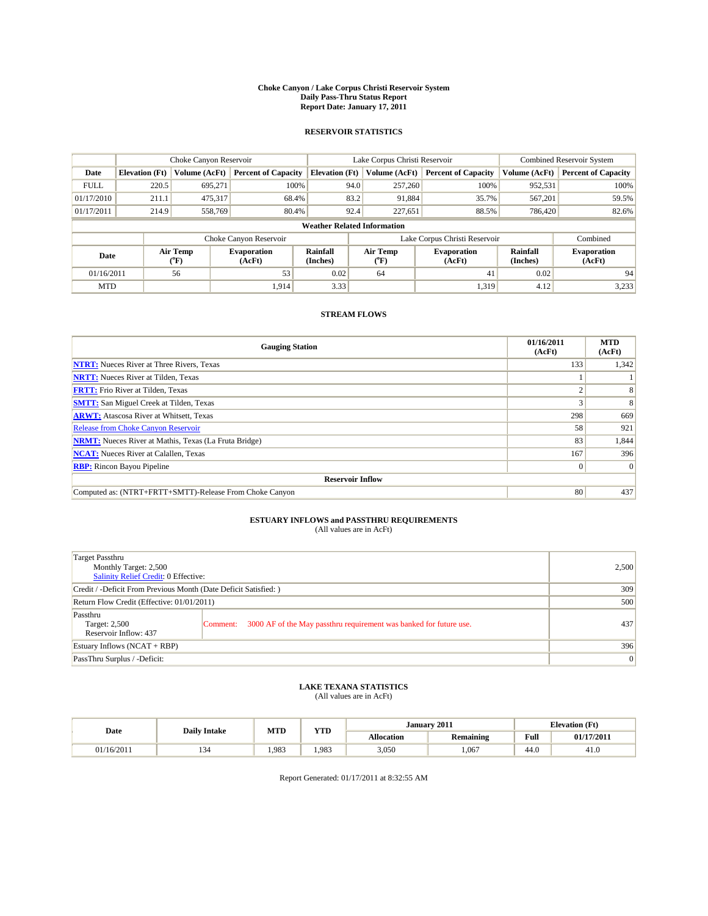#### **Choke Canyon / Lake Corpus Christi Reservoir System Daily Pass-Thru Status Report Report Date: January 17, 2011**

### **RESERVOIR STATISTICS**

|             |                       | Choke Canyon Reservoir      |                              |                                    | Lake Corpus Christi Reservoir                    | <b>Combined Reservoir System</b> |                      |                              |
|-------------|-----------------------|-----------------------------|------------------------------|------------------------------------|--------------------------------------------------|----------------------------------|----------------------|------------------------------|
| Date        | <b>Elevation</b> (Ft) | Volume (AcFt)               | <b>Percent of Capacity</b>   | <b>Elevation</b> (Ft)              | Volume (AcFt)                                    | <b>Percent of Capacity</b>       | Volume (AcFt)        | <b>Percent of Capacity</b>   |
| <b>FULL</b> | 220.5                 | 695,271                     | 100%                         | 94.0                               | 257,260                                          | 100%                             | 952,531              | 100%                         |
| 01/17/2010  | 211.1                 | 475,317                     | 68.4%                        | 83.2                               | 91,884                                           | 35.7%                            | 567,201              | 59.5%                        |
| 01/17/2011  | 214.9                 | 558,769                     | 80.4%                        | 92.4                               | 227,651                                          | 88.5%                            | 786,420              | 82.6%                        |
|             |                       |                             |                              | <b>Weather Related Information</b> |                                                  |                                  |                      |                              |
|             |                       |                             | Choke Canyon Reservoir       |                                    |                                                  | Lake Corpus Christi Reservoir    |                      | Combined                     |
| Date        |                       | Air Temp<br>${}^{\circ}$ F) | <b>Evaporation</b><br>(AcFt) | <b>Rainfall</b><br>(Inches)        | Air Temp<br><b>Evaporation</b><br>(°F)<br>(AcFt) |                                  | Rainfall<br>(Inches) | <b>Evaporation</b><br>(AcFt) |
| 01/16/2011  |                       | 56                          | 53                           | 0.02                               | 64                                               | 41                               | 0.02                 | 94                           |
| <b>MTD</b>  |                       |                             | 1,914                        | 3.33                               |                                                  | 1,319                            | 4.12                 | 3,233                        |

## **STREAM FLOWS**

| <b>Gauging Station</b>                                       | 01/16/2011<br>(AcFt) | <b>MTD</b><br>(AcFt) |  |  |  |  |
|--------------------------------------------------------------|----------------------|----------------------|--|--|--|--|
| <b>NTRT:</b> Nueces River at Three Rivers, Texas             | 133                  | 1,342                |  |  |  |  |
| <b>NRTT:</b> Nueces River at Tilden, Texas                   |                      |                      |  |  |  |  |
| <b>FRTT:</b> Frio River at Tilden, Texas                     | $\sim$               |                      |  |  |  |  |
| <b>SMTT:</b> San Miguel Creek at Tilden, Texas               |                      | 8                    |  |  |  |  |
| <b>ARWT:</b> Atascosa River at Whitsett, Texas               | 298                  | 669                  |  |  |  |  |
| <b>Release from Choke Canyon Reservoir</b>                   | 58                   | 921                  |  |  |  |  |
| <b>NRMT:</b> Nueces River at Mathis, Texas (La Fruta Bridge) | 83                   | 1,844                |  |  |  |  |
| <b>NCAT:</b> Nueces River at Calallen, Texas                 | 167                  | 396                  |  |  |  |  |
| <b>RBP:</b> Rincon Bayou Pipeline                            | $\vert 0 \vert$      | $\Omega$             |  |  |  |  |
| <b>Reservoir Inflow</b>                                      |                      |                      |  |  |  |  |
| Computed as: (NTRT+FRTT+SMTT)-Release From Choke Canyon      | 80                   | 437                  |  |  |  |  |

# **ESTUARY INFLOWS and PASSTHRU REQUIREMENTS**<br>(All values are in AcFt)

| Target Passthru<br>Monthly Target: 2,500<br>Salinity Relief Credit: 0 Effective: |                                                                                | 2,500 |
|----------------------------------------------------------------------------------|--------------------------------------------------------------------------------|-------|
| Credit / -Deficit From Previous Month (Date Deficit Satisfied: )                 | 309                                                                            |       |
| Return Flow Credit (Effective: 01/01/2011)                                       |                                                                                | 500   |
| Passthru<br>Target: 2,500<br>Reservoir Inflow: 437                               | 3000 AF of the May passthru requirement was banked for future use.<br>Comment: | 437   |
| Estuary Inflows (NCAT + RBP)                                                     | 396                                                                            |       |
| PassThru Surplus / -Deficit:                                                     |                                                                                | 0     |

## **LAKE TEXANA STATISTICS** (All values are in AcFt)

|            | <b>Daily Intake</b> | MTD  | <b>WTD</b> |                   | January 2011     |                                         | <b>Elevation</b> (Ft) |
|------------|---------------------|------|------------|-------------------|------------------|-----------------------------------------|-----------------------|
| Date       |                     |      | 1 I.D      | <b>Allocation</b> | <b>Remaining</b> | Full<br>the contract of the contract of | 01/17/2011            |
| 01/16/2011 |                     | .983 | 1.983      | 3.050             | 1.067            | 44.0                                    | 41.U                  |

Report Generated: 01/17/2011 at 8:32:55 AM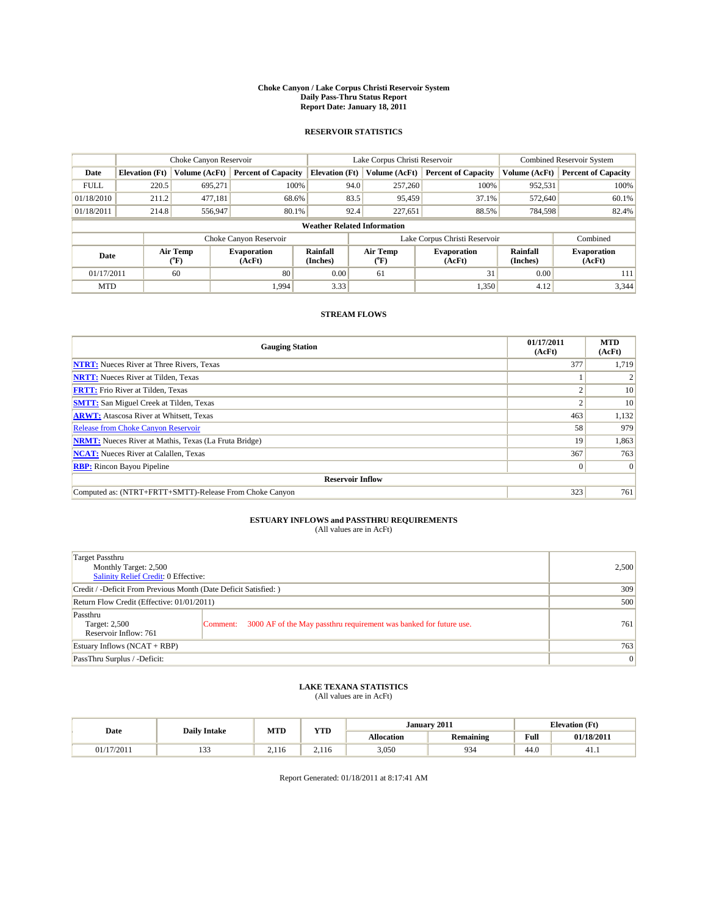#### **Choke Canyon / Lake Corpus Christi Reservoir System Daily Pass-Thru Status Report Report Date: January 18, 2011**

### **RESERVOIR STATISTICS**

|             | Choke Canyon Reservoir |                  |                              |                                    | Lake Corpus Christi Reservoir                                  | <b>Combined Reservoir System</b> |                             |                              |
|-------------|------------------------|------------------|------------------------------|------------------------------------|----------------------------------------------------------------|----------------------------------|-----------------------------|------------------------------|
| Date        | <b>Elevation</b> (Ft)  | Volume (AcFt)    | <b>Percent of Capacity</b>   | <b>Elevation</b> (Ft)              | Volume (AcFt)                                                  | <b>Percent of Capacity</b>       | Volume (AcFt)               | <b>Percent of Capacity</b>   |
| <b>FULL</b> | 220.5                  | 695,271          | 100%                         | 94.0                               | 257,260                                                        | 100%                             | 952,531                     | 100%                         |
| 01/18/2010  | 211.2                  | 477,181          | 68.6%                        | 83.5                               | 95,459                                                         | 37.1%                            | 572,640                     | 60.1%                        |
| 01/18/2011  | 214.8                  | 556,947          | 80.1%                        | 92.4                               | 227,651                                                        | 88.5%                            | 784,598                     | 82.4%                        |
|             |                        |                  |                              | <b>Weather Related Information</b> |                                                                |                                  |                             |                              |
|             |                        |                  | Choke Canyon Reservoir       |                                    |                                                                | Lake Corpus Christi Reservoir    |                             | Combined                     |
| Date        |                        | Air Temp<br>(°F) | <b>Evaporation</b><br>(AcFt) | <b>Rainfall</b><br>(Inches)        | Air Temp<br><b>Evaporation</b><br>(AcFt)<br>$({}^o\mathrm{F})$ |                                  | <b>Rainfall</b><br>(Inches) | <b>Evaporation</b><br>(AcFt) |
| 01/17/2011  |                        | 60               | 80                           | 0.00                               | 61                                                             | 31                               | 0.00                        | 111                          |
| <b>MTD</b>  |                        |                  | 1.994                        | 3.33                               |                                                                | 1,350                            | 4.12                        | 3,344                        |

## **STREAM FLOWS**

| <b>Gauging Station</b>                                       | 01/17/2011<br>(AcFt) | <b>MTD</b><br>(AcFt) |  |  |  |  |
|--------------------------------------------------------------|----------------------|----------------------|--|--|--|--|
| <b>NTRT:</b> Nueces River at Three Rivers, Texas             | 377                  | 1,719                |  |  |  |  |
| <b>NRTT:</b> Nueces River at Tilden, Texas                   |                      |                      |  |  |  |  |
| <b>FRTT:</b> Frio River at Tilden, Texas                     | $\sim$               | 10                   |  |  |  |  |
| <b>SMTT:</b> San Miguel Creek at Tilden, Texas               |                      | 10                   |  |  |  |  |
| <b>ARWT:</b> Atascosa River at Whitsett, Texas               | 463                  | 1,132                |  |  |  |  |
| Release from Choke Canyon Reservoir                          | 58                   | 979                  |  |  |  |  |
| <b>NRMT:</b> Nueces River at Mathis, Texas (La Fruta Bridge) | 19                   | 1,863                |  |  |  |  |
| <b>NCAT:</b> Nueces River at Calallen, Texas                 | 367                  | 763                  |  |  |  |  |
| <b>RBP:</b> Rincon Bayou Pipeline                            | $\overline{0}$       | $\Omega$             |  |  |  |  |
| <b>Reservoir Inflow</b>                                      |                      |                      |  |  |  |  |
| Computed as: (NTRT+FRTT+SMTT)-Release From Choke Canyon      | 323                  | 761                  |  |  |  |  |

# **ESTUARY INFLOWS and PASSTHRU REQUIREMENTS**<br>(All values are in AcFt)

| Target Passthru<br>Monthly Target: 2,500<br>Salinity Relief Credit: 0 Effective: |                                                                                | 2,500 |
|----------------------------------------------------------------------------------|--------------------------------------------------------------------------------|-------|
| Credit / -Deficit From Previous Month (Date Deficit Satisfied: )                 | 309                                                                            |       |
| Return Flow Credit (Effective: 01/01/2011)                                       |                                                                                | 500   |
| Passthru<br>Target: 2,500<br>Reservoir Inflow: 761                               | 3000 AF of the May passthru requirement was banked for future use.<br>Comment: | 761   |
| Estuary Inflows (NCAT + RBP)                                                     | 763                                                                            |       |
| PassThru Surplus / -Deficit:                                                     |                                                                                | 0     |

## **LAKE TEXANA STATISTICS** (All values are in AcFt)

|            | <b>Daily Intake</b> |                | <b>WTD</b> | January 2011<br><b>Elevation</b> (Ft) |                  |                                         |            |
|------------|---------------------|----------------|------------|---------------------------------------|------------------|-----------------------------------------|------------|
| Date       |                     | <b>MTD</b>     | 1 I.D      | <b>Allocation</b>                     | <b>Remaining</b> | Full<br>the contract of the contract of | 01/18/2011 |
| 01/17/2011 | $\sim$<br>.         | l 16<br>$\sim$ | 2.110      | 3.050                                 | 934              | 44.0                                    | 41.1       |

Report Generated: 01/18/2011 at 8:17:41 AM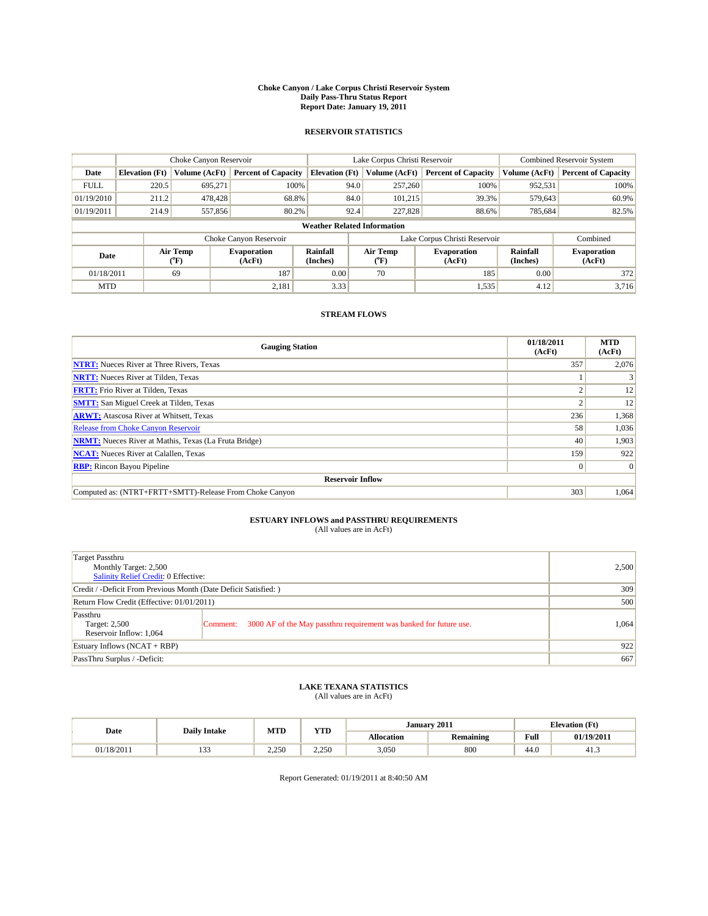#### **Choke Canyon / Lake Corpus Christi Reservoir System Daily Pass-Thru Status Report Report Date: January 19, 2011**

### **RESERVOIR STATISTICS**

|             | Choke Canyon Reservoir |                  |                              |                                    | Lake Corpus Christi Reservoir | <b>Combined Reservoir System</b>                            |               |                              |
|-------------|------------------------|------------------|------------------------------|------------------------------------|-------------------------------|-------------------------------------------------------------|---------------|------------------------------|
| Date        | <b>Elevation</b> (Ft)  | Volume (AcFt)    | <b>Percent of Capacity</b>   | <b>Elevation</b> (Ft)              | Volume (AcFt)                 | <b>Percent of Capacity</b>                                  | Volume (AcFt) | <b>Percent of Capacity</b>   |
| <b>FULL</b> | 220.5                  | 695,271          | 100%                         | 94.0                               | 257,260                       | 100%                                                        | 952,531       | 100%                         |
| 01/19/2010  | 211.2                  | 478,428          | 68.8%                        | 84.0                               | 101.215                       | 39.3%                                                       | 579,643       | 60.9%                        |
| 01/19/2011  | 214.9                  | 557,856          | 80.2%                        | 92.4                               | 227,828                       | 88.6%                                                       | 785,684       | 82.5%                        |
|             |                        |                  |                              | <b>Weather Related Information</b> |                               |                                                             |               |                              |
|             |                        |                  | Choke Canyon Reservoir       |                                    | Lake Corpus Christi Reservoir |                                                             |               | Combined                     |
| Date        |                        | Air Temp<br>(°F) | <b>Evaporation</b><br>(AcFt) | <b>Rainfall</b><br>(Inches)        | Air Temp<br>(°F)              | <b>Rainfall</b><br><b>Evaporation</b><br>(Inches)<br>(AcFt) |               | <b>Evaporation</b><br>(AcFt) |
| 01/18/2011  |                        | 69               | 187                          | 0.00                               | 70                            | 185                                                         | 0.00          | 372                          |
| <b>MTD</b>  |                        |                  | 2,181                        | 3.33                               |                               | 1,535                                                       | 4.12          | 3.716                        |

## **STREAM FLOWS**

| <b>Gauging Station</b>                                       | 01/18/2011<br>(AcFt) | <b>MTD</b><br>(AcFt) |  |  |  |  |
|--------------------------------------------------------------|----------------------|----------------------|--|--|--|--|
| <b>NTRT:</b> Nueces River at Three Rivers, Texas             | 357                  | 2,076                |  |  |  |  |
| <b>NRTT:</b> Nueces River at Tilden, Texas                   |                      |                      |  |  |  |  |
| <b>FRTT:</b> Frio River at Tilden, Texas                     |                      | 12                   |  |  |  |  |
| <b>SMTT:</b> San Miguel Creek at Tilden, Texas               |                      | 12                   |  |  |  |  |
| <b>ARWT:</b> Atascosa River at Whitsett, Texas               | 236                  | 1,368                |  |  |  |  |
| <b>Release from Choke Canyon Reservoir</b>                   | 58                   | 1,036                |  |  |  |  |
| <b>NRMT:</b> Nueces River at Mathis, Texas (La Fruta Bridge) | 40                   | 1,903                |  |  |  |  |
| <b>NCAT:</b> Nueces River at Calallen, Texas                 | 159                  | 922                  |  |  |  |  |
| <b>RBP:</b> Rincon Bayou Pipeline                            | $\overline{0}$       | $\Omega$             |  |  |  |  |
| <b>Reservoir Inflow</b>                                      |                      |                      |  |  |  |  |
| Computed as: (NTRT+FRTT+SMTT)-Release From Choke Canyon      | 303                  | 1,064                |  |  |  |  |

# **ESTUARY INFLOWS and PASSTHRU REQUIREMENTS**<br>(All values are in AcFt)

| Target Passthru<br>Monthly Target: 2,500<br>Salinity Relief Credit: 0 Effective: |                                                                                | 2,500 |
|----------------------------------------------------------------------------------|--------------------------------------------------------------------------------|-------|
| Credit / -Deficit From Previous Month (Date Deficit Satisfied: )                 | 309                                                                            |       |
| Return Flow Credit (Effective: 01/01/2011)                                       |                                                                                | 500   |
| Passthru<br>Target: 2,500<br>Reservoir Inflow: 1,064                             | 3000 AF of the May passthru requirement was banked for future use.<br>Comment: | 1.064 |
| Estuary Inflows (NCAT + RBP)                                                     |                                                                                | 922   |
| PassThru Surplus / -Deficit:                                                     | 667                                                                            |       |

# **LAKE TEXANA STATISTICS** (All values are in AcFt)

|            | <b>Daily Intake</b> | <b>MTD</b> | <b>YTD</b> |                   | January 2011     |      | <b>Elevation</b> (Ft) |  |
|------------|---------------------|------------|------------|-------------------|------------------|------|-----------------------|--|
| Date       |                     |            |            | <b>Allocation</b> | <b>Remaining</b> | Full | 01/19/2011            |  |
| 01/18/2011 | $\sim$<br>ر ر       | 2.250      | 2.250      | 3,050             | 800              | 44.0 | 41.3                  |  |

Report Generated: 01/19/2011 at 8:40:50 AM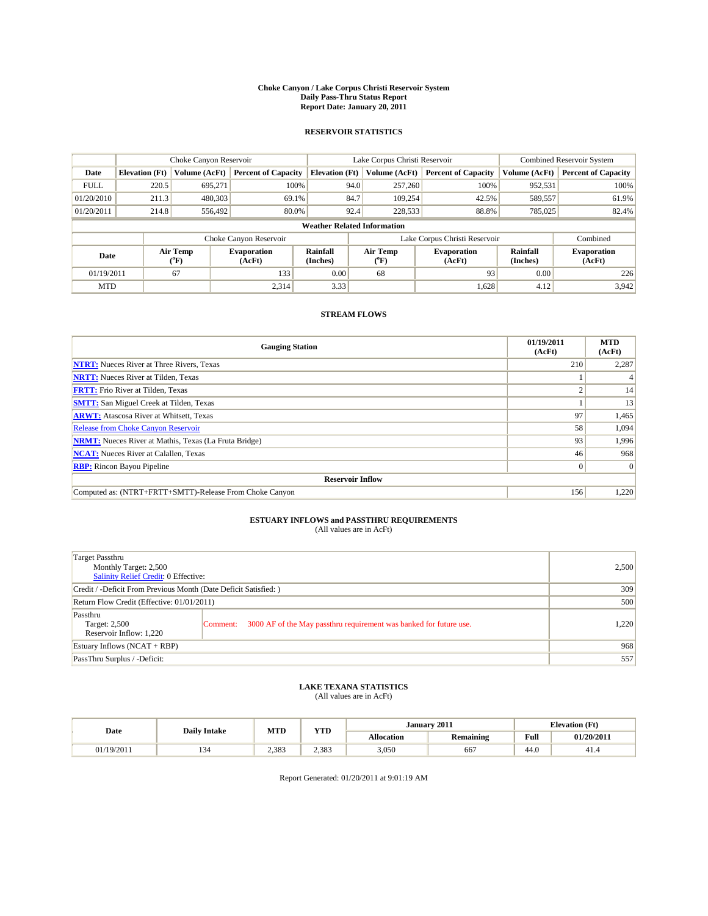#### **Choke Canyon / Lake Corpus Christi Reservoir System Daily Pass-Thru Status Report Report Date: January 20, 2011**

### **RESERVOIR STATISTICS**

|             | Choke Canyon Reservoir |                  |                              |                                    | Lake Corpus Christi Reservoir | <b>Combined Reservoir System</b>                     |               |                              |
|-------------|------------------------|------------------|------------------------------|------------------------------------|-------------------------------|------------------------------------------------------|---------------|------------------------------|
| Date        | <b>Elevation</b> (Ft)  | Volume (AcFt)    | <b>Percent of Capacity</b>   | <b>Elevation</b> (Ft)              | Volume (AcFt)                 | <b>Percent of Capacity</b>                           | Volume (AcFt) | <b>Percent of Capacity</b>   |
| <b>FULL</b> | 220.5                  | 695.271          | 100%                         | 94.0                               | 257,260                       | 100%                                                 | 952,531       | 100%                         |
| 01/20/2010  | 211.3                  | 480,303          | 69.1%                        | 84.7                               | 109,254                       | 42.5%                                                | 589,557       | 61.9%                        |
| 01/20/2011  | 214.8                  | 556,492          | 80.0%                        | 92.4                               | 228,533                       | 88.8%                                                | 785,025       | 82.4%                        |
|             |                        |                  |                              | <b>Weather Related Information</b> |                               |                                                      |               |                              |
|             |                        |                  | Choke Canyon Reservoir       |                                    | Lake Corpus Christi Reservoir |                                                      |               | Combined                     |
| Date        |                        | Air Temp<br>(°F) | <b>Evaporation</b><br>(AcFt) | Rainfall<br>(Inches)               | Air Temp<br>("F)              | Rainfall<br><b>Evaporation</b><br>(Inches)<br>(AcFt) |               | <b>Evaporation</b><br>(AcFt) |
| 01/19/2011  |                        | 67               | 133                          | 0.00                               | 68                            | 93                                                   | 0.00          | 226                          |
| <b>MTD</b>  |                        |                  | 2,314                        | 3.33                               |                               | 1,628                                                | 4.12          | 3,942                        |

## **STREAM FLOWS**

| <b>Gauging Station</b>                                       | 01/19/2011<br>(AcFt) | <b>MTD</b><br>(AcFt) |  |  |  |  |
|--------------------------------------------------------------|----------------------|----------------------|--|--|--|--|
| <b>NTRT:</b> Nueces River at Three Rivers, Texas             | 210                  | 2,287                |  |  |  |  |
| <b>NRTT:</b> Nueces River at Tilden, Texas                   |                      |                      |  |  |  |  |
| <b>FRTT:</b> Frio River at Tilden, Texas                     |                      | 14                   |  |  |  |  |
| <b>SMTT:</b> San Miguel Creek at Tilden, Texas               |                      | 13                   |  |  |  |  |
| <b>ARWT:</b> Atascosa River at Whitsett, Texas               | 97                   | 1,465                |  |  |  |  |
| <b>Release from Choke Canyon Reservoir</b>                   | 58                   | 1,094                |  |  |  |  |
| <b>NRMT:</b> Nueces River at Mathis, Texas (La Fruta Bridge) | 93                   | 1,996                |  |  |  |  |
| <b>NCAT:</b> Nueces River at Calallen, Texas                 | 46                   | 968                  |  |  |  |  |
| <b>RBP:</b> Rincon Bayou Pipeline                            | $\theta$             | $\Omega$             |  |  |  |  |
| <b>Reservoir Inflow</b>                                      |                      |                      |  |  |  |  |
| Computed as: (NTRT+FRTT+SMTT)-Release From Choke Canyon      | 156                  | 1,220                |  |  |  |  |

# **ESTUARY INFLOWS and PASSTHRU REQUIREMENTS**<br>(All values are in AcFt)

| Target Passthru<br>Monthly Target: 2,500<br>Salinity Relief Credit: 0 Effective: |                                                                                | 2,500 |
|----------------------------------------------------------------------------------|--------------------------------------------------------------------------------|-------|
| Credit / -Deficit From Previous Month (Date Deficit Satisfied: )                 | 309                                                                            |       |
| Return Flow Credit (Effective: 01/01/2011)                                       |                                                                                | 500   |
| Passthru<br>Target: 2,500<br>Reservoir Inflow: 1,220                             | 3000 AF of the May passthru requirement was banked for future use.<br>Comment: | 1,220 |
| Estuary Inflows (NCAT + RBP)                                                     |                                                                                | 968   |
| PassThru Surplus / -Deficit:                                                     | 557                                                                            |       |

# **LAKE TEXANA STATISTICS** (All values are in AcFt)

|            | <b>Daily Intake</b> | <b>MTD</b> | <b>YTD</b> |                   | January 2011     | <b>Elevation</b> (Ft) |            |
|------------|---------------------|------------|------------|-------------------|------------------|-----------------------|------------|
| Date       |                     |            |            | <b>Allocation</b> | <b>Remaining</b> | Full                  | 01/20/2011 |
| 01/19/2011 | . .                 | 2.383      | 2.383      | 3,050             | 667              | 44.0                  | 41.4       |

Report Generated: 01/20/2011 at 9:01:19 AM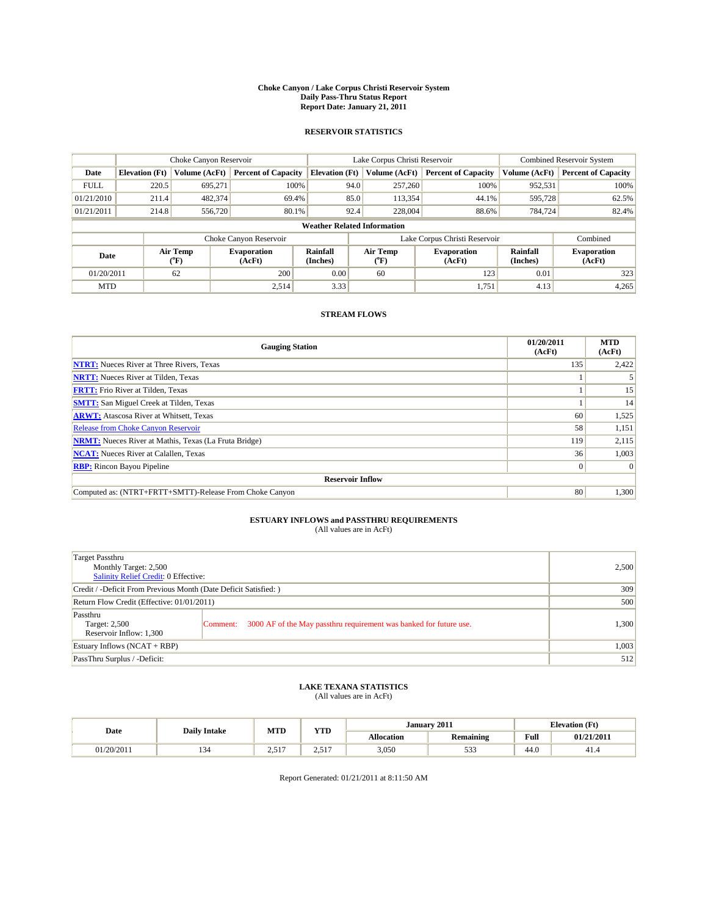#### **Choke Canyon / Lake Corpus Christi Reservoir System Daily Pass-Thru Status Report Report Date: January 21, 2011**

### **RESERVOIR STATISTICS**

|             |                       | Choke Canyon Reservoir                    |                                                                                                                        |                                    | Lake Corpus Christi Reservoir | Combined Reservoir System    |               |                            |
|-------------|-----------------------|-------------------------------------------|------------------------------------------------------------------------------------------------------------------------|------------------------------------|-------------------------------|------------------------------|---------------|----------------------------|
| Date        | <b>Elevation</b> (Ft) | Volume (AcFt)                             | <b>Percent of Capacity</b>                                                                                             | <b>Elevation</b> (Ft)              | Volume (AcFt)                 | <b>Percent of Capacity</b>   | Volume (AcFt) | <b>Percent of Capacity</b> |
| <b>FULL</b> | 220.5                 | 695.271                                   | 100%                                                                                                                   |                                    | 94.0<br>257,260               | 100%                         | 952,531       | 100%                       |
| 01/21/2010  | 211.4                 | 482.374                                   | 69.4%                                                                                                                  |                                    | 85.0<br>113,354               | 44.1%                        | 595,728       | 62.5%                      |
| 01/21/2011  | 214.8                 | 556,720                                   | 80.1%                                                                                                                  |                                    | 92.4<br>228,004               | 88.6%                        | 784,724       | 82.4%                      |
|             |                       |                                           |                                                                                                                        | <b>Weather Related Information</b> |                               |                              |               |                            |
|             |                       |                                           | Choke Canyon Reservoir                                                                                                 |                                    | Lake Corpus Christi Reservoir |                              |               | Combined                   |
| Date        |                       | Air Temp<br>$({}^{\mathrm{o}}\mathrm{F})$ | Air Temp<br>Rainfall<br><b>Evaporation</b><br><b>Evaporation</b><br>(Inches)<br>(AcFt)<br>(AcFt)<br>$({}^o\mathrm{F})$ |                                    | Rainfall<br>(Inches)          | <b>Evaporation</b><br>(AcFt) |               |                            |
| 01/20/2011  |                       | 62                                        | 200                                                                                                                    | 0.00                               | 60                            | 123                          | 0.01          | 323                        |
| <b>MTD</b>  |                       |                                           | 2.514                                                                                                                  | 3.33                               |                               | 1.751                        | 4.13          | 4,265                      |

## **STREAM FLOWS**

| <b>Gauging Station</b>                                       | 01/20/2011<br>(AcFt) | <b>MTD</b><br>(AcFt) |  |  |  |  |
|--------------------------------------------------------------|----------------------|----------------------|--|--|--|--|
| <b>NTRT:</b> Nueces River at Three Rivers, Texas             | 135                  | 2,422                |  |  |  |  |
| <b>NRTT:</b> Nueces River at Tilden, Texas                   |                      |                      |  |  |  |  |
| <b>FRTT:</b> Frio River at Tilden, Texas                     |                      | 15                   |  |  |  |  |
| <b>SMTT:</b> San Miguel Creek at Tilden, Texas               |                      | 14                   |  |  |  |  |
| <b>ARWT:</b> Atascosa River at Whitsett, Texas               | 60                   | 1,525                |  |  |  |  |
| <b>Release from Choke Canyon Reservoir</b>                   | 58                   | 1,151                |  |  |  |  |
| <b>NRMT:</b> Nueces River at Mathis, Texas (La Fruta Bridge) | 119                  | 2,115                |  |  |  |  |
| <b>NCAT:</b> Nueces River at Calallen, Texas                 | 36                   | 1,003                |  |  |  |  |
| <b>RBP:</b> Rincon Bayou Pipeline                            | $\overline{0}$       | $\Omega$             |  |  |  |  |
| <b>Reservoir Inflow</b>                                      |                      |                      |  |  |  |  |
| Computed as: (NTRT+FRTT+SMTT)-Release From Choke Canyon      | 80                   | 1,300                |  |  |  |  |

# **ESTUARY INFLOWS and PASSTHRU REQUIREMENTS**<br>(All values are in AcFt)

| Target Passthru<br>Monthly Target: 2,500<br>Salinity Relief Credit: 0 Effective: |                                                                                | 2,500 |
|----------------------------------------------------------------------------------|--------------------------------------------------------------------------------|-------|
| Credit / -Deficit From Previous Month (Date Deficit Satisfied: )                 |                                                                                | 309   |
| Return Flow Credit (Effective: 01/01/2011)                                       |                                                                                | 500   |
| Passthru<br>Target: 2,500<br>Reservoir Inflow: 1,300                             | 3000 AF of the May passthru requirement was banked for future use.<br>Comment: | 1,300 |
| Estuary Inflows (NCAT + RBP)                                                     |                                                                                | 1,003 |
| PassThru Surplus / -Deficit:                                                     |                                                                                | 512   |

# **LAKE TEXANA STATISTICS** (All values are in AcFt)

|            | <b>Daily Intake</b> | <b>MTD</b>               | <b>YTD</b>                       | January 2011      |                                     |                                             | <b>Elevation</b> (Ft) |
|------------|---------------------|--------------------------|----------------------------------|-------------------|-------------------------------------|---------------------------------------------|-----------------------|
| Date       |                     |                          |                                  | <b>Allocation</b> | <b>Remaining</b>                    | Full<br>the contract of the contract of the | 01/21/2011            |
| 01/20/2011 | 1J-                 | $-1$<br>$\sim$<br>للدرسك | $-1$<br>-<br>$\angle$ . $\Box$ . | 3,050             | $\sim$ $\sim$ $\sim$<br><u> 233</u> | 44.0                                        | 41.4                  |

Report Generated: 01/21/2011 at 8:11:50 AM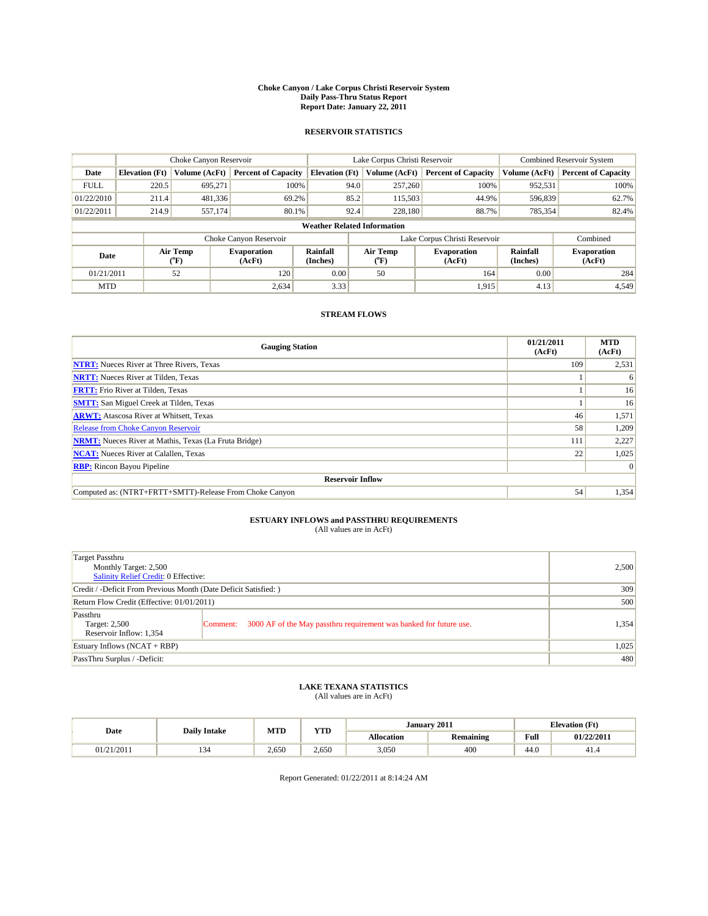#### **Choke Canyon / Lake Corpus Christi Reservoir System Daily Pass-Thru Status Report Report Date: January 22, 2011**

### **RESERVOIR STATISTICS**

|                                                   |                                    | Choke Canyon Reservoir |                              |                       | Lake Corpus Christi Reservoir     | Combined Reservoir System    |                      |                              |  |
|---------------------------------------------------|------------------------------------|------------------------|------------------------------|-----------------------|-----------------------------------|------------------------------|----------------------|------------------------------|--|
| Date                                              | <b>Elevation</b> (Ft)              | Volume (AcFt)          | <b>Percent of Capacity</b>   | <b>Elevation</b> (Ft) | Volume (AcFt)                     | <b>Percent of Capacity</b>   | Volume (AcFt)        | <b>Percent of Capacity</b>   |  |
| <b>FULL</b>                                       | 220.5                              | 695,271                | 100%                         | 94.0                  | 257,260                           | 100%                         | 952,531              | 100%                         |  |
| 01/22/2010                                        | 211.4                              | 481,336                | 69.2%                        | 85.2                  | 115,503                           | 44.9%                        | 596,839              | 62.7%                        |  |
| 01/22/2011                                        | 214.9                              | 557,174                | 80.1%                        | 92.4                  | 228,180                           | 88.7%                        | 785,354              | 82.4%                        |  |
|                                                   | <b>Weather Related Information</b> |                        |                              |                       |                                   |                              |                      |                              |  |
|                                                   |                                    |                        | Choke Canyon Reservoir       |                       | Lake Corpus Christi Reservoir     |                              |                      | Combined                     |  |
| Air Temp<br>Date<br>$({}^{\mathrm{o}}\mathrm{F})$ |                                    |                        | <b>Evaporation</b><br>(AcFt) | Rainfall<br>(Inches)  | Air Temp<br>$({}^{\circ}{\rm F})$ | <b>Evaporation</b><br>(AcFt) | Rainfall<br>(Inches) | <b>Evaporation</b><br>(AcFt) |  |
| 01/21/2011                                        |                                    | 52                     | 120                          | 0.00                  | 50                                | 164                          | 0.00                 | 284                          |  |
| <b>MTD</b>                                        |                                    |                        | 2,634                        | 3.33                  |                                   | 1.915                        | 4.13                 | 4,549                        |  |

## **STREAM FLOWS**

| <b>Gauging Station</b>                                       | 01/21/2011<br>(AcFt) | <b>MTD</b><br>(AcFt) |
|--------------------------------------------------------------|----------------------|----------------------|
| <b>NTRT:</b> Nueces River at Three Rivers, Texas             | 109                  | 2,531                |
| <b>NRTT:</b> Nueces River at Tilden, Texas                   |                      | 6                    |
| <b>FRTT:</b> Frio River at Tilden, Texas                     |                      | 16                   |
| <b>SMTT:</b> San Miguel Creek at Tilden, Texas               |                      | 16                   |
| <b>ARWT:</b> Atascosa River at Whitsett, Texas               | 46                   | 1,571                |
| <b>Release from Choke Canyon Reservoir</b>                   | 58                   | 1,209                |
| <b>NRMT:</b> Nueces River at Mathis, Texas (La Fruta Bridge) | 111                  | 2,227                |
| <b>NCAT:</b> Nueces River at Calallen, Texas                 | 22                   | 1,025                |
| <b>RBP:</b> Rincon Bayou Pipeline                            |                      | $\Omega$             |
| <b>Reservoir Inflow</b>                                      |                      |                      |
| Computed as: (NTRT+FRTT+SMTT)-Release From Choke Canyon      | 54                   | 1,354                |

## **ESTUARY INFLOWS and PASSTHRU REQUIREMENTS**

| (All values are in AcFt) |  |
|--------------------------|--|
|--------------------------|--|

| Target Passthru<br>Monthly Target: 2,500<br>Salinity Relief Credit: 0 Effective: |                                                                                |       |  |  |  |
|----------------------------------------------------------------------------------|--------------------------------------------------------------------------------|-------|--|--|--|
| Credit / -Deficit From Previous Month (Date Deficit Satisfied: )                 |                                                                                |       |  |  |  |
| Return Flow Credit (Effective: 01/01/2011)                                       |                                                                                |       |  |  |  |
| Passthru<br>Target: 2,500<br>Reservoir Inflow: 1,354                             | 3000 AF of the May passthru requirement was banked for future use.<br>Comment: | 1,354 |  |  |  |
| Estuary Inflows (NCAT + RBP)                                                     | 1,025                                                                          |       |  |  |  |
| PassThru Surplus / -Deficit:                                                     |                                                                                |       |  |  |  |

## **LAKE TEXANA STATISTICS** (All values are in AcFt)

|            | <b>Daily Intake</b> | MTD   | VTD<br>1 I.D | January 2011<br><b>Elevation</b> (Ft) |                  |                                         |            |
|------------|---------------------|-------|--------------|---------------------------------------|------------------|-----------------------------------------|------------|
| Date       |                     |       |              | Allocation                            | <b>Remaining</b> | Full<br>the contract of the contract of | 01/22/2011 |
| 01/21/2011 | . .                 | 2.650 | 2.650        | 3,050                                 | 400              | $\sim$<br>-44.U                         | 41.4       |

Report Generated: 01/22/2011 at 8:14:24 AM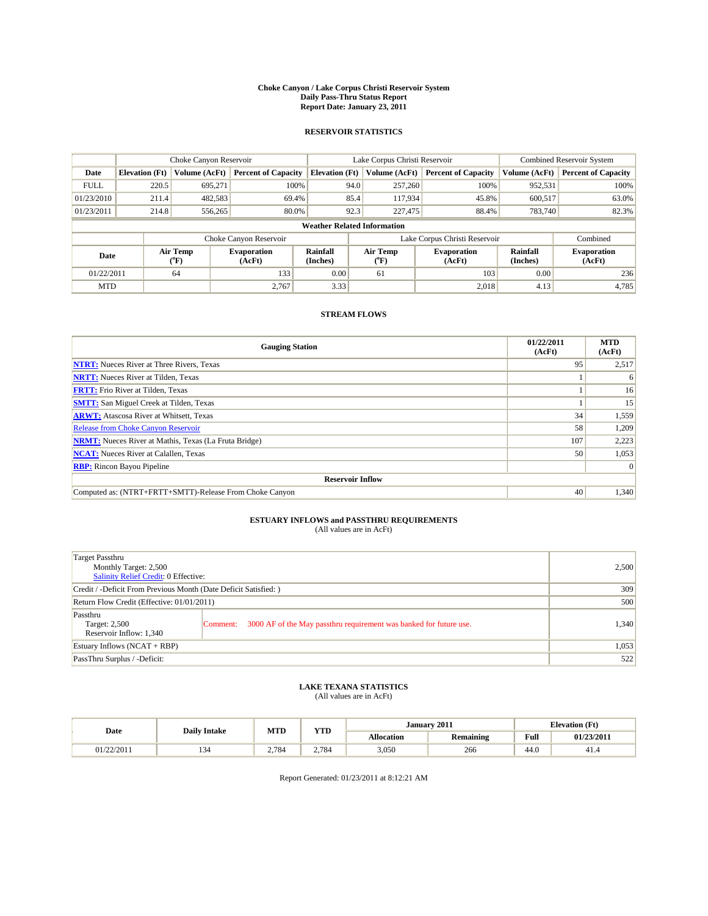#### **Choke Canyon / Lake Corpus Christi Reservoir System Daily Pass-Thru Status Report Report Date: January 23, 2011**

### **RESERVOIR STATISTICS**

|             |                                    | Choke Canyon Reservoir |                                                             |                       | Lake Corpus Christi Reservoir  | <b>Combined Reservoir System</b> |                             |                              |  |
|-------------|------------------------------------|------------------------|-------------------------------------------------------------|-----------------------|--------------------------------|----------------------------------|-----------------------------|------------------------------|--|
| Date        | <b>Elevation</b> (Ft)              | Volume (AcFt)          | <b>Percent of Capacity</b>                                  | <b>Elevation</b> (Ft) | Volume (AcFt)                  | <b>Percent of Capacity</b>       | Volume (AcFt)               | <b>Percent of Capacity</b>   |  |
| <b>FULL</b> | 220.5                              | 695,271                | 100%                                                        | 94.0                  | 257,260                        | 100%                             | 952,531                     | 100%                         |  |
| 01/23/2010  | 211.4                              | 482,583                | 69.4%                                                       | 85.4                  | 117,934                        | 45.8%                            | 600.517                     | 63.0%                        |  |
| 01/23/2011  | 214.8                              | 556,265                | 80.0%                                                       | 92.3                  | 227,475                        | 88.4%                            | 783.740                     | 82.3%                        |  |
|             | <b>Weather Related Information</b> |                        |                                                             |                       |                                |                                  |                             |                              |  |
|             |                                    |                        | Choke Canyon Reservoir                                      |                       | Lake Corpus Christi Reservoir  |                                  |                             | Combined                     |  |
|             | Air Temp<br>Date<br>(°F)           |                        | <b>Rainfall</b><br><b>Evaporation</b><br>(Inches)<br>(AcFt) |                       | Air Temp<br>$({}^o\mathrm{F})$ | <b>Evaporation</b><br>(AcFt)     | <b>Rainfall</b><br>(Inches) | <b>Evaporation</b><br>(AcFt) |  |
| 01/22/2011  |                                    | 64                     | 133                                                         | 0.00                  | 61                             | 103                              | 0.00                        | 236                          |  |
| <b>MTD</b>  |                                    |                        | 2.767                                                       | 3.33                  |                                | 2.018                            | 4.13                        | 4,785                        |  |

## **STREAM FLOWS**

| <b>Gauging Station</b>                                       | 01/22/2011<br>(AcFt) | <b>MTD</b><br>(AcFt) |
|--------------------------------------------------------------|----------------------|----------------------|
| <b>NTRT:</b> Nueces River at Three Rivers, Texas             | 95                   | 2,517                |
| <b>NRTT:</b> Nueces River at Tilden, Texas                   |                      | 6                    |
| <b>FRTT:</b> Frio River at Tilden, Texas                     |                      | 16                   |
| <b>SMTT:</b> San Miguel Creek at Tilden, Texas               |                      | 15                   |
| <b>ARWT:</b> Atascosa River at Whitsett, Texas               | 34                   | 1,559                |
| <b>Release from Choke Canyon Reservoir</b>                   | 58                   | 1,209                |
| <b>NRMT:</b> Nueces River at Mathis, Texas (La Fruta Bridge) | 107                  | 2,223                |
| <b>NCAT:</b> Nueces River at Calallen, Texas                 | 50                   | 1,053                |
| <b>RBP:</b> Rincon Bayou Pipeline                            |                      | $\Omega$             |
| <b>Reservoir Inflow</b>                                      |                      |                      |
| Computed as: (NTRT+FRTT+SMTT)-Release From Choke Canyon      | 40                   | 1,340                |

# **ESTUARY INFLOWS and PASSTHRU REQUIREMENTS**<br>(All values are in AcFt)

| Target Passthru<br>Monthly Target: 2,500<br>Salinity Relief Credit: 0 Effective: |                                                                                |       |  |  |
|----------------------------------------------------------------------------------|--------------------------------------------------------------------------------|-------|--|--|
| Credit / -Deficit From Previous Month (Date Deficit Satisfied: )                 |                                                                                |       |  |  |
| Return Flow Credit (Effective: 01/01/2011)                                       |                                                                                |       |  |  |
| Passthru<br>Target: 2,500<br>Reservoir Inflow: 1,340                             | 3000 AF of the May passthru requirement was banked for future use.<br>Comment: | 1.340 |  |  |
| Estuary Inflows (NCAT + RBP)                                                     | 1,053                                                                          |       |  |  |
| PassThru Surplus / -Deficit:                                                     | 522                                                                            |       |  |  |

## **LAKE TEXANA STATISTICS** (All values are in AcFt)

| Date       | <b>Daily Intake</b> | MTD   | <b>TIME</b><br>1 I.D | January 2011<br><b>Elevation</b> (Ft) |                  |                                         |            |
|------------|---------------------|-------|----------------------|---------------------------------------|------------------|-----------------------------------------|------------|
|            |                     |       |                      | <b>Allocation</b>                     | <b>Remaining</b> | Full<br>the contract of the contract of | 01/23/2011 |
| 01/22/2011 |                     | 2.784 | 2.784                | 3.050                                 | 266              | 44.0                                    | -41.4      |

Report Generated: 01/23/2011 at 8:12:21 AM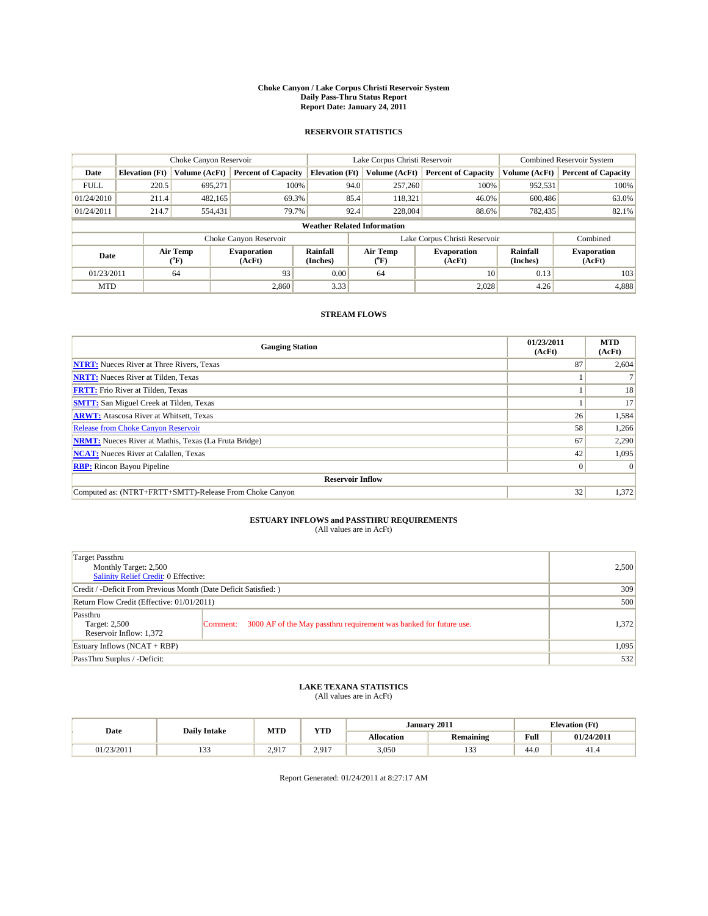#### **Choke Canyon / Lake Corpus Christi Reservoir System Daily Pass-Thru Status Report Report Date: January 24, 2011**

### **RESERVOIR STATISTICS**

|             |                          | Choke Canyon Reservoir |                              |                                    | Lake Corpus Christi Reservoir | <b>Combined Reservoir System</b> |                      |                              |
|-------------|--------------------------|------------------------|------------------------------|------------------------------------|-------------------------------|----------------------------------|----------------------|------------------------------|
| Date        | <b>Elevation</b> (Ft)    | Volume (AcFt)          | <b>Percent of Capacity</b>   | <b>Elevation</b> (Ft)              | Volume (AcFt)                 | <b>Percent of Capacity</b>       | Volume (AcFt)        | <b>Percent of Capacity</b>   |
| <b>FULL</b> | 220.5                    | 695,271                | 100%                         | 94.0                               | 257,260                       | 100%                             | 952,531              | 100%                         |
| 01/24/2010  | 211.4                    | 482,165                | 69.3%                        | 85.4                               | 118,321                       | 46.0%                            | 600,486              | 63.0%                        |
| 01/24/2011  | 214.7                    | 554,431                | 79.7%                        | 92.4                               | 228,004                       | 88.6%                            | 782.435              | 82.1%                        |
|             |                          |                        |                              | <b>Weather Related Information</b> |                               |                                  |                      |                              |
|             |                          |                        | Choke Canyon Reservoir       |                                    | Lake Corpus Christi Reservoir |                                  |                      | Combined                     |
|             | Air Temp<br>Date<br>(°F) |                        | <b>Evaporation</b><br>(AcFt) | <b>Rainfall</b><br>(Inches)        | Air Temp<br>(°F)              | <b>Evaporation</b><br>(AcFt)     | Rainfall<br>(Inches) | <b>Evaporation</b><br>(AcFt) |
| 01/23/2011  |                          | 64                     | 93                           | 0.00                               | 64                            | 10                               | 0.13                 | 103                          |
| <b>MTD</b>  |                          |                        | 2.860                        | 3.33                               |                               | 2.028                            | 4.26                 | 4,888                        |

## **STREAM FLOWS**

| <b>Gauging Station</b>                                       | 01/23/2011<br>(AcFt) | <b>MTD</b><br>(AcFt) |
|--------------------------------------------------------------|----------------------|----------------------|
| <b>NTRT:</b> Nueces River at Three Rivers, Texas             | 87                   | 2,604                |
| <b>NRTT:</b> Nueces River at Tilden, Texas                   |                      |                      |
| <b>FRTT:</b> Frio River at Tilden, Texas                     |                      | 18                   |
| <b>SMTT:</b> San Miguel Creek at Tilden, Texas               |                      | 17                   |
| <b>ARWT:</b> Atascosa River at Whitsett, Texas               | 26                   | 1,584                |
| <b>Release from Choke Canyon Reservoir</b>                   | 58                   | 1,266                |
| <b>NRMT:</b> Nueces River at Mathis, Texas (La Fruta Bridge) | 67                   | 2,290                |
| <b>NCAT:</b> Nueces River at Calallen, Texas                 | 42                   | 1,095                |
| <b>RBP:</b> Rincon Bayou Pipeline                            | $\overline{0}$       | $\Omega$             |
| <b>Reservoir Inflow</b>                                      |                      |                      |
| Computed as: (NTRT+FRTT+SMTT)-Release From Choke Canyon      | 32                   | 1,372                |

# **ESTUARY INFLOWS and PASSTHRU REQUIREMENTS**<br>(All values are in AcFt)

| Target Passthru<br>Monthly Target: 2,500<br>Salinity Relief Credit: 0 Effective: |                                                                                | 2,500 |  |  |  |
|----------------------------------------------------------------------------------|--------------------------------------------------------------------------------|-------|--|--|--|
| Credit / -Deficit From Previous Month (Date Deficit Satisfied: )                 |                                                                                |       |  |  |  |
| Return Flow Credit (Effective: 01/01/2011)                                       | 500                                                                            |       |  |  |  |
| Passthru<br>Target: 2,500<br>Reservoir Inflow: 1,372                             | 3000 AF of the May passthru requirement was banked for future use.<br>Comment: | 1,372 |  |  |  |
| Estuary Inflows (NCAT + RBP)                                                     | 1,095                                                                          |       |  |  |  |
| PassThru Surplus / -Deficit:                                                     |                                                                                | 532   |  |  |  |

## **LAKE TEXANA STATISTICS** (All values are in AcFt)

| Date       | <b>Daily Intake</b> | MTD                  | VTD              | January 2011      |                  | <b>Elevation</b> (Ft)                   |            |
|------------|---------------------|----------------------|------------------|-------------------|------------------|-----------------------------------------|------------|
|            |                     |                      | 1 I.D            | <b>Allocation</b> | <b>Remaining</b> | Full<br>the contract of the contract of | 01/24/2011 |
| 01/23/2011 | $\sim$<br>          | 2917<br>$\sim \cdot$ | 2917<br><u>.</u> | 3,050             | $\sim$<br>       | $\sim$<br>44.U                          | 41.4       |

Report Generated: 01/24/2011 at 8:27:17 AM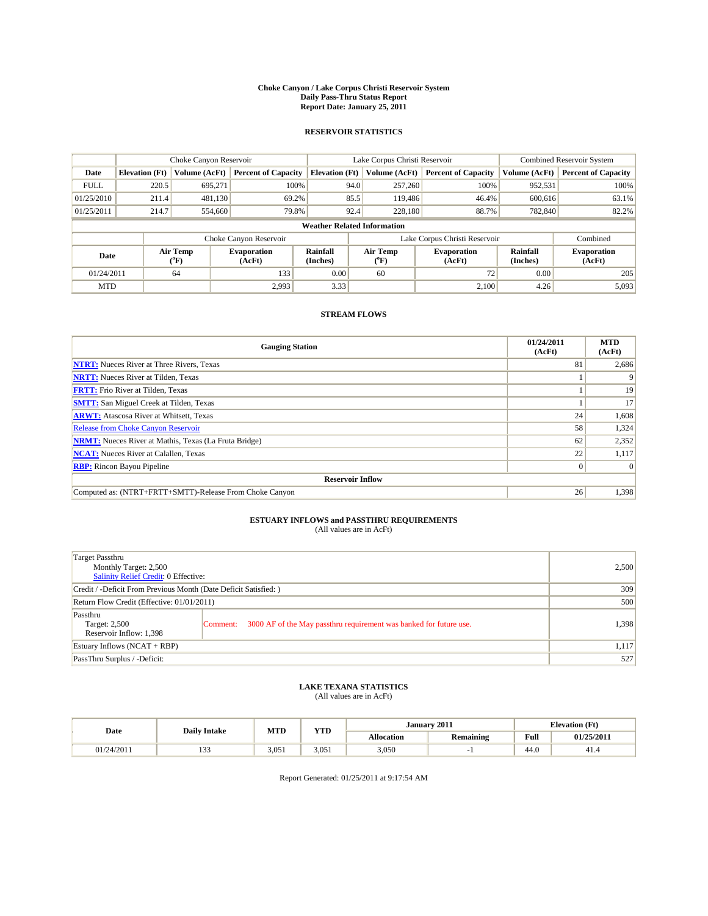#### **Choke Canyon / Lake Corpus Christi Reservoir System Daily Pass-Thru Status Report Report Date: January 25, 2011**

### **RESERVOIR STATISTICS**

|             |                       | Choke Canyon Reservoir |                              |                                    | Lake Corpus Christi Reservoir  | <b>Combined Reservoir System</b> |                      |                              |
|-------------|-----------------------|------------------------|------------------------------|------------------------------------|--------------------------------|----------------------------------|----------------------|------------------------------|
| Date        | <b>Elevation</b> (Ft) | Volume (AcFt)          | <b>Percent of Capacity</b>   | <b>Elevation</b> (Ft)              | Volume (AcFt)                  | <b>Percent of Capacity</b>       | Volume (AcFt)        | <b>Percent of Capacity</b>   |
| <b>FULL</b> | 220.5                 | 695,271                | 100%                         | 94.0                               | 257,260                        | 100%                             | 952,531              | 100%                         |
| 01/25/2010  | 211.4                 | 481,130                | 69.2%                        | 85.5                               | 119,486                        | 46.4%                            | 600.616              | 63.1%                        |
| 01/25/2011  | 214.7                 | 554,660                | 79.8%                        | 92.4                               | 228,180                        | 88.7%                            | 782,840              | 82.2%                        |
|             |                       |                        |                              | <b>Weather Related Information</b> |                                |                                  |                      |                              |
|             |                       |                        | Choke Canyon Reservoir       |                                    | Lake Corpus Christi Reservoir  |                                  |                      | Combined                     |
| Date        |                       | Air Temp<br>(°F)       | <b>Evaporation</b><br>(AcFt) | <b>Rainfall</b><br>(Inches)        | Air Temp<br>$({}^o\mathrm{F})$ | <b>Evaporation</b><br>(AcFt)     | Rainfall<br>(Inches) | <b>Evaporation</b><br>(AcFt) |
| 01/24/2011  |                       | 64                     | 133                          | 0.00                               | 60                             | 72                               | 0.00                 | 205                          |
| <b>MTD</b>  |                       |                        | 2,993                        | 3.33                               |                                | 2.100                            | 4.26                 | 5,093                        |

## **STREAM FLOWS**

| <b>Gauging Station</b>                                       | 01/24/2011<br>(AcFt) | <b>MTD</b><br>(AcFt) |
|--------------------------------------------------------------|----------------------|----------------------|
| <b>NTRT:</b> Nueces River at Three Rivers, Texas             | 81                   | 2,686                |
| <b>NRTT:</b> Nueces River at Tilden, Texas                   |                      |                      |
| <b>FRTT:</b> Frio River at Tilden, Texas                     |                      | 19                   |
| <b>SMTT:</b> San Miguel Creek at Tilden, Texas               |                      | 17                   |
| <b>ARWT:</b> Atascosa River at Whitsett, Texas               | 24                   | 1,608                |
| Release from Choke Canyon Reservoir                          | 58                   | 1,324                |
| <b>NRMT:</b> Nueces River at Mathis, Texas (La Fruta Bridge) | 62                   | 2,352                |
| <b>NCAT:</b> Nueces River at Calallen, Texas                 | 22                   | 1,117                |
| <b>RBP:</b> Rincon Bayou Pipeline                            | $\overline{0}$       | $\Omega$             |
| <b>Reservoir Inflow</b>                                      |                      |                      |
| Computed as: (NTRT+FRTT+SMTT)-Release From Choke Canyon      | 26                   | 1,398                |

# **ESTUARY INFLOWS and PASSTHRU REQUIREMENTS**<br>(All values are in AcFt)

| Target Passthru<br>Monthly Target: 2,500<br>Salinity Relief Credit: 0 Effective: |                                                                                | 2,500 |  |  |  |
|----------------------------------------------------------------------------------|--------------------------------------------------------------------------------|-------|--|--|--|
| Credit / -Deficit From Previous Month (Date Deficit Satisfied: )                 |                                                                                |       |  |  |  |
| Return Flow Credit (Effective: 01/01/2011)                                       | 500                                                                            |       |  |  |  |
| Passthru<br>Target: 2,500<br>Reservoir Inflow: 1,398                             | 3000 AF of the May passthru requirement was banked for future use.<br>Comment: | 1.398 |  |  |  |
| Estuary Inflows (NCAT + RBP)                                                     | 1,117                                                                          |       |  |  |  |
| PassThru Surplus / -Deficit:                                                     |                                                                                | 527   |  |  |  |

## **LAKE TEXANA STATISTICS** (All values are in AcFt)

| Date       | <b>Daily Intake</b> | MTD   | <b>XZOD</b> |                   | January 2011     | <b>Elevation</b> (Ft)                   |            |
|------------|---------------------|-------|-------------|-------------------|------------------|-----------------------------------------|------------|
|            |                     |       | 1 I.D       | <b>Allocation</b> | <b>Remaining</b> | Full<br>the contract of the contract of | 01/25/2011 |
| 01/24/2011 | $\sim$<br>.         | 3.051 | 3.051       | 3.050             |                  | 44.0                                    | 41.5       |

Report Generated: 01/25/2011 at 9:17:54 AM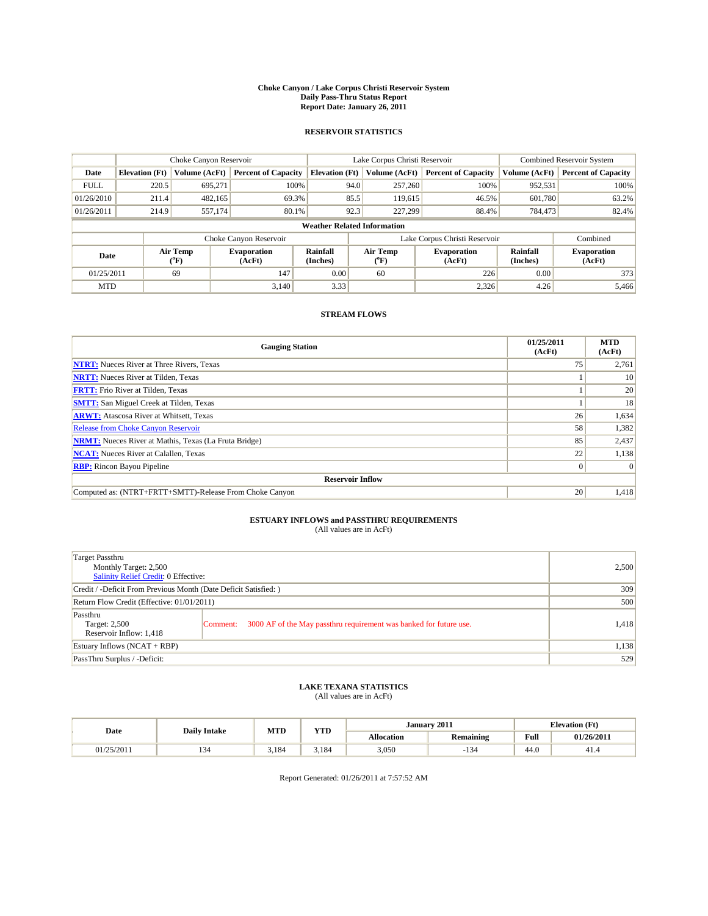#### **Choke Canyon / Lake Corpus Christi Reservoir System Daily Pass-Thru Status Report Report Date: January 26, 2011**

### **RESERVOIR STATISTICS**

|             |                       | Choke Canyon Reservoir                    |                              |                                    | Lake Corpus Christi Reservoir  | <b>Combined Reservoir System</b> |                      |                              |
|-------------|-----------------------|-------------------------------------------|------------------------------|------------------------------------|--------------------------------|----------------------------------|----------------------|------------------------------|
| Date        | <b>Elevation</b> (Ft) | Volume (AcFt)                             | <b>Percent of Capacity</b>   | <b>Elevation</b> (Ft)              | Volume (AcFt)                  | <b>Percent of Capacity</b>       | Volume (AcFt)        | <b>Percent of Capacity</b>   |
| <b>FULL</b> | 220.5                 | 695,271                                   | 100%                         | 94.0                               | 257,260                        | 100%                             | 952,531              | 100%                         |
| 01/26/2010  | 211.4                 | 482,165                                   | 69.3%                        | 85.5                               | 119,615                        | 46.5%                            | 601,780              | 63.2%                        |
| 01/26/2011  | 214.9                 | 557,174                                   | 80.1%                        | 92.3                               | 227,299                        | 88.4%                            | 784,473              | 82.4%                        |
|             |                       |                                           |                              | <b>Weather Related Information</b> |                                |                                  |                      |                              |
|             |                       |                                           | Choke Canyon Reservoir       |                                    | Lake Corpus Christi Reservoir  |                                  |                      | Combined                     |
| Date        |                       | Air Temp<br>$({}^{\mathrm{o}}\mathrm{F})$ | <b>Evaporation</b><br>(AcFt) | <b>Rainfall</b><br>(Inches)        | Air Temp<br>$({}^o\mathrm{F})$ | <b>Evaporation</b><br>(AcFt)     | Rainfall<br>(Inches) | <b>Evaporation</b><br>(AcFt) |
| 01/25/2011  |                       | 69                                        | 147                          | 0.00                               | 60                             | 226                              | 0.00                 | 373                          |
| <b>MTD</b>  |                       |                                           | 3.140                        | 3.33                               |                                | 2,326                            | 4.26                 | 5.466                        |

## **STREAM FLOWS**

| <b>Gauging Station</b>                                       | 01/25/2011<br>(AcFt) | <b>MTD</b><br>(AcFt) |
|--------------------------------------------------------------|----------------------|----------------------|
| <b>NTRT:</b> Nueces River at Three Rivers, Texas             | 75                   | 2,761                |
| <b>NRTT:</b> Nueces River at Tilden, Texas                   |                      | 10                   |
| <b>FRTT:</b> Frio River at Tilden, Texas                     |                      | 20                   |
| <b>SMTT:</b> San Miguel Creek at Tilden, Texas               |                      | 18                   |
| <b>ARWT:</b> Atascosa River at Whitsett, Texas               | 26                   | 1,634                |
| <b>Release from Choke Canyon Reservoir</b>                   | 58                   | 1,382                |
| <b>NRMT:</b> Nueces River at Mathis, Texas (La Fruta Bridge) | 85                   | 2,437                |
| <b>NCAT:</b> Nueces River at Calallen, Texas                 | 22                   | 1,138                |
| <b>RBP:</b> Rincon Bayou Pipeline                            | $\overline{0}$       | $\Omega$             |
| <b>Reservoir Inflow</b>                                      |                      |                      |
| Computed as: (NTRT+FRTT+SMTT)-Release From Choke Canyon      | 20                   | 1,418                |

# **ESTUARY INFLOWS and PASSTHRU REQUIREMENTS**<br>(All values are in AcFt)

| Target Passthru<br>Monthly Target: 2,500<br>Salinity Relief Credit: 0 Effective: |                                                                                |       |  |  |  |
|----------------------------------------------------------------------------------|--------------------------------------------------------------------------------|-------|--|--|--|
| Credit / -Deficit From Previous Month (Date Deficit Satisfied: )                 |                                                                                |       |  |  |  |
| Return Flow Credit (Effective: 01/01/2011)                                       |                                                                                |       |  |  |  |
| Passthru<br>Target: 2,500<br>Reservoir Inflow: 1,418                             | 3000 AF of the May passthru requirement was banked for future use.<br>Comment: | 1,418 |  |  |  |
| Estuary Inflows (NCAT + RBP)                                                     | 1,138                                                                          |       |  |  |  |
| PassThru Surplus / -Deficit:                                                     |                                                                                | 529   |  |  |  |

## **LAKE TEXANA STATISTICS** (All values are in AcFt)

| Date       | <b>Daily Intake</b> | MTD   | <b>TIME</b><br>1 I.D | January 2011      |                                                | <b>Elevation</b> (Ft)                   |            |
|------------|---------------------|-------|----------------------|-------------------|------------------------------------------------|-----------------------------------------|------------|
|            |                     |       |                      | <b>Allocation</b> | <b>Remaining</b>                               | Full<br>the contract of the contract of | 01/26/2011 |
| 01/25/2011 |                     | 3.184 | 3.184                | 3.050             | $\rightarrow$ $\rightarrow$<br>13 <sup>o</sup> | 44.0                                    | -41.4      |

Report Generated: 01/26/2011 at 7:57:52 AM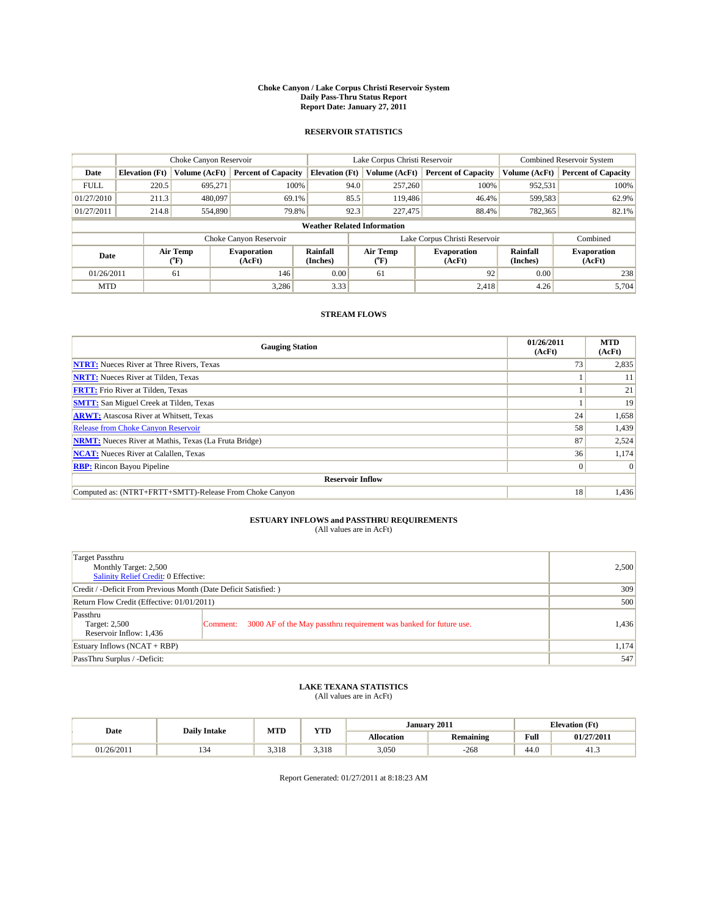#### **Choke Canyon / Lake Corpus Christi Reservoir System Daily Pass-Thru Status Report Report Date: January 27, 2011**

### **RESERVOIR STATISTICS**

|             |                       | Choke Canyon Reservoir      |                              |                             | Lake Corpus Christi Reservoir      | <b>Combined Reservoir System</b> |                      |                              |
|-------------|-----------------------|-----------------------------|------------------------------|-----------------------------|------------------------------------|----------------------------------|----------------------|------------------------------|
| Date        | <b>Elevation</b> (Ft) | Volume (AcFt)               | <b>Percent of Capacity</b>   | <b>Elevation</b> (Ft)       | Volume (AcFt)                      | <b>Percent of Capacity</b>       | Volume (AcFt)        | <b>Percent of Capacity</b>   |
| <b>FULL</b> | 220.5                 | 695,271                     | 100%                         |                             | 257,260<br>94.0                    | 100%                             | 952,531              | 100%                         |
| 01/27/2010  | 211.3                 | 480,097                     | 69.1%                        |                             | 85.5<br>119,486                    | 46.4%                            | 599,583              | 62.9%                        |
| 01/27/2011  | 214.8                 | 554,890                     | 79.8%                        |                             | 92.3<br>227,475                    | 88.4%                            | 782,365              | 82.1%                        |
|             |                       |                             |                              |                             | <b>Weather Related Information</b> |                                  |                      |                              |
|             |                       |                             | Choke Canyon Reservoir       |                             | Lake Corpus Christi Reservoir      |                                  |                      | Combined                     |
| Date        |                       | Air Temp<br>${}^{\circ}$ F) | <b>Evaporation</b><br>(AcFt) | <b>Rainfall</b><br>(Inches) | Air Temp<br>(°F)                   | <b>Evaporation</b><br>(AcFt)     | Rainfall<br>(Inches) | <b>Evaporation</b><br>(AcFt) |
| 01/26/2011  |                       | 61                          | 146                          | 0.00                        | 61                                 | 92 <sub>1</sub>                  | 0.00                 | 238                          |
| <b>MTD</b>  |                       |                             | 3,286                        | 3.33                        |                                    | 2,418                            | 4.26                 | 5.704                        |

## **STREAM FLOWS**

| <b>Gauging Station</b>                                       | 01/26/2011<br>(AcFt) | <b>MTD</b><br>(AcFt) |
|--------------------------------------------------------------|----------------------|----------------------|
| <b>NTRT:</b> Nueces River at Three Rivers, Texas             | 73                   | 2,835                |
| <b>NRTT:</b> Nueces River at Tilden, Texas                   |                      | 11                   |
| <b>FRTT:</b> Frio River at Tilden, Texas                     |                      | 21                   |
| <b>SMTT:</b> San Miguel Creek at Tilden, Texas               |                      | 19                   |
| <b>ARWT:</b> Atascosa River at Whitsett, Texas               | 24                   | 1,658                |
| <b>Release from Choke Canyon Reservoir</b>                   | 58                   | 1,439                |
| <b>NRMT:</b> Nueces River at Mathis, Texas (La Fruta Bridge) | 87                   | 2,524                |
| <b>NCAT:</b> Nueces River at Calallen, Texas                 | 36                   | 1,174                |
| <b>RBP:</b> Rincon Bayou Pipeline                            | $\overline{0}$       | $\Omega$             |
| <b>Reservoir Inflow</b>                                      |                      |                      |
| Computed as: (NTRT+FRTT+SMTT)-Release From Choke Canyon      | 18                   | 1,436                |

# **ESTUARY INFLOWS and PASSTHRU REQUIREMENTS**<br>(All values are in AcFt)

| Target Passthru<br>Monthly Target: 2,500<br>Salinity Relief Credit: 0 Effective: | 2,500                                                                          |       |
|----------------------------------------------------------------------------------|--------------------------------------------------------------------------------|-------|
| Credit / -Deficit From Previous Month (Date Deficit Satisfied: )                 | 309                                                                            |       |
| Return Flow Credit (Effective: 01/01/2011)                                       | 500                                                                            |       |
| Passthru<br>Target: 2,500<br>Reservoir Inflow: 1,436                             | 3000 AF of the May passthru requirement was banked for future use.<br>Comment: | 1,436 |
| Estuary Inflows (NCAT + RBP)                                                     | 1,174                                                                          |       |
| PassThru Surplus / -Deficit:                                                     |                                                                                | 547   |

# **LAKE TEXANA STATISTICS** (All values are in AcFt)

| Date       | <b>Daily Intake</b> | <b>MTD</b> | <b>YTD</b> |                   | January 2011     |      | <b>Elevation</b> (Ft) |
|------------|---------------------|------------|------------|-------------------|------------------|------|-----------------------|
|            |                     |            |            | <b>Allocation</b> | <b>Remaining</b> | Full | 01/27/2011            |
| 01/26/2011 | . .                 | 3.318      | 3.318      | 3,050             | $-268$           | 44.0 | 41.5                  |

Report Generated: 01/27/2011 at 8:18:23 AM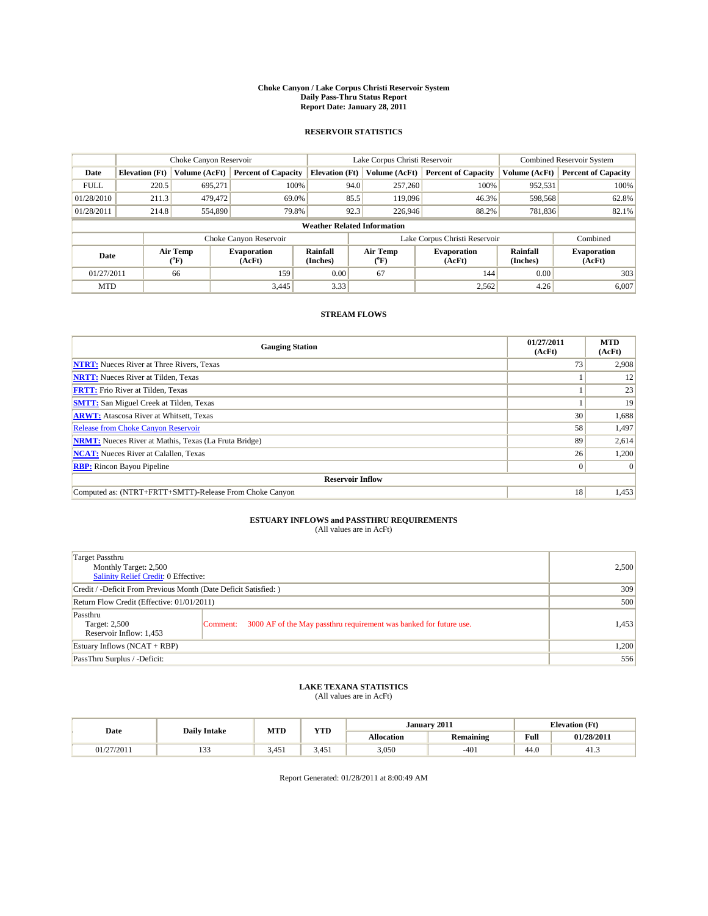#### **Choke Canyon / Lake Corpus Christi Reservoir System Daily Pass-Thru Status Report Report Date: January 28, 2011**

### **RESERVOIR STATISTICS**

|             | Choke Canyon Reservoir |                             | Lake Corpus Christi Reservoir |                                    |                               |                          | <b>Combined Reservoir System</b> |                      |                              |
|-------------|------------------------|-----------------------------|-------------------------------|------------------------------------|-------------------------------|--------------------------|----------------------------------|----------------------|------------------------------|
| Date        | <b>Elevation</b> (Ft)  | Volume (AcFt)               | <b>Percent of Capacity</b>    | <b>Elevation</b> (Ft)              |                               | Volume (AcFt)            | <b>Percent of Capacity</b>       | Volume (AcFt)        | <b>Percent of Capacity</b>   |
| <b>FULL</b> | 220.5                  | 695,271                     | 100%                          |                                    | 94.0                          | 257,260                  | 100%                             | 952,531              | 100%                         |
| 01/28/2010  | 211.3                  | 479,472                     | 69.0%                         |                                    | 85.5                          | 119,096                  | 46.3%                            | 598,568              | 62.8%                        |
| 01/28/2011  | 214.8                  | 554,890                     | 79.8%                         |                                    | 92.3                          | 226,946                  | 88.2%                            | 781,836              | 82.1%                        |
|             |                        |                             |                               | <b>Weather Related Information</b> |                               |                          |                                  |                      |                              |
|             |                        |                             | Choke Canyon Reservoir        |                                    | Lake Corpus Christi Reservoir |                          |                                  |                      | Combined                     |
| Date        |                        | Air Temp<br>${}^{\circ}$ F) | <b>Evaporation</b><br>(AcFt)  | Rainfall<br>(Inches)               |                               | Air Temp<br>$\rm ^{o}F)$ | <b>Evaporation</b><br>(AcFt)     | Rainfall<br>(Inches) | <b>Evaporation</b><br>(AcFt) |
| 01/27/2011  |                        | 66                          | 159                           | 0.00                               |                               | 67                       | 144                              | 0.00                 | 303                          |
| <b>MTD</b>  |                        |                             | 3,445                         | 3.33                               |                               |                          | 2,562                            | 4.26                 | 6,007                        |

## **STREAM FLOWS**

| <b>Gauging Station</b>                                       | 01/27/2011<br>(AcFt) | <b>MTD</b><br>(AcFt) |
|--------------------------------------------------------------|----------------------|----------------------|
| <b>NTRT:</b> Nueces River at Three Rivers, Texas             | 73 <sub>1</sub>      | 2,908                |
| <b>NRTT:</b> Nueces River at Tilden, Texas                   |                      | 12                   |
| <b>FRTT:</b> Frio River at Tilden, Texas                     |                      | 23                   |
| <b>SMTT:</b> San Miguel Creek at Tilden, Texas               |                      | 19                   |
| <b>ARWT:</b> Atascosa River at Whitsett, Texas               | 30 <sup>1</sup>      | 1,688                |
| <b>Release from Choke Canyon Reservoir</b>                   | 58                   | 1,497                |
| <b>NRMT:</b> Nueces River at Mathis, Texas (La Fruta Bridge) | 89                   | 2,614                |
| <b>NCAT:</b> Nueces River at Calallen, Texas                 | 26                   | 1,200                |
| <b>RBP:</b> Rincon Bayou Pipeline                            | $\overline{0}$       | $\Omega$             |
| <b>Reservoir Inflow</b>                                      |                      |                      |
| Computed as: (NTRT+FRTT+SMTT)-Release From Choke Canyon      | 18 <sup>1</sup>      | 1,453                |

# **ESTUARY INFLOWS and PASSTHRU REQUIREMENTS**<br>(All values are in AcFt)

| Target Passthru<br>Monthly Target: 2,500<br>Salinity Relief Credit: 0 Effective: | 2,500                                                                          |       |
|----------------------------------------------------------------------------------|--------------------------------------------------------------------------------|-------|
| Credit / -Deficit From Previous Month (Date Deficit Satisfied: )                 | 309                                                                            |       |
| Return Flow Credit (Effective: 01/01/2011)                                       | 500                                                                            |       |
| Passthru<br>Target: 2,500<br>Reservoir Inflow: 1,453                             | 3000 AF of the May passthru requirement was banked for future use.<br>Comment: | 1,453 |
| Estuary Inflows (NCAT + RBP)                                                     | 1,200                                                                          |       |
| PassThru Surplus / -Deficit:                                                     |                                                                                | 556   |

## **LAKE TEXANA STATISTICS** (All values are in AcFt)

| Date       | <b>Daily Intake</b> | MTD   | <b>TIME</b><br>1 I.D | January 2011      |                  | <b>Elevation</b> (Ft)                   |            |
|------------|---------------------|-------|----------------------|-------------------|------------------|-----------------------------------------|------------|
|            |                     |       |                      | <b>Allocation</b> | <b>Remaining</b> | Full<br>the contract of the contract of | 01/28/2011 |
| 01/27/2011 | $\sim$<br>.         | 3.451 | 3.451                | 3,050             | $-401$           | 44.0                                    | د.41       |

Report Generated: 01/28/2011 at 8:00:49 AM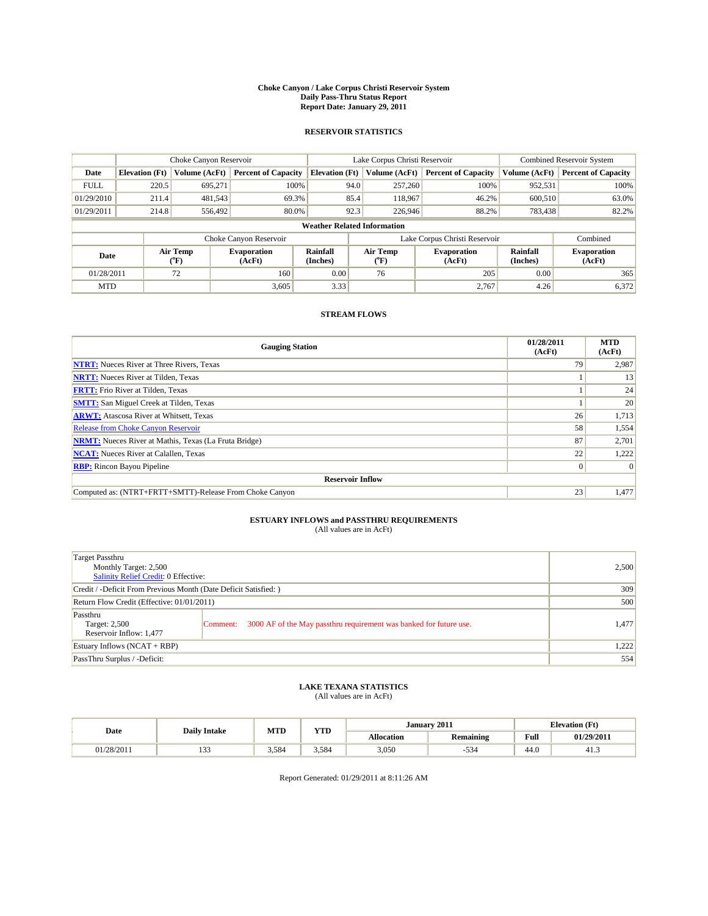#### **Choke Canyon / Lake Corpus Christi Reservoir System Daily Pass-Thru Status Report Report Date: January 29, 2011**

### **RESERVOIR STATISTICS**

|             |                       | Choke Canyon Reservoir |                              |                                    | Lake Corpus Christi Reservoir | <b>Combined Reservoir System</b> |                      |                              |
|-------------|-----------------------|------------------------|------------------------------|------------------------------------|-------------------------------|----------------------------------|----------------------|------------------------------|
| Date        | <b>Elevation</b> (Ft) | Volume (AcFt)          | <b>Percent of Capacity</b>   | <b>Elevation</b> (Ft)              | Volume (AcFt)                 | <b>Percent of Capacity</b>       | Volume (AcFt)        | <b>Percent of Capacity</b>   |
| <b>FULL</b> | 220.5                 | 695,271                | 100%                         | 94.0                               | 257,260                       | 100%                             | 952,531              | 100%                         |
| 01/29/2010  | 211.4                 | 481,543                | 69.3%                        | 85.4                               | 118,967                       | 46.2%                            | 600.510              | 63.0%                        |
| 01/29/2011  | 214.8                 | 556,492                | 80.0%                        | 92.3                               | 226,946                       | 88.2%                            | 783,438              | 82.2%                        |
|             |                       |                        |                              | <b>Weather Related Information</b> |                               |                                  |                      |                              |
|             |                       |                        | Choke Canyon Reservoir       |                                    | Lake Corpus Christi Reservoir |                                  |                      | Combined                     |
| Date        |                       | Air Temp<br>(°F)       | <b>Evaporation</b><br>(AcFt) | <b>Rainfall</b><br>(Inches)        | Air Temp<br>(°F)              | <b>Evaporation</b><br>(AcFt)     | Rainfall<br>(Inches) | <b>Evaporation</b><br>(AcFt) |
| 01/28/2011  |                       | 72                     | 160                          | 0.00                               | 76                            | 205                              | 0.00                 | 365                          |
| <b>MTD</b>  |                       |                        | 3,605                        | 3.33                               |                               | 2.767                            | 4.26                 | 6,372                        |

## **STREAM FLOWS**

| <b>Gauging Station</b>                                       | 01/28/2011<br>(AcFt) | <b>MTD</b><br>(AcFt) |
|--------------------------------------------------------------|----------------------|----------------------|
| <b>NTRT:</b> Nueces River at Three Rivers, Texas             | 79                   | 2,987                |
| <b>NRTT:</b> Nueces River at Tilden, Texas                   |                      | 13                   |
| <b>FRTT:</b> Frio River at Tilden, Texas                     |                      | 24                   |
| <b>SMTT:</b> San Miguel Creek at Tilden, Texas               |                      | 20                   |
| <b>ARWT:</b> Atascosa River at Whitsett, Texas               | 26                   | 1,713                |
| Release from Choke Canyon Reservoir                          | 58                   | 1,554                |
| <b>NRMT:</b> Nueces River at Mathis, Texas (La Fruta Bridge) | 87                   | 2,701                |
| <b>NCAT:</b> Nueces River at Calallen, Texas                 | 22                   | 1,222                |
| <b>RBP:</b> Rincon Bayou Pipeline                            | $\overline{0}$       | $\Omega$             |
| <b>Reservoir Inflow</b>                                      |                      |                      |
| Computed as: (NTRT+FRTT+SMTT)-Release From Choke Canyon      | 23                   | 1,477                |

# **ESTUARY INFLOWS and PASSTHRU REQUIREMENTS**<br>(All values are in AcFt)

| Target Passthru<br>Monthly Target: 2,500<br>Salinity Relief Credit: 0 Effective: | 2,500                                                                          |       |
|----------------------------------------------------------------------------------|--------------------------------------------------------------------------------|-------|
| Credit / -Deficit From Previous Month (Date Deficit Satisfied: )                 | 309                                                                            |       |
| Return Flow Credit (Effective: 01/01/2011)                                       | 500                                                                            |       |
| Passthru<br>Target: 2,500<br>Reservoir Inflow: 1,477                             | 3000 AF of the May passthru requirement was banked for future use.<br>Comment: | 1,477 |
| Estuary Inflows (NCAT + RBP)                                                     | 1,222                                                                          |       |
| PassThru Surplus / -Deficit:                                                     |                                                                                | 554   |

## **LAKE TEXANA STATISTICS** (All values are in AcFt)

| Date       | <b>Daily Intake</b> | MTD   | VTD   |            | January 2011          |                                         | <b>Elevation</b> (Ft) |
|------------|---------------------|-------|-------|------------|-----------------------|-----------------------------------------|-----------------------|
|            |                     |       | 1 I.D | Allocation | <b>Remaining</b>      | Full<br>the contract of the contract of | 01/29/2011            |
| 01/28/2011 | $\sim$<br>.         | 3.584 | 3.584 | 3,050      | $\sim$ $\sim$<br>-534 | $\sim$<br>44.U                          | د.41                  |

Report Generated: 01/29/2011 at 8:11:26 AM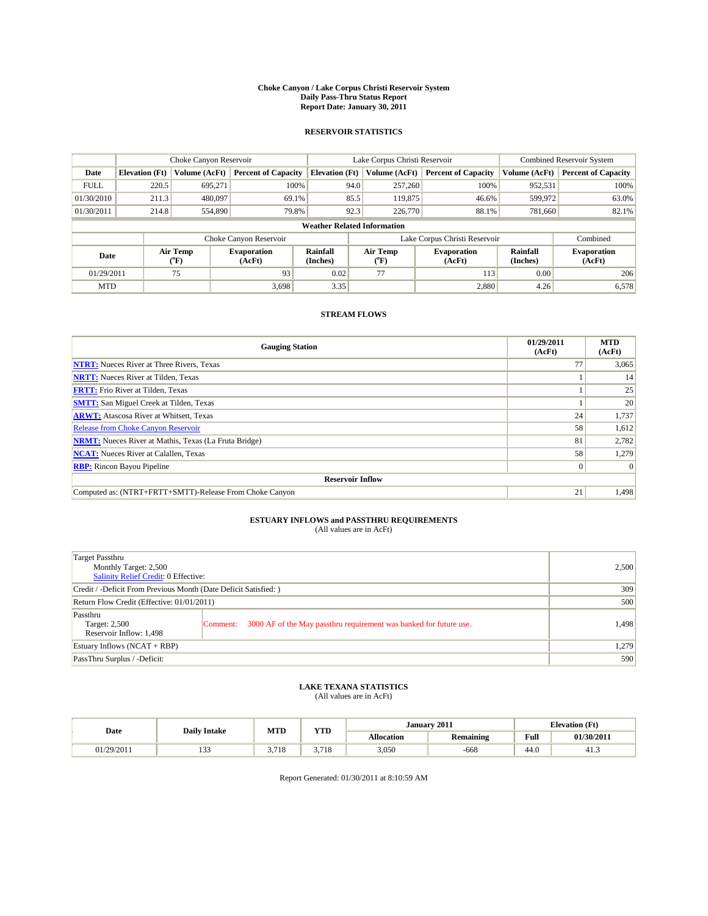#### **Choke Canyon / Lake Corpus Christi Reservoir System Daily Pass-Thru Status Report Report Date: January 30, 2011**

### **RESERVOIR STATISTICS**

|             |                       | Choke Canyon Reservoir |                              |                                    | Lake Corpus Christi Reservoir | <b>Combined Reservoir System</b> |                      |                              |
|-------------|-----------------------|------------------------|------------------------------|------------------------------------|-------------------------------|----------------------------------|----------------------|------------------------------|
| Date        | <b>Elevation</b> (Ft) | Volume (AcFt)          | <b>Percent of Capacity</b>   | <b>Elevation</b> (Ft)              | Volume (AcFt)                 | <b>Percent of Capacity</b>       | Volume (AcFt)        | <b>Percent of Capacity</b>   |
| <b>FULL</b> | 220.5                 | 695,271                | 100%                         | 94.0                               | 257,260                       | 100%                             | 952,531              | 100%                         |
| 01/30/2010  | 211.3                 | 480,097                | 69.1%                        | 85.5                               | 119,875                       | 46.6%                            | 599,972              | 63.0%                        |
| 01/30/2011  | 214.8                 | 554,890                | 79.8%                        | 92.3                               | 226,770                       | 88.1%                            | 781,660              | 82.1%                        |
|             |                       |                        |                              | <b>Weather Related Information</b> |                               |                                  |                      |                              |
|             |                       |                        | Choke Canyon Reservoir       |                                    | Lake Corpus Christi Reservoir |                                  |                      | Combined                     |
| Date        |                       | Air Temp<br>(°F)       | <b>Evaporation</b><br>(AcFt) | Rainfall<br>(Inches)               | Air Temp<br>(°F)              | <b>Evaporation</b><br>(AcFt)     | Rainfall<br>(Inches) | <b>Evaporation</b><br>(AcFt) |
| 01/29/2011  |                       | 75                     | 93                           | 0.02                               | 77                            | 113                              | 0.00                 | 206                          |
| <b>MTD</b>  |                       |                        | 3.698                        | 3.35                               |                               | 2,880                            | 4.26                 | 6,578                        |

## **STREAM FLOWS**

| <b>Gauging Station</b>                                       | 01/29/2011<br>(AcFt) | <b>MTD</b><br>(AcFt) |
|--------------------------------------------------------------|----------------------|----------------------|
| <b>NTRT:</b> Nueces River at Three Rivers, Texas             | 77                   | 3,065                |
| <b>NRTT:</b> Nueces River at Tilden, Texas                   |                      | 14                   |
| <b>FRTT:</b> Frio River at Tilden, Texas                     |                      | 25                   |
| <b>SMTT:</b> San Miguel Creek at Tilden, Texas               |                      | 20                   |
| <b>ARWT:</b> Atascosa River at Whitsett, Texas               | 24                   | 1,737                |
| <b>Release from Choke Canyon Reservoir</b>                   | 58                   | 1,612                |
| <b>NRMT:</b> Nueces River at Mathis, Texas (La Fruta Bridge) | 81                   | 2,782                |
| <b>NCAT:</b> Nueces River at Calallen, Texas                 | 58                   | 1,279                |
| <b>RBP:</b> Rincon Bayou Pipeline                            | $\overline{0}$       | $\Omega$             |
| <b>Reservoir Inflow</b>                                      |                      |                      |
| Computed as: (NTRT+FRTT+SMTT)-Release From Choke Canyon      | 21                   | 1,498                |

# **ESTUARY INFLOWS and PASSTHRU REQUIREMENTS**<br>(All values are in AcFt)

| Target Passthru<br>Monthly Target: 2,500<br>Salinity Relief Credit: 0 Effective: | 2,500                                                                          |       |
|----------------------------------------------------------------------------------|--------------------------------------------------------------------------------|-------|
| Credit / -Deficit From Previous Month (Date Deficit Satisfied: )                 | 309                                                                            |       |
| Return Flow Credit (Effective: 01/01/2011)                                       | 500                                                                            |       |
| Passthru<br>Target: 2,500<br>Reservoir Inflow: 1,498                             | 3000 AF of the May passthru requirement was banked for future use.<br>Comment: | 1,498 |
| Estuary Inflows (NCAT + RBP)                                                     | 1,279                                                                          |       |
| PassThru Surplus / -Deficit:                                                     | 590                                                                            |       |

## **LAKE TEXANA STATISTICS** (All values are in AcFt)

| Date       | <b>Daily Intake</b> | MTD               | <b>XZOD</b><br>1 I.D | January 2011      |                  | <b>Elevation</b> (Ft)                   |            |
|------------|---------------------|-------------------|----------------------|-------------------|------------------|-----------------------------------------|------------|
|            |                     |                   |                      | <b>Allocation</b> | <b>Remaining</b> | Full<br>the contract of the contract of | 01/30/2011 |
| 01/29/2011 | $\sim$<br>.         | 7710<br>10<br>J., | .710<br>J. / 10      | 3.050             | $-668$           | 44.0                                    | د.41       |

Report Generated: 01/30/2011 at 8:10:59 AM